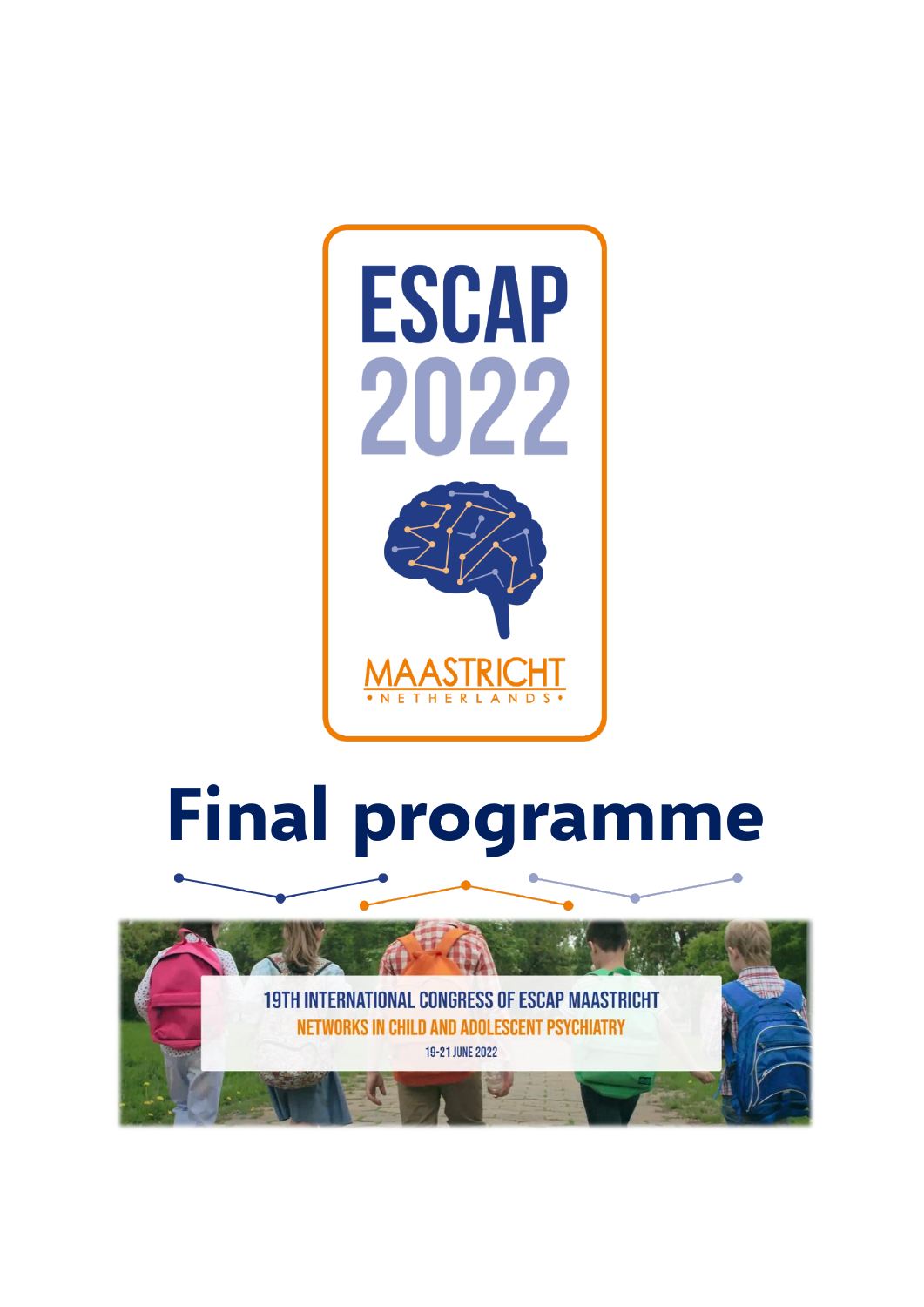

# **Final programme**

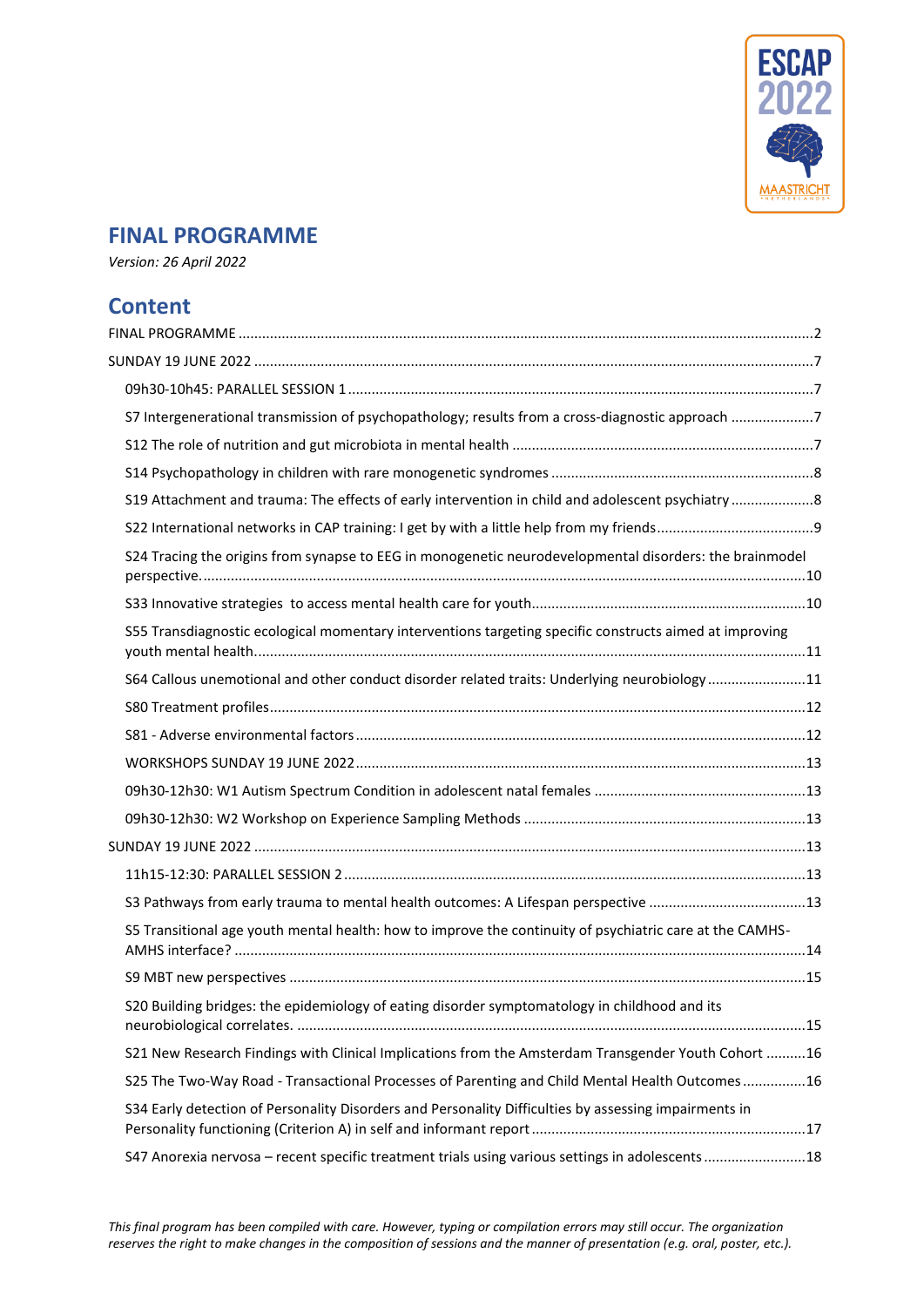

# <span id="page-1-0"></span>**FINAL PROGRAMME**

*Version: 26 April 2022*

# **Content**

| S7 Intergenerational transmission of psychopathology; results from a cross-diagnostic approach 7         |  |
|----------------------------------------------------------------------------------------------------------|--|
|                                                                                                          |  |
|                                                                                                          |  |
| S19 Attachment and trauma: The effects of early intervention in child and adolescent psychiatry8         |  |
|                                                                                                          |  |
| S24 Tracing the origins from synapse to EEG in monogenetic neurodevelopmental disorders: the brainmodel  |  |
|                                                                                                          |  |
| S55 Transdiagnostic ecological momentary interventions targeting specific constructs aimed at improving  |  |
| S64 Callous unemotional and other conduct disorder related traits: Underlying neurobiology11             |  |
|                                                                                                          |  |
|                                                                                                          |  |
|                                                                                                          |  |
|                                                                                                          |  |
|                                                                                                          |  |
|                                                                                                          |  |
|                                                                                                          |  |
| S3 Pathways from early trauma to mental health outcomes: A Lifespan perspective 13                       |  |
| S5 Transitional age youth mental health: how to improve the continuity of psychiatric care at the CAMHS- |  |
|                                                                                                          |  |
| S20 Building bridges: the epidemiology of eating disorder symptomatology in childhood and its            |  |
| S21 New Research Findings with Clinical Implications from the Amsterdam Transgender Youth Cohort 16      |  |
| S25 The Two-Way Road - Transactional Processes of Parenting and Child Mental Health Outcomes16           |  |
| S34 Early detection of Personality Disorders and Personality Difficulties by assessing impairments in    |  |
| S47 Anorexia nervosa - recent specific treatment trials using various settings in adolescents 18         |  |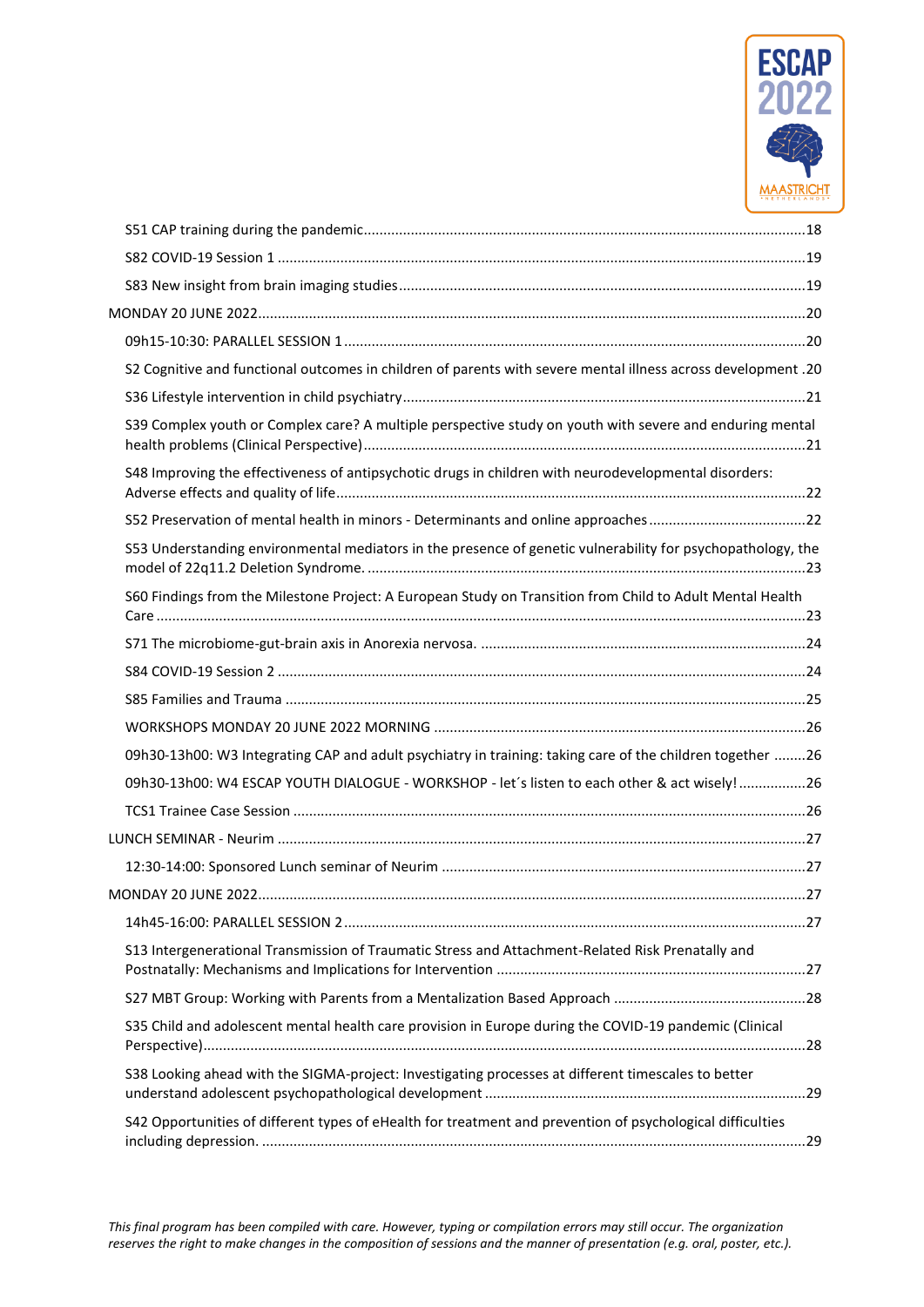

| S2 Cognitive and functional outcomes in children of parents with severe mental illness across development .20 |  |
|---------------------------------------------------------------------------------------------------------------|--|
|                                                                                                               |  |
| S39 Complex youth or Complex care? A multiple perspective study on youth with severe and enduring mental      |  |
| S48 Improving the effectiveness of antipsychotic drugs in children with neurodevelopmental disorders:         |  |
|                                                                                                               |  |
| S53 Understanding environmental mediators in the presence of genetic vulnerability for psychopathology, the   |  |
| S60 Findings from the Milestone Project: A European Study on Transition from Child to Adult Mental Health     |  |
|                                                                                                               |  |
|                                                                                                               |  |
|                                                                                                               |  |
|                                                                                                               |  |
| 09h30-13h00: W3 Integrating CAP and adult psychiatry in training: taking care of the children together 26     |  |
| 09h30-13h00: W4 ESCAP YOUTH DIALOGUE - WORKSHOP - let's listen to each other & act wisely! 26                 |  |
|                                                                                                               |  |
|                                                                                                               |  |
|                                                                                                               |  |
|                                                                                                               |  |
|                                                                                                               |  |
| S13 Intergenerational Transmission of Traumatic Stress and Attachment-Related Risk Prenatally and             |  |
|                                                                                                               |  |
| S35 Child and adolescent mental health care provision in Europe during the COVID-19 pandemic (Clinical        |  |
| S38 Looking ahead with the SIGMA-project: Investigating processes at different timescales to better           |  |
| S42 Opportunities of different types of eHealth for treatment and prevention of psychological difficulties    |  |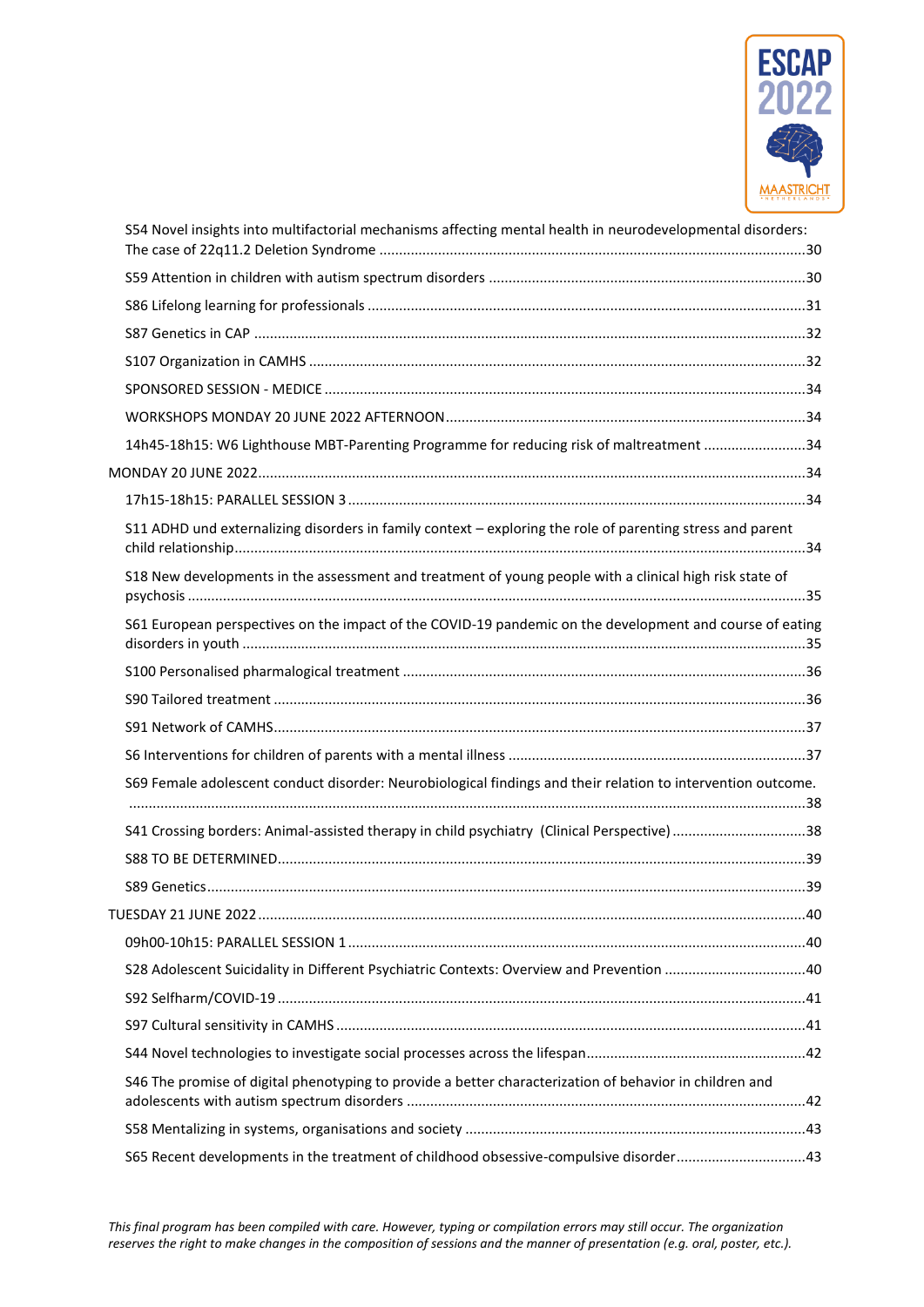

| S54 Novel insights into multifactorial mechanisms affecting mental health in neurodevelopmental disorders:   |  |
|--------------------------------------------------------------------------------------------------------------|--|
|                                                                                                              |  |
|                                                                                                              |  |
|                                                                                                              |  |
|                                                                                                              |  |
|                                                                                                              |  |
|                                                                                                              |  |
| 14h45-18h15: W6 Lighthouse MBT-Parenting Programme for reducing risk of maltreatment 34                      |  |
|                                                                                                              |  |
|                                                                                                              |  |
| S11 ADHD und externalizing disorders in family context - exploring the role of parenting stress and parent   |  |
| S18 New developments in the assessment and treatment of young people with a clinical high risk state of      |  |
| S61 European perspectives on the impact of the COVID-19 pandemic on the development and course of eating     |  |
|                                                                                                              |  |
|                                                                                                              |  |
|                                                                                                              |  |
|                                                                                                              |  |
| S69 Female adolescent conduct disorder: Neurobiological findings and their relation to intervention outcome. |  |
| S41 Crossing borders: Animal-assisted therapy in child psychiatry (Clinical Perspective)38                   |  |
|                                                                                                              |  |
|                                                                                                              |  |
|                                                                                                              |  |
|                                                                                                              |  |
|                                                                                                              |  |
|                                                                                                              |  |
|                                                                                                              |  |
|                                                                                                              |  |
| S46 The promise of digital phenotyping to provide a better characterization of behavior in children and      |  |
|                                                                                                              |  |
| S65 Recent developments in the treatment of childhood obsessive-compulsive disorder 43                       |  |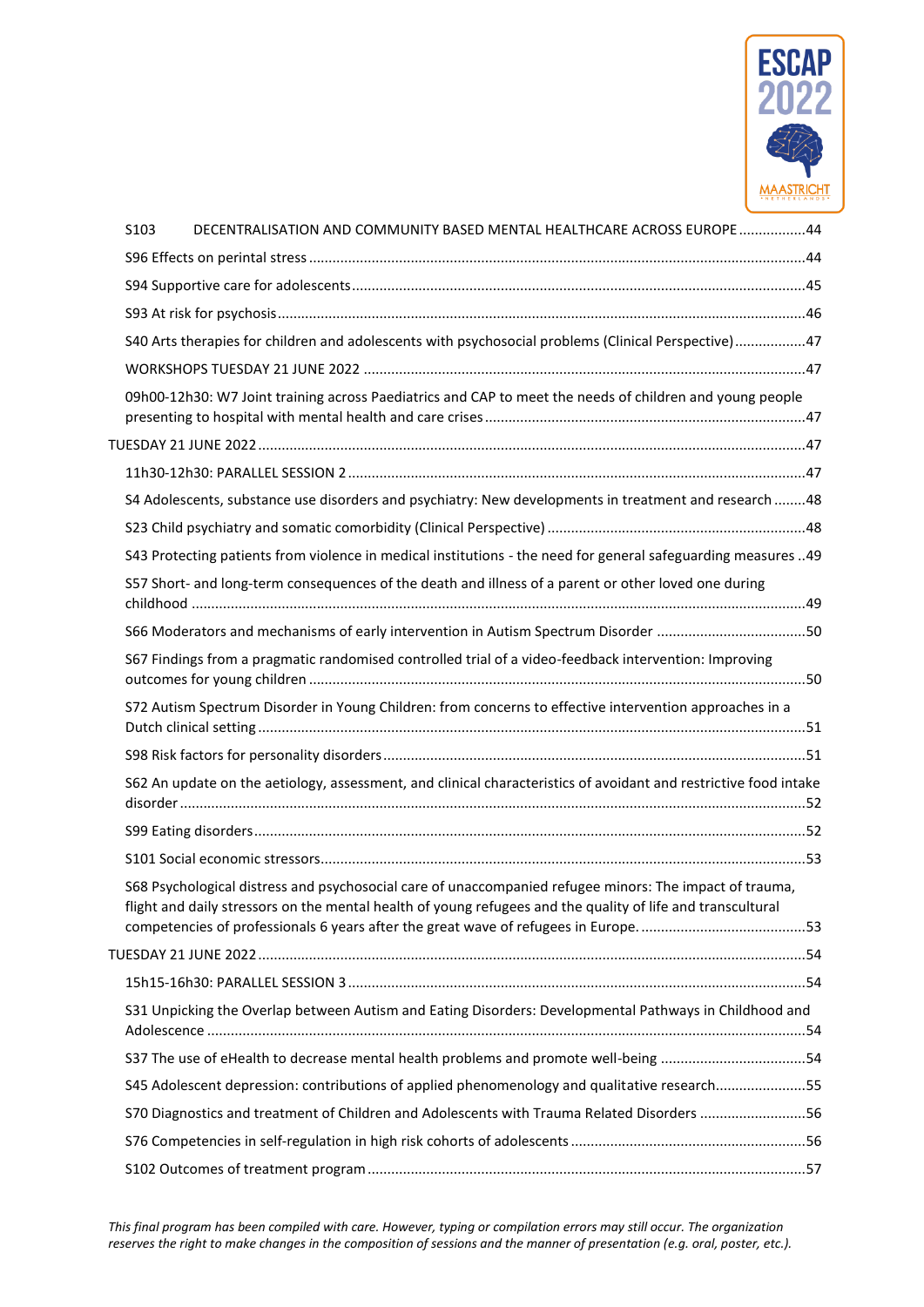

| S103 | DECENTRALISATION AND COMMUNITY BASED MENTAL HEALTHCARE ACROSS EUROPE 44                                                                                                                                                |  |
|------|------------------------------------------------------------------------------------------------------------------------------------------------------------------------------------------------------------------------|--|
|      |                                                                                                                                                                                                                        |  |
|      |                                                                                                                                                                                                                        |  |
|      |                                                                                                                                                                                                                        |  |
|      | S40 Arts therapies for children and adolescents with psychosocial problems (Clinical Perspective)47                                                                                                                    |  |
|      |                                                                                                                                                                                                                        |  |
|      | 09h00-12h30: W7 Joint training across Paediatrics and CAP to meet the needs of children and young people                                                                                                               |  |
|      |                                                                                                                                                                                                                        |  |
|      |                                                                                                                                                                                                                        |  |
|      | S4 Adolescents, substance use disorders and psychiatry: New developments in treatment and research  48                                                                                                                 |  |
|      |                                                                                                                                                                                                                        |  |
|      | S43 Protecting patients from violence in medical institutions - the need for general safeguarding measures 49                                                                                                          |  |
|      | S57 Short- and long-term consequences of the death and illness of a parent or other loved one during                                                                                                                   |  |
|      |                                                                                                                                                                                                                        |  |
|      | S67 Findings from a pragmatic randomised controlled trial of a video-feedback intervention: Improving                                                                                                                  |  |
|      | S72 Autism Spectrum Disorder in Young Children: from concerns to effective intervention approaches in a                                                                                                                |  |
|      |                                                                                                                                                                                                                        |  |
|      | S62 An update on the aetiology, assessment, and clinical characteristics of avoidant and restrictive food intake                                                                                                       |  |
|      |                                                                                                                                                                                                                        |  |
|      |                                                                                                                                                                                                                        |  |
|      | S68 Psychological distress and psychosocial care of unaccompanied refugee minors: The impact of trauma,<br>flight and daily stressors on the mental health of young refugees and the quality of life and transcultural |  |
|      |                                                                                                                                                                                                                        |  |
|      |                                                                                                                                                                                                                        |  |
|      | S31 Unpicking the Overlap between Autism and Eating Disorders: Developmental Pathways in Childhood and                                                                                                                 |  |
|      | S37 The use of eHealth to decrease mental health problems and promote well-being 54                                                                                                                                    |  |
|      | S45 Adolescent depression: contributions of applied phenomenology and qualitative research55                                                                                                                           |  |
|      |                                                                                                                                                                                                                        |  |
|      |                                                                                                                                                                                                                        |  |
|      |                                                                                                                                                                                                                        |  |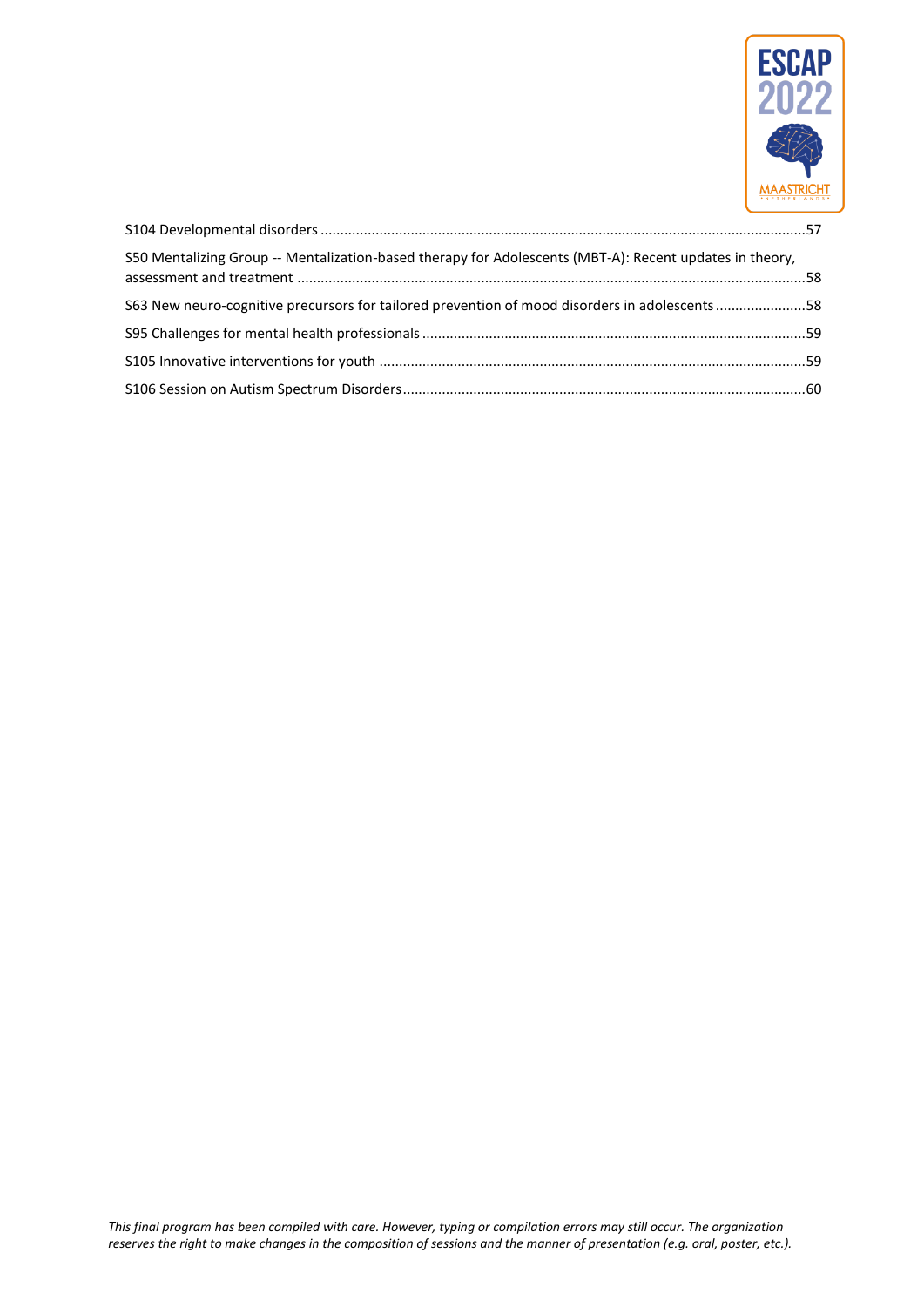

| S50 Mentalizing Group -- Mentalization-based therapy for Adolescents (MBT-A): Recent updates in theory, |  |
|---------------------------------------------------------------------------------------------------------|--|
| S63 New neuro-cognitive precursors for tailored prevention of mood disorders in adolescents58           |  |
|                                                                                                         |  |
|                                                                                                         |  |
|                                                                                                         |  |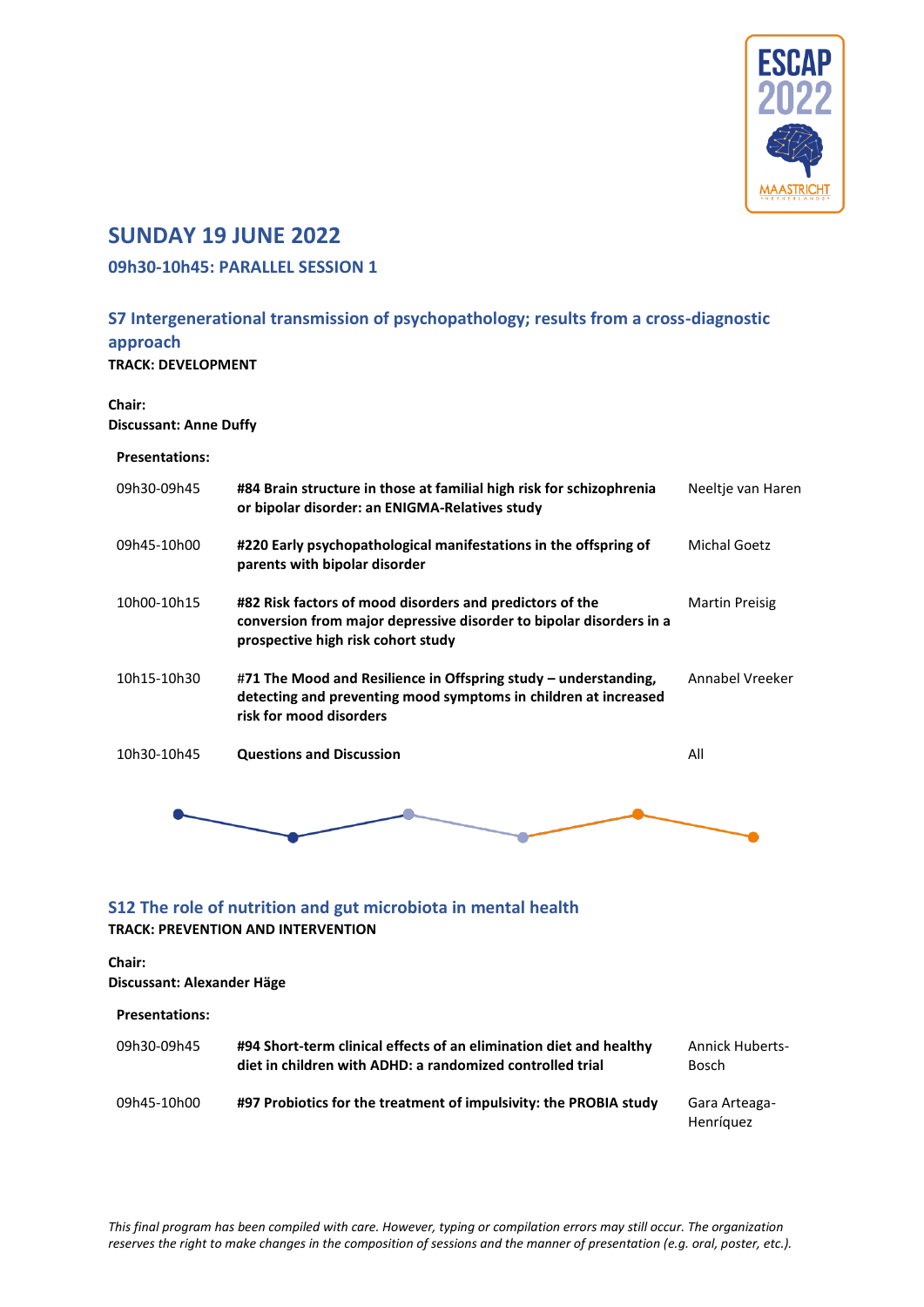

# <span id="page-6-0"></span>**SUNDAY 19 JUNE 2022**

### <span id="page-6-1"></span>**09h30-10h45: PARALLEL SESSION 1**

# <span id="page-6-2"></span>**S7 Intergenerational transmission of psychopathology; results from a cross-diagnostic approach**

**TRACK: DEVELOPMENT**

**Chair: Discussant: Anne Duffy**

#### **Presentations:**

| 09h30-09h45 | #84 Brain structure in those at familial high risk for schizophrenia<br>or bipolar disorder: an ENIGMA-Relatives study                                                | Neeltje van Haren |
|-------------|-----------------------------------------------------------------------------------------------------------------------------------------------------------------------|-------------------|
| 09h45-10h00 | #220 Early psychopathological manifestations in the offspring of<br>parents with bipolar disorder                                                                     | Michal Goetz      |
| 10h00-10h15 | #82 Risk factors of mood disorders and predictors of the<br>conversion from major depressive disorder to bipolar disorders in a<br>prospective high risk cohort study | Martin Preisig    |
| 10h15-10h30 | #71 The Mood and Resilience in Offspring study – understanding,<br>detecting and preventing mood symptoms in children at increased<br>risk for mood disorders         | Annabel Vreeker   |
| 10h30-10h45 | <b>Questions and Discussion</b>                                                                                                                                       | All               |
|             |                                                                                                                                                                       |                   |

### <span id="page-6-3"></span>**S12 The role of nutrition and gut microbiota in mental health TRACK: PREVENTION AND INTERVENTION**

### **Chair:**

| .<br>Discussant: Alexander Häge |                                                                                                                                 |                                 |
|---------------------------------|---------------------------------------------------------------------------------------------------------------------------------|---------------------------------|
| <b>Presentations:</b>           |                                                                                                                                 |                                 |
| 09h30-09h45                     | #94 Short-term clinical effects of an elimination diet and healthy<br>diet in children with ADHD: a randomized controlled trial | <b>Annick Huberts-</b><br>Bosch |
| 09h45-10h00                     | #97 Probiotics for the treatment of impulsivity: the PROBIA study                                                               | Gara Arteaga-<br>Henríquez      |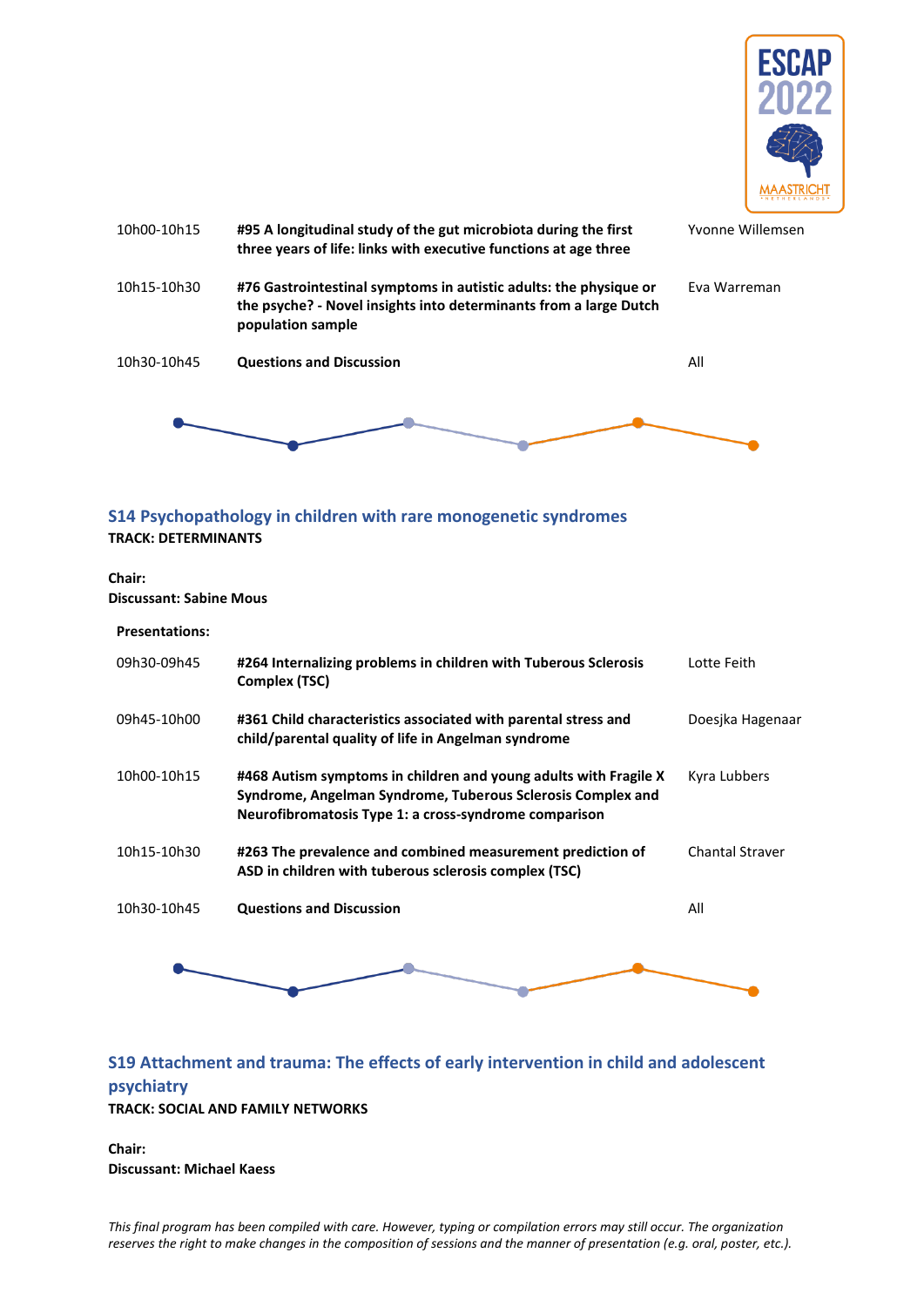



### <span id="page-7-0"></span>**S14 Psychopathology in children with rare monogenetic syndromes TRACK: DETERMINANTS**

#### **Chair: Discussant: Sabine Mous**

#### **Presentations:**

| 09h30-09h45 | #264 Internalizing problems in children with Tuberous Sclerosis<br>Complex (TSC)                                                                                                         | Lotte Feith            |
|-------------|------------------------------------------------------------------------------------------------------------------------------------------------------------------------------------------|------------------------|
| 09h45-10h00 | #361 Child characteristics associated with parental stress and<br>child/parental quality of life in Angelman syndrome                                                                    | Doesjka Hagenaar       |
| 10h00-10h15 | #468 Autism symptoms in children and young adults with Fragile X<br>Syndrome, Angelman Syndrome, Tuberous Sclerosis Complex and<br>Neurofibromatosis Type 1: a cross-syndrome comparison | Kyra Lubbers           |
| 10h15-10h30 | #263 The prevalence and combined measurement prediction of<br>ASD in children with tuberous sclerosis complex (TSC)                                                                      | <b>Chantal Straver</b> |
| 10h30-10h45 | <b>Questions and Discussion</b>                                                                                                                                                          | All                    |



### <span id="page-7-1"></span>**S19 Attachment and trauma: The effects of early intervention in child and adolescent psychiatry TRACK: SOCIAL AND FAMILY NETWORKS**

**Chair: Discussant: Michael Kaess**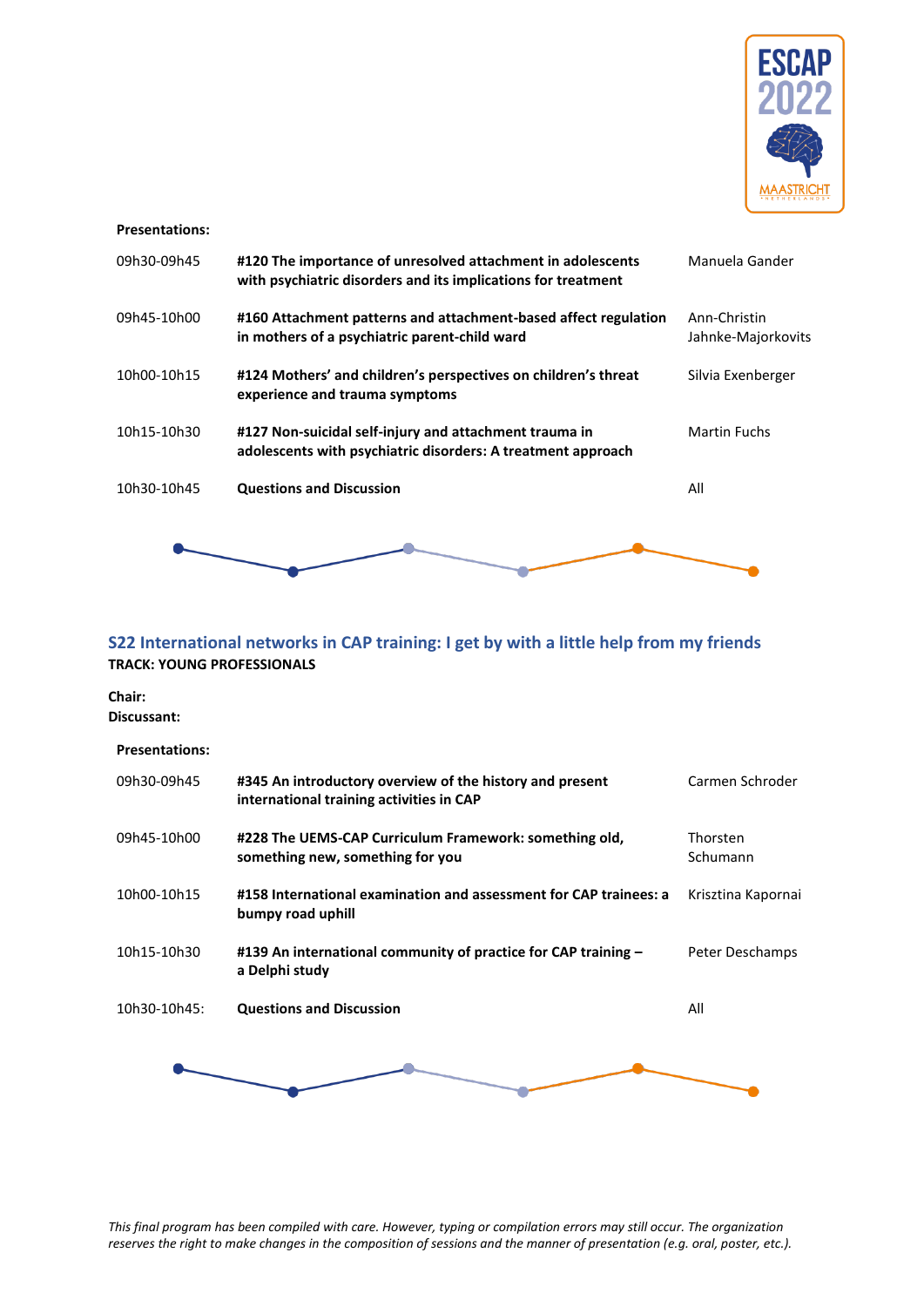

#### **Presentations:**

| 09h30-09h45 | #120 The importance of unresolved attachment in adolescents<br>with psychiatric disorders and its implications for treatment | Manuela Gander                     |
|-------------|------------------------------------------------------------------------------------------------------------------------------|------------------------------------|
| 09h45-10h00 | #160 Attachment patterns and attachment-based affect regulation<br>in mothers of a psychiatric parent-child ward             | Ann-Christin<br>Jahnke-Majorkovits |
| 10h00-10h15 | #124 Mothers' and children's perspectives on children's threat<br>experience and trauma symptoms                             | Silvia Exenberger                  |
| 10h15-10h30 | #127 Non-suicidal self-injury and attachment trauma in<br>adolescents with psychiatric disorders: A treatment approach       | Martin Fuchs                       |
| 10h30-10h45 | <b>Questions and Discussion</b>                                                                                              | All                                |
|             |                                                                                                                              |                                    |

### <span id="page-8-0"></span>**S22 International networks in CAP training: I get by with a little help from my friends TRACK: YOUNG PROFESSIONALS**

**Chair:** 

**Discussant:**

| <b>Presentations:</b> |                                                                                                      |                      |
|-----------------------|------------------------------------------------------------------------------------------------------|----------------------|
| 09h30-09h45           | #345 An introductory overview of the history and present<br>international training activities in CAP | Carmen Schroder      |
| 09h45-10h00           | #228 The UEMS-CAP Curriculum Framework: something old,<br>something new, something for you           | Thorsten<br>Schumann |
| 10h00-10h15           | #158 International examination and assessment for CAP trainees: a<br>bumpy road uphill               | Krisztina Kapornai   |
| 10h15-10h30           | #139 An international community of practice for CAP training -<br>a Delphi study                     | Peter Deschamps      |
| 10h30-10h45:          | <b>Questions and Discussion</b>                                                                      | All                  |
|                       |                                                                                                      |                      |

*This final program has been compiled with care. However, typing or compilation errors may still occur. The organization reserves the right to make changes in the composition of sessions and the manner of presentation (e.g. oral, poster, etc.).* 

÷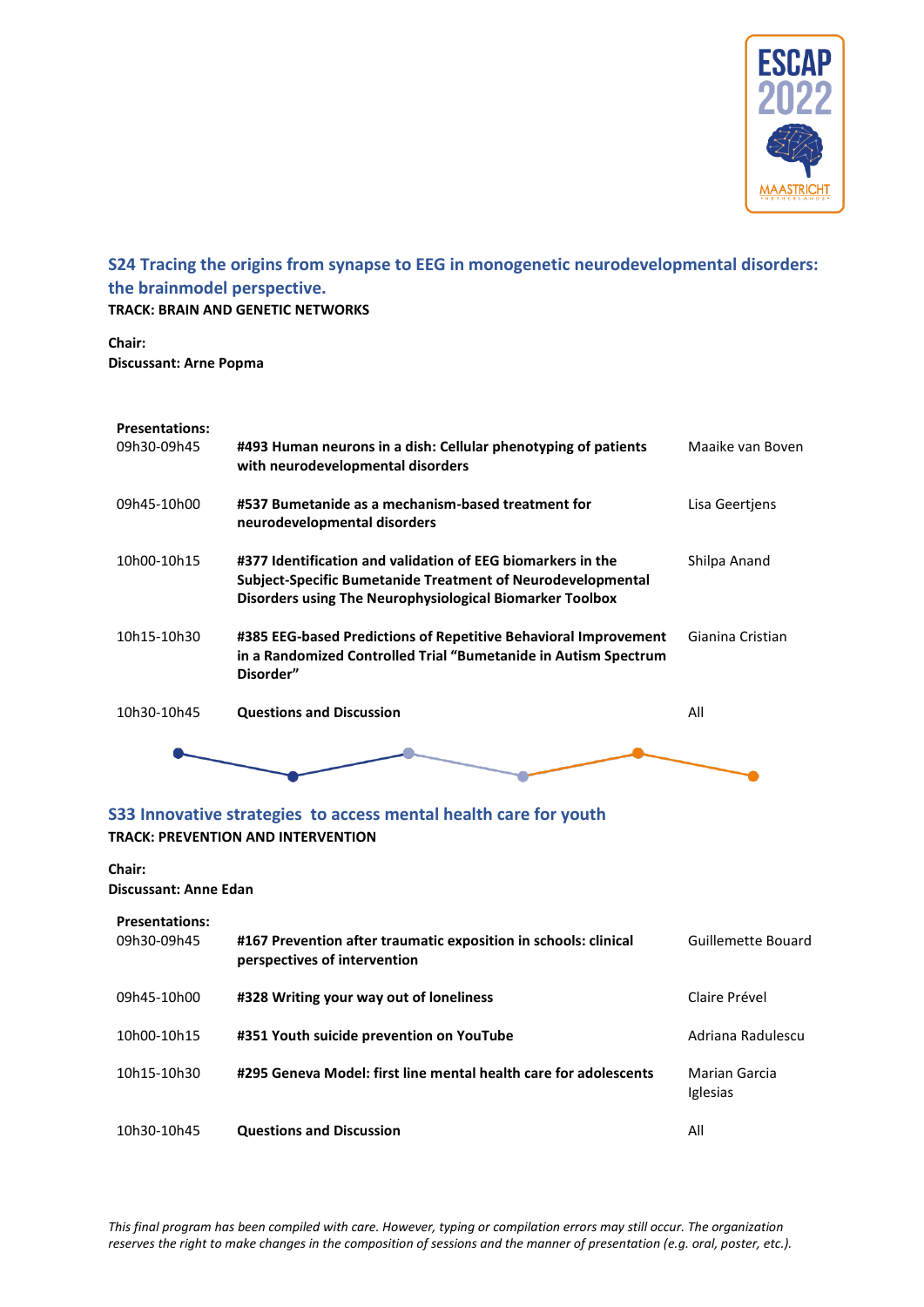

# <span id="page-9-0"></span>**S24 Tracing the origins from synapse to EEG in monogenetic neurodevelopmental disorders: the brainmodel perspective.**

**TRACK: BRAIN AND GENETIC NETWORKS**

**Chair: Discussant: Arne Popma**

#### **Presentations:**

| 09h30-09h45 | #493 Human neurons in a dish: Cellular phenotyping of patients<br>with neurodevelopmental disorders                                                                                    | Maaike van Boven |
|-------------|----------------------------------------------------------------------------------------------------------------------------------------------------------------------------------------|------------------|
| 09h45-10h00 | #537 Bumetanide as a mechanism-based treatment for<br>neurodevelopmental disorders                                                                                                     | Lisa Geertjens   |
| 10h00-10h15 | #377 Identification and validation of EEG biomarkers in the<br>Subject-Specific Bumetanide Treatment of Neurodevelopmental<br>Disorders using The Neurophysiological Biomarker Toolbox | Shilpa Anand     |
| 10h15-10h30 | #385 EEG-based Predictions of Repetitive Behavioral Improvement<br>in a Randomized Controlled Trial "Bumetanide in Autism Spectrum<br>Disorder"                                        | Gianina Cristian |
| 10h30-10h45 | <b>Questions and Discussion</b>                                                                                                                                                        | All              |
|             |                                                                                                                                                                                        |                  |

### <span id="page-9-1"></span>**S33 Innovative strategies to access mental health care for youth TRACK: PREVENTION AND INTERVENTION**

### **Chair: Discussant: Anne Edan**

| <b>Presentations:</b><br>09h30-09h45 | #167 Prevention after traumatic exposition in schools: clinical<br>perspectives of intervention | Guillemette Bouard               |
|--------------------------------------|-------------------------------------------------------------------------------------------------|----------------------------------|
| 09h45-10h00                          | #328 Writing your way out of loneliness                                                         | Claire Prével                    |
| 10h00-10h15                          | #351 Youth suicide prevention on YouTube                                                        | Adriana Radulescu                |
| 10h15-10h30                          | #295 Geneva Model: first line mental health care for adolescents                                | Marian Garcia<br><i>Iglesias</i> |
| 10h30-10h45                          | <b>Questions and Discussion</b>                                                                 | All                              |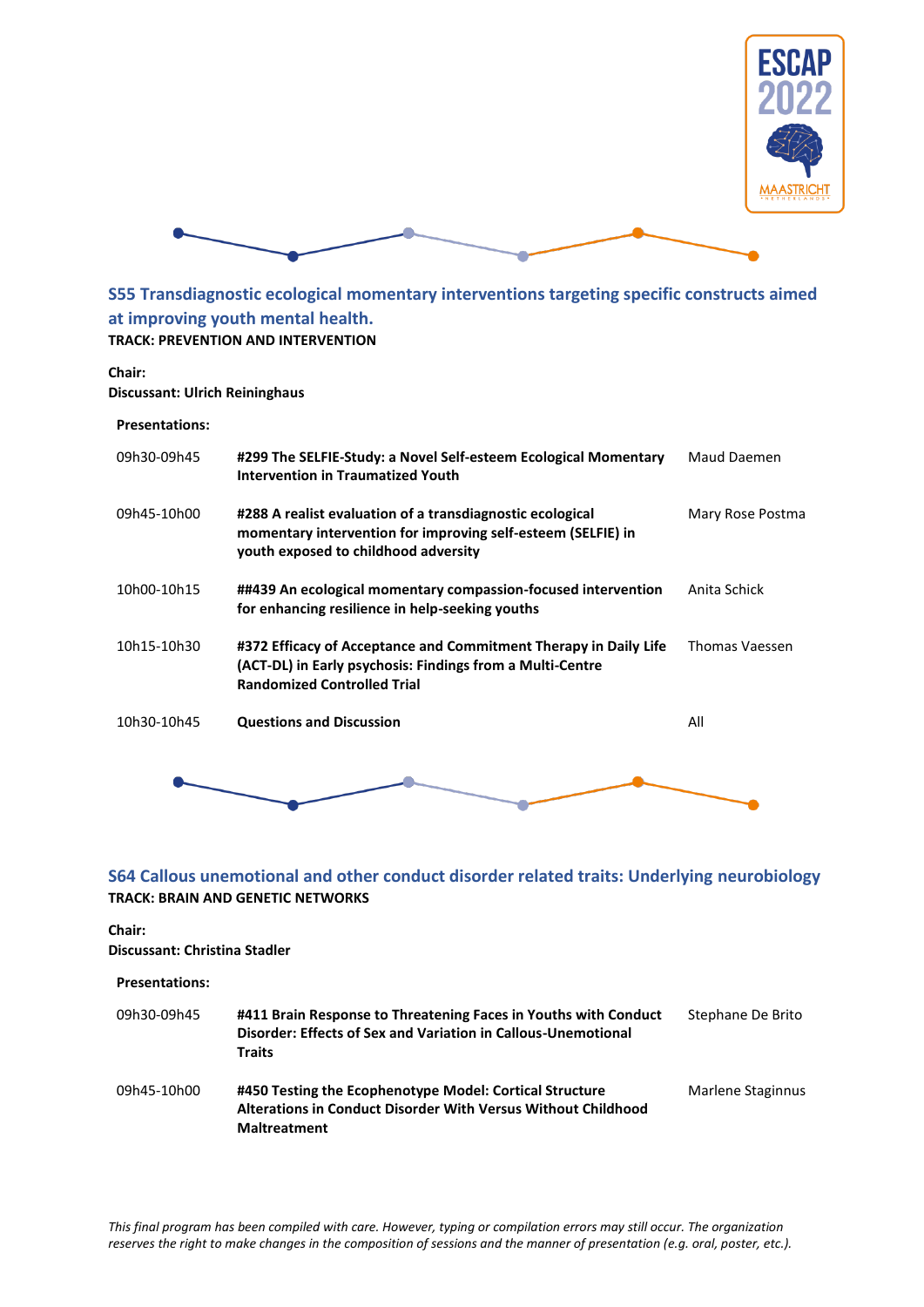



<span id="page-10-0"></span>**S55 Transdiagnostic ecological momentary interventions targeting specific constructs aimed at improving youth mental health. TRACK: PREVENTION AND INTERVENTION**

#### **Chair:**

**Discussant: Ulrich Reininghaus**

#### **Presentations:**

| 09h30-09h45 | #299 The SELFIE-Study: a Novel Self-esteem Ecological Momentary<br><b>Intervention in Traumatized Youth</b>                                                         | Maud Daemen      |
|-------------|---------------------------------------------------------------------------------------------------------------------------------------------------------------------|------------------|
| 09h45-10h00 | #288 A realist evaluation of a transdiagnostic ecological<br>momentary intervention for improving self-esteem (SELFIE) in<br>youth exposed to childhood adversity   | Mary Rose Postma |
| 10h00-10h15 | ##439 An ecological momentary compassion-focused intervention<br>for enhancing resilience in help-seeking youths                                                    | Anita Schick     |
| 10h15-10h30 | #372 Efficacy of Acceptance and Commitment Therapy in Daily Life<br>(ACT-DL) in Early psychosis: Findings from a Multi-Centre<br><b>Randomized Controlled Trial</b> | Thomas Vaessen   |
| 10h30-10h45 | <b>Questions and Discussion</b>                                                                                                                                     | All              |
|             |                                                                                                                                                                     |                  |

### <span id="page-10-1"></span>**S64 Callous unemotional and other conduct disorder related traits: Underlying neurobiology TRACK: BRAIN AND GENETIC NETWORKS**

### **Chair:**

**Discussant: Christina Stadler**

| <b>Presentations:</b> |                                                                                                                                                   |                   |
|-----------------------|---------------------------------------------------------------------------------------------------------------------------------------------------|-------------------|
| 09h30-09h45           | #411 Brain Response to Threatening Faces in Youths with Conduct<br>Disorder: Effects of Sex and Variation in Callous-Unemotional<br><b>Traits</b> | Stephane De Brito |
| 09h45-10h00           | #450 Testing the Ecophenotype Model: Cortical Structure<br>Alterations in Conduct Disorder With Versus Without Childhood<br><b>Maltreatment</b>   | Marlene Staginnus |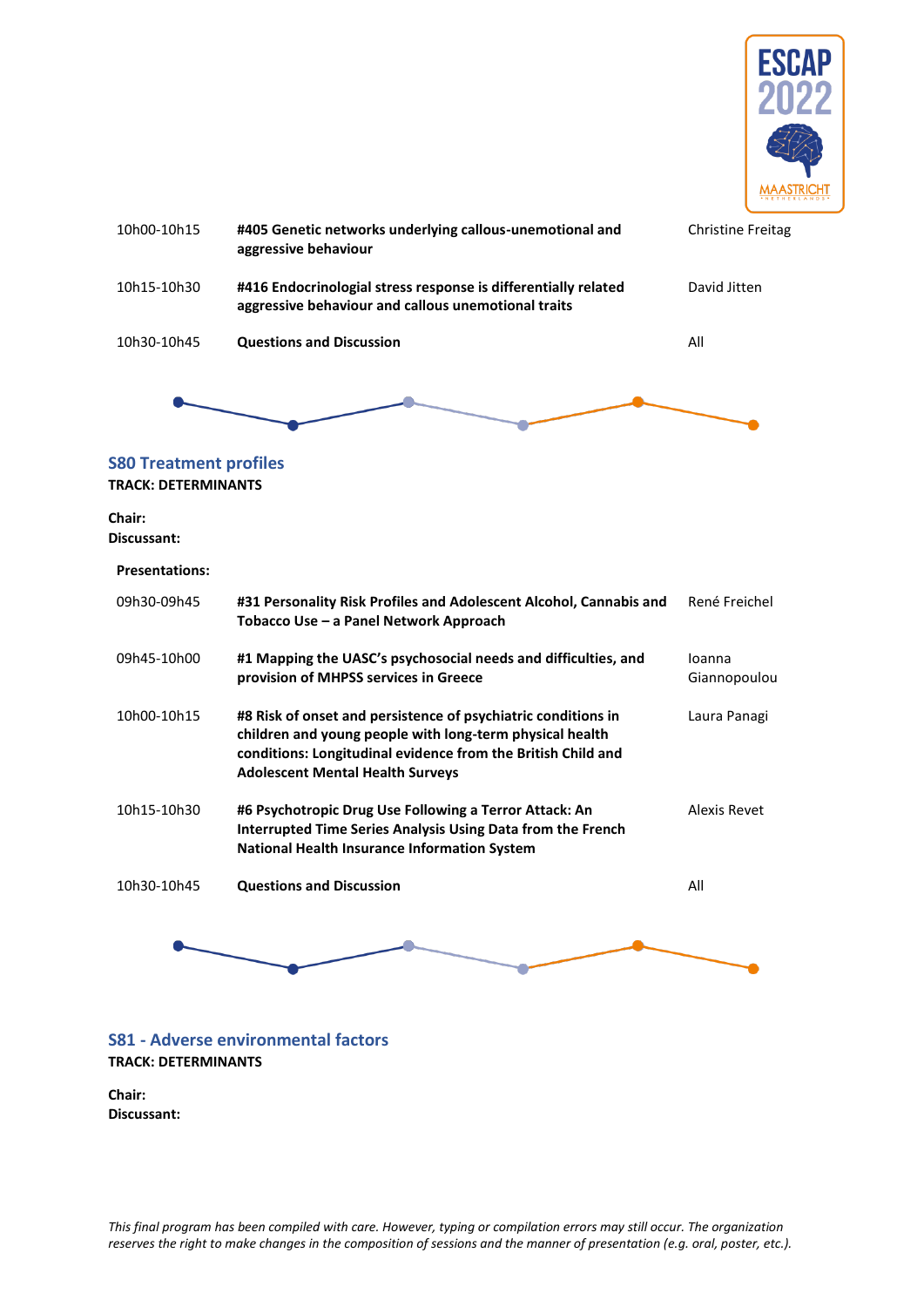

<span id="page-11-0"></span>

| 10h00-10h15                                                 | #405 Genetic networks underlying callous-unemotional and<br>aggressive behaviour                                                                                                                                                     | <b>Christine Freitag</b> |
|-------------------------------------------------------------|--------------------------------------------------------------------------------------------------------------------------------------------------------------------------------------------------------------------------------------|--------------------------|
| 10h15-10h30                                                 | #416 Endocrinologial stress response is differentially related<br>aggressive behaviour and callous unemotional traits                                                                                                                | David Jitten             |
| 10h30-10h45                                                 | <b>Questions and Discussion</b>                                                                                                                                                                                                      | All                      |
|                                                             |                                                                                                                                                                                                                                      |                          |
| <b>S80 Treatment profiles</b><br><b>TRACK: DETERMINANTS</b> |                                                                                                                                                                                                                                      |                          |
| <b>Chair:</b><br>Discussant:                                |                                                                                                                                                                                                                                      |                          |
| <b>Presentations:</b>                                       |                                                                                                                                                                                                                                      |                          |
| 09h30-09h45                                                 | #31 Personality Risk Profiles and Adolescent Alcohol, Cannabis and<br>Tobacco Use - a Panel Network Approach                                                                                                                         | René Freichel            |
| 09h45-10h00                                                 | #1 Mapping the UASC's psychosocial needs and difficulties, and<br>provision of MHPSS services in Greece                                                                                                                              | loanna<br>Giannopoulou   |
| 10h00-10h15                                                 | #8 Risk of onset and persistence of psychiatric conditions in<br>children and young people with long-term physical health<br>conditions: Longitudinal evidence from the British Child and<br><b>Adolescent Mental Health Surveys</b> | Laura Panagi             |
| 10h15-10h30                                                 | #6 Psychotropic Drug Use Following a Terror Attack: An<br>Interrupted Time Series Analysis Using Data from the French<br>National Health Insurance Information System                                                                | <b>Alexis Revet</b>      |
| 10h30-10h45                                                 | <b>Questions and Discussion</b>                                                                                                                                                                                                      | All                      |
|                                                             |                                                                                                                                                                                                                                      |                          |



### <span id="page-11-1"></span>**S81 - Adverse environmental factors TRACK: DETERMINANTS**

#### **Chair: Discussant:**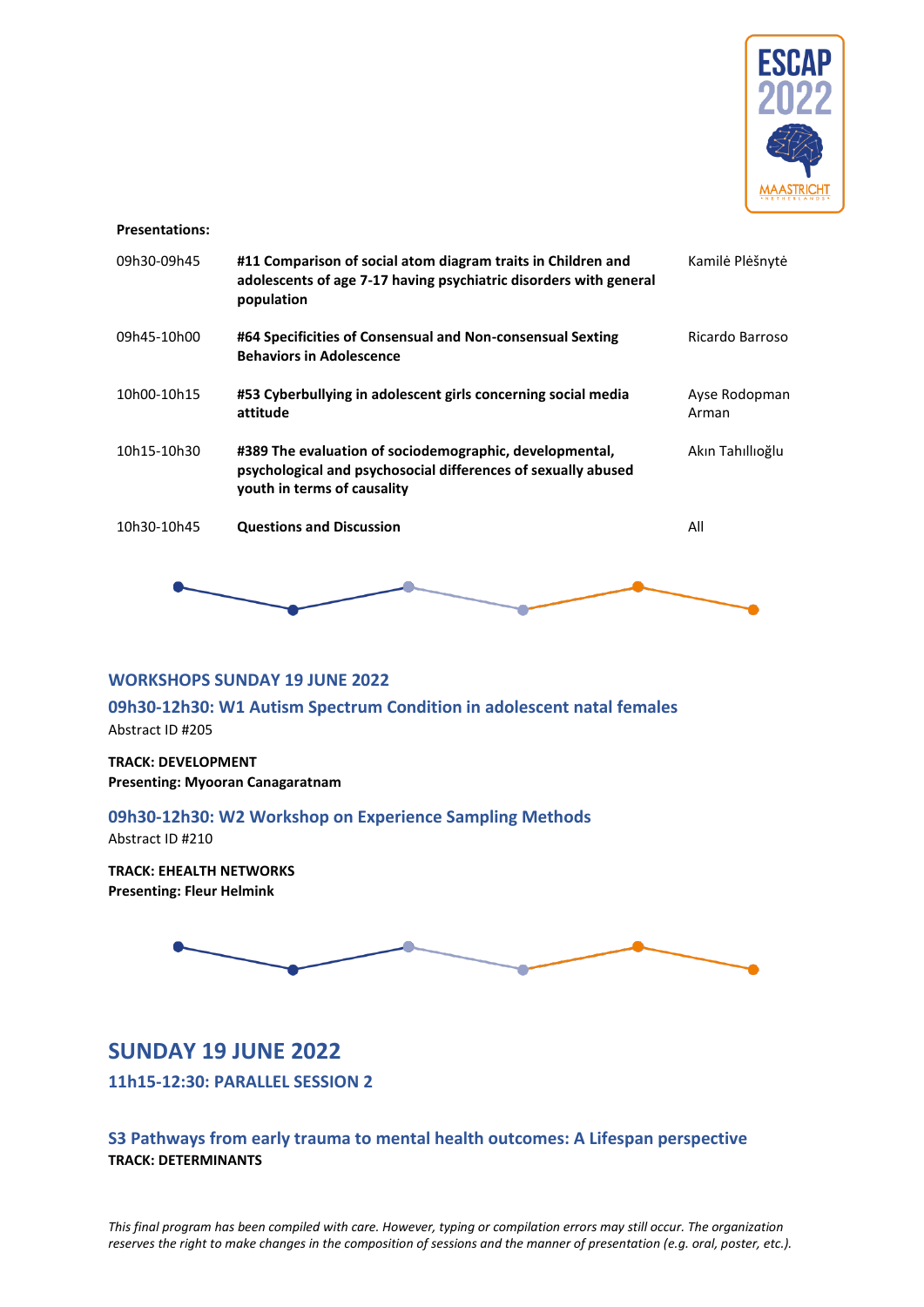

#### **Presentations:**

| 09h30-09h45 | #11 Comparison of social atom diagram traits in Children and<br>adolescents of age 7-17 having psychiatric disorders with general<br>population         | Kamilė Plėšnytė        |
|-------------|---------------------------------------------------------------------------------------------------------------------------------------------------------|------------------------|
| 09h45-10h00 | #64 Specificities of Consensual and Non-consensual Sexting<br><b>Behaviors in Adolescence</b>                                                           | Ricardo Barroso        |
| 10h00-10h15 | #53 Cyberbullying in adolescent girls concerning social media<br>attitude                                                                               | Ayse Rodopman<br>Arman |
| 10h15-10h30 | #389 The evaluation of sociodemographic, developmental,<br>psychological and psychosocial differences of sexually abused<br>youth in terms of causality | Akın Tahıllıoğlu       |
| 10h30-10h45 | <b>Questions and Discussion</b>                                                                                                                         | All                    |
|             |                                                                                                                                                         |                        |

#### <span id="page-12-0"></span>**WORKSHOPS SUNDAY 19 JUNE 2022**

<span id="page-12-1"></span>**09h30-12h30: W1 Autism Spectrum Condition in adolescent natal females**  Abstract ID #205

**TRACK: DEVELOPMENT Presenting: Myooran Canagaratnam**

### <span id="page-12-2"></span>**09h30-12h30: W2 Workshop on Experience Sampling Methods**

Abstract ID #210

**TRACK: EHEALTH NETWORKS Presenting: Fleur Helmink**



# <span id="page-12-3"></span>**SUNDAY 19 JUNE 2022**

<span id="page-12-4"></span>**11h15-12:30: PARALLEL SESSION 2**

### <span id="page-12-5"></span>**S3 Pathways from early trauma to mental health outcomes: A Lifespan perspective TRACK: DETERMINANTS**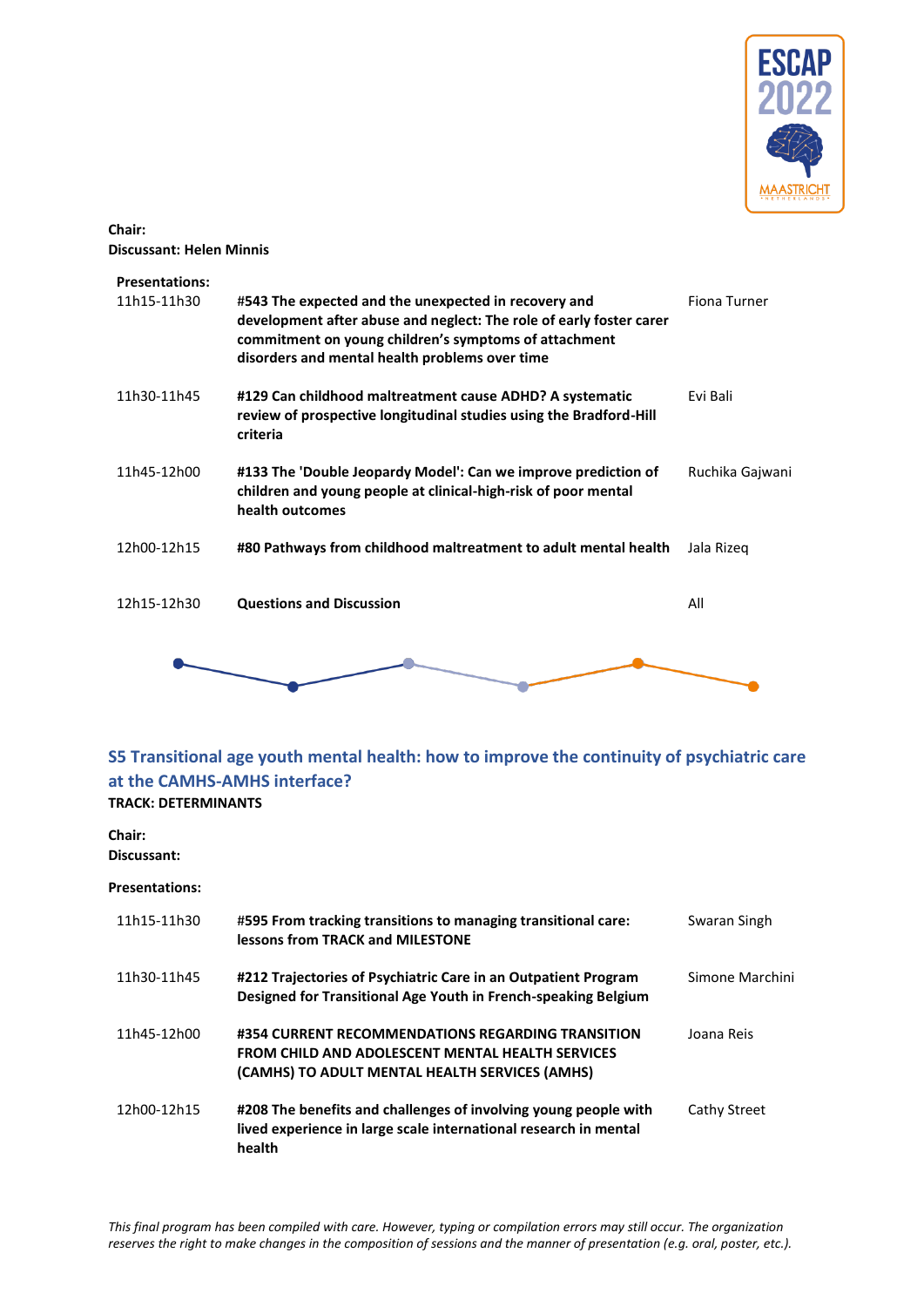

### **Chair: Discussant: Helen Minnis**

| <b>Presentations:</b><br>11h15-11h30 | #543 The expected and the unexpected in recovery and                                                                                                                           | Fiona Turner    |
|--------------------------------------|--------------------------------------------------------------------------------------------------------------------------------------------------------------------------------|-----------------|
|                                      | development after abuse and neglect: The role of early foster carer<br>commitment on young children's symptoms of attachment<br>disorders and mental health problems over time |                 |
| 11h30-11h45                          | #129 Can childhood maltreatment cause ADHD? A systematic<br>review of prospective longitudinal studies using the Bradford-Hill<br>criteria                                     | Fvi Bali        |
| 11h45-12h00                          | #133 The 'Double Jeopardy Model': Can we improve prediction of<br>children and young people at clinical-high-risk of poor mental<br>health outcomes                            | Ruchika Gajwani |
| 12h00-12h15                          | #80 Pathways from childhood maltreatment to adult mental health                                                                                                                | Jala Rizeg      |
| 12h15-12h30                          | <b>Questions and Discussion</b>                                                                                                                                                | All             |
|                                      |                                                                                                                                                                                |                 |

### <span id="page-13-0"></span>**S5 Transitional age youth mental health: how to improve the continuity of psychiatric care at the CAMHS-AMHS interface? TRACK: DETERMINANTS**

# **Chair:**

**Discussant:**

| 11h15-11h30 | #595 From tracking transitions to managing transitional care:<br>lessons from TRACK and MILESTONE                                                              | Swaran Singh    |
|-------------|----------------------------------------------------------------------------------------------------------------------------------------------------------------|-----------------|
| 11h30-11h45 | #212 Trajectories of Psychiatric Care in an Outpatient Program<br>Designed for Transitional Age Youth in French-speaking Belgium                               | Simone Marchini |
| 11h45-12h00 | #354 CURRENT RECOMMENDATIONS REGARDING TRANSITION<br><b>FROM CHILD AND ADOLESCENT MENTAL HEALTH SERVICES</b><br>(CAMHS) TO ADULT MENTAL HEALTH SERVICES (AMHS) | Joana Reis      |
| 12h00-12h15 | #208 The benefits and challenges of involving young people with<br>lived experience in large scale international research in mental<br>health                  | Cathy Street    |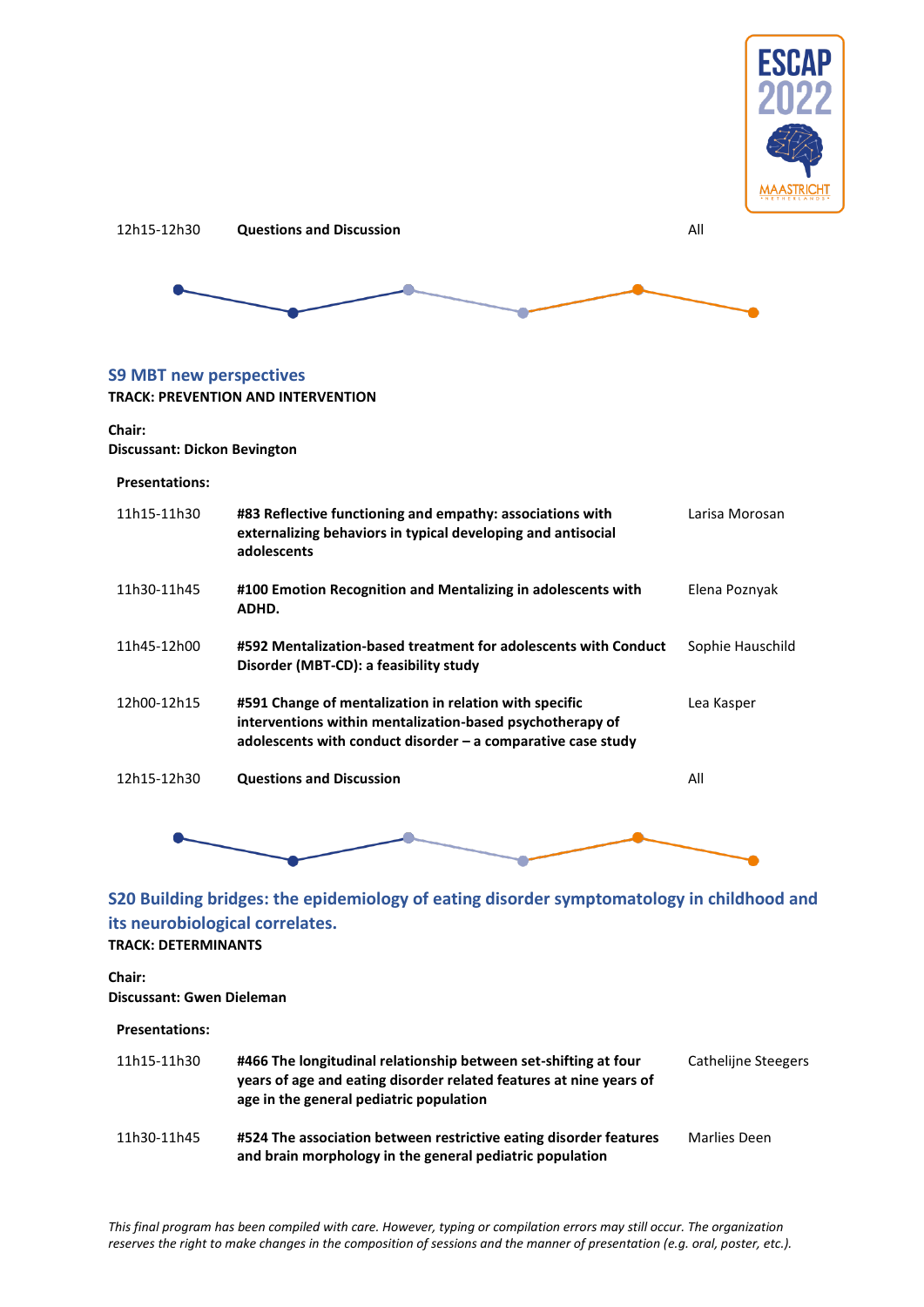



### <span id="page-14-0"></span>**S9 MBT new perspectives**

#### **TRACK: PREVENTION AND INTERVENTION**

#### **Chair:**

#### **Discussant: Dickon Bevington**

#### **Presentations:**

| 11h15-11h30 | #83 Reflective functioning and empathy: associations with<br>externalizing behaviors in typical developing and antisocial<br>adolescents                                              | Larisa Morosan   |
|-------------|---------------------------------------------------------------------------------------------------------------------------------------------------------------------------------------|------------------|
| 11h30-11h45 | #100 Emotion Recognition and Mentalizing in adolescents with<br>ADHD.                                                                                                                 | Elena Poznyak    |
| 11h45-12h00 | #592 Mentalization-based treatment for adolescents with Conduct<br>Disorder (MBT-CD): a feasibility study                                                                             | Sophie Hauschild |
| 12h00-12h15 | #591 Change of mentalization in relation with specific<br>interventions within mentalization-based psychotherapy of<br>adolescents with conduct disorder $-$ a comparative case study | Lea Kasper       |
| 12h15-12h30 | <b>Questions and Discussion</b>                                                                                                                                                       | All              |
|             |                                                                                                                                                                                       |                  |



# <span id="page-14-1"></span>**its neurobiological correlates. TRACK: DETERMINANTS**

### **Chair: Discussant: Gwen Dieleman**

#### **Presentations:**

| 11h15-11h30 | #466 The longitudinal relationship between set-shifting at four<br>years of age and eating disorder related features at nine years of<br>age in the general pediatric population | Cathelijne Steegers |
|-------------|----------------------------------------------------------------------------------------------------------------------------------------------------------------------------------|---------------------|
| 11h30-11h45 | #524 The association between restrictive eating disorder features<br>and brain morphology in the general pediatric population                                                    | Marlies Deen        |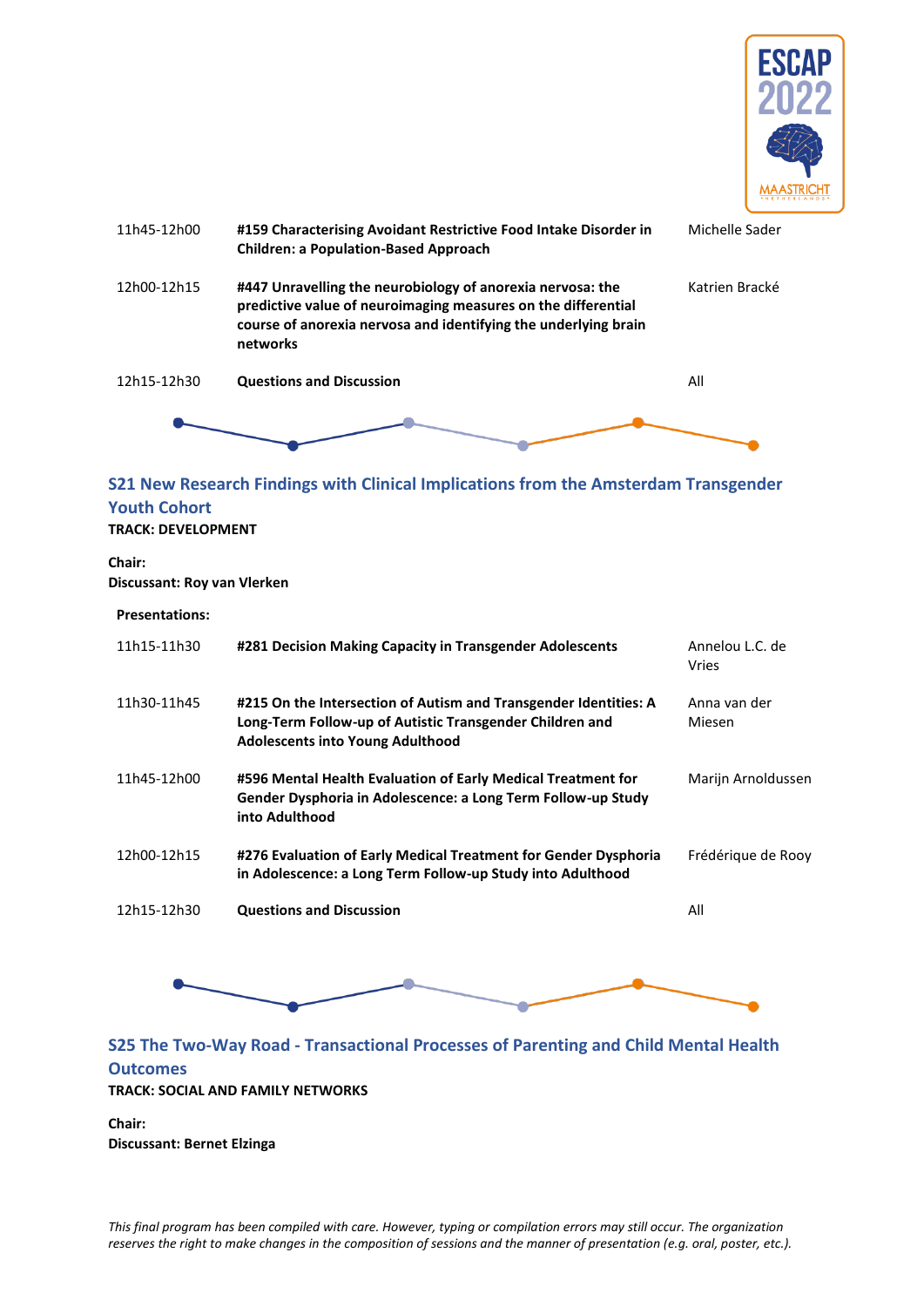



### <span id="page-15-0"></span>**S21 New Research Findings with Clinical Implications from the Amsterdam Transgender Youth Cohort**

#### **TRACK: DEVELOPMENT**

**Chair: Discussant: Roy van Vlerken**

| <b>Presentations:</b> |                                                                                                                                                                         |                          |
|-----------------------|-------------------------------------------------------------------------------------------------------------------------------------------------------------------------|--------------------------|
| 11h15-11h30           | #281 Decision Making Capacity in Transgender Adolescents                                                                                                                | Annelou L.C. de<br>Vries |
| 11h30-11h45           | #215 On the Intersection of Autism and Transgender Identities: A<br>Long-Term Follow-up of Autistic Transgender Children and<br><b>Adolescents into Young Adulthood</b> | Anna van der<br>Miesen   |
| 11h45-12h00           | #596 Mental Health Evaluation of Early Medical Treatment for<br>Gender Dysphoria in Adolescence: a Long Term Follow-up Study<br>into Adulthood                          | Marijn Arnoldussen       |
| 12h00-12h15           | #276 Evaluation of Early Medical Treatment for Gender Dysphoria<br>in Adolescence: a Long Term Follow-up Study into Adulthood                                           | Frédérique de Rooy       |
| 12h15-12h30           | <b>Questions and Discussion</b>                                                                                                                                         | All                      |



# <span id="page-15-1"></span>**S25 The Two-Way Road - Transactional Processes of Parenting and Child Mental Health Outcomes TRACK: SOCIAL AND FAMILY NETWORKS**

**Chair: Discussant: Bernet Elzinga**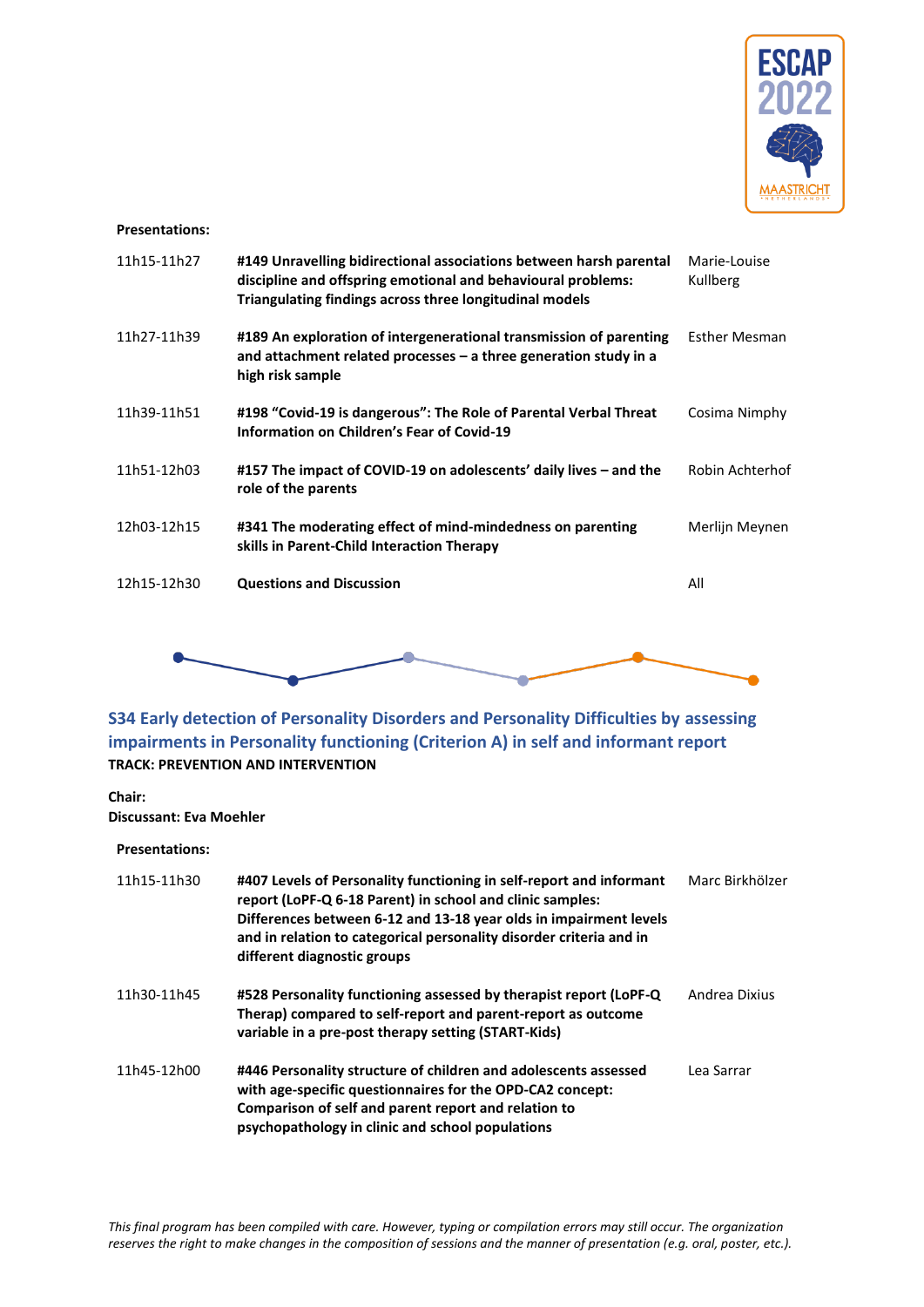

#### **Presentations:**

| 11h15-11h27 | #149 Unravelling bidirectional associations between harsh parental<br>discipline and offspring emotional and behavioural problems:<br>Triangulating findings across three longitudinal models | Marie-Louise<br>Kullberg |
|-------------|-----------------------------------------------------------------------------------------------------------------------------------------------------------------------------------------------|--------------------------|
| 11h27-11h39 | #189 An exploration of intergenerational transmission of parenting<br>and attachment related processes $-$ a three generation study in a<br>high risk sample                                  | <b>Esther Mesman</b>     |
| 11h39-11h51 | #198 "Covid-19 is dangerous": The Role of Parental Verbal Threat<br>Information on Children's Fear of Covid-19                                                                                | Cosima Nimphy            |
| 11h51-12h03 | #157 The impact of COVID-19 on adolescents' daily lives – and the<br>role of the parents                                                                                                      | Robin Achterhof          |
| 12h03-12h15 | #341 The moderating effect of mind-mindedness on parenting<br>skills in Parent-Child Interaction Therapy                                                                                      | Merlijn Meynen           |
| 12h15-12h30 | <b>Questions and Discussion</b>                                                                                                                                                               | All                      |
|             |                                                                                                                                                                                               |                          |
|             |                                                                                                                                                                                               |                          |

<span id="page-16-0"></span>**S34 Early detection of Personality Disorders and Personality Difficulties by assessing impairments in Personality functioning (Criterion A) in self and informant report TRACK: PREVENTION AND INTERVENTION**

**Chair: Discussant: Eva Moehler**

| 11h15-11h30 | #407 Levels of Personality functioning in self-report and informant<br>report (LoPF-Q 6-18 Parent) in school and clinic samples:<br>Differences between 6-12 and 13-18 year olds in impairment levels<br>and in relation to categorical personality disorder criteria and in<br>different diagnostic groups | Marc Birkhölzer |
|-------------|-------------------------------------------------------------------------------------------------------------------------------------------------------------------------------------------------------------------------------------------------------------------------------------------------------------|-----------------|
| 11h30-11h45 | #528 Personality functioning assessed by therapist report (LoPF-Q)<br>Therap) compared to self-report and parent-report as outcome<br>variable in a pre-post therapy setting (START-Kids)                                                                                                                   | Andrea Dixius   |
| 11h45-12h00 | #446 Personality structure of children and adolescents assessed<br>with age-specific questionnaires for the OPD-CA2 concept:<br>Comparison of self and parent report and relation to<br>psychopathology in clinic and school populations                                                                    | Lea Sarrar      |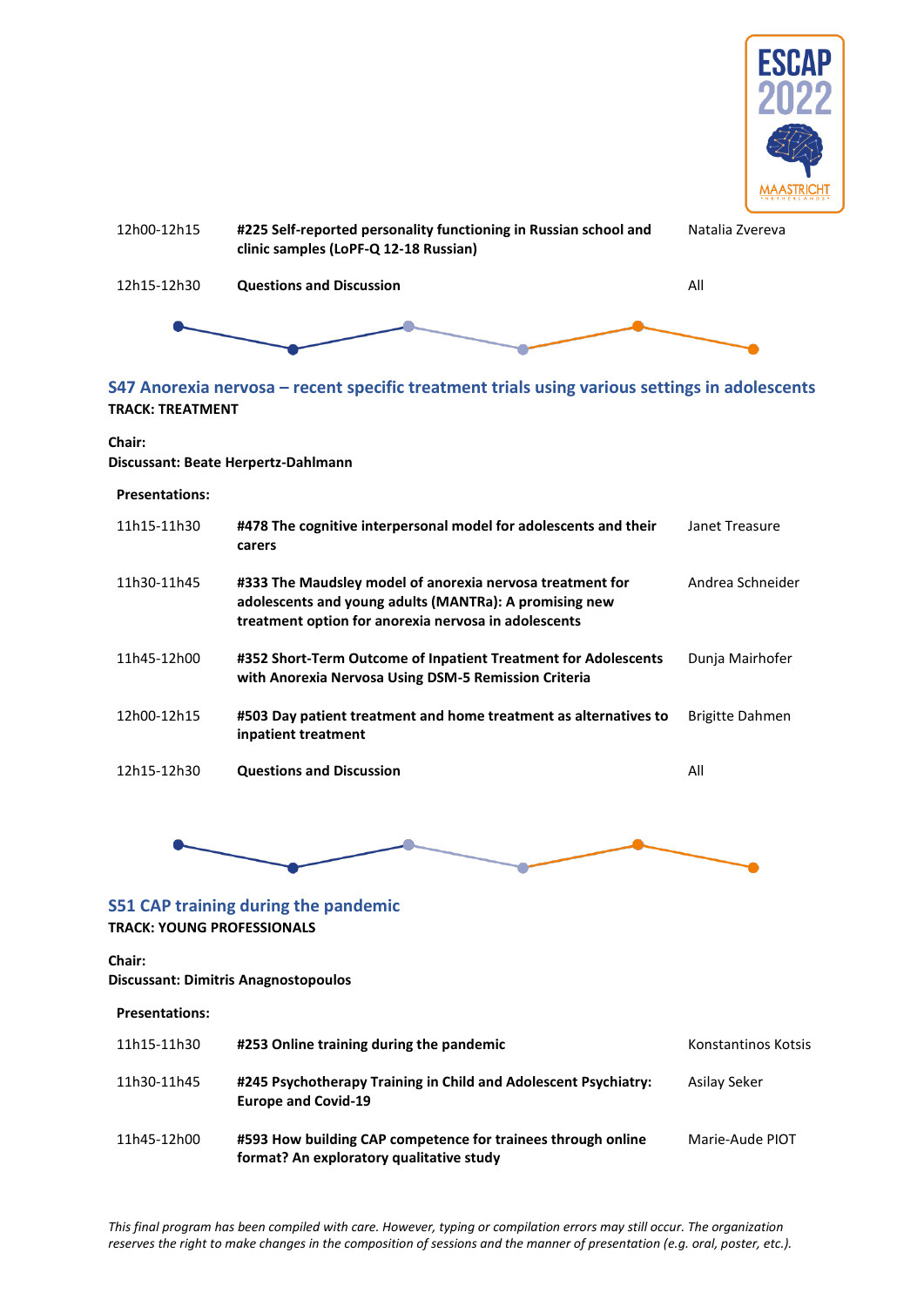



### <span id="page-17-0"></span>**S47 Anorexia nervosa – recent specific treatment trials using various settings in adolescents TRACK: TREATMENT**

**Chair:** 

**Discussant: Beate Herpertz-Dahlmann**

#### **Presentations:**

| 11h15-11h30 | #478 The cognitive interpersonal model for adolescents and their<br>carers                                                                                                  | Janet Treasure   |
|-------------|-----------------------------------------------------------------------------------------------------------------------------------------------------------------------------|------------------|
| 11h30-11h45 | #333 The Maudsley model of anorexia nervosa treatment for<br>adolescents and young adults (MANTRa): A promising new<br>treatment option for anorexia nervosa in adolescents | Andrea Schneider |
| 11h45-12h00 | #352 Short-Term Outcome of Inpatient Treatment for Adolescents<br>with Anorexia Nervosa Using DSM-5 Remission Criteria                                                      | Dunja Mairhofer  |
| 12h00-12h15 | #503 Day patient treatment and home treatment as alternatives to<br>inpatient treatment                                                                                     | Brigitte Dahmen  |
| 12h15-12h30 | <b>Questions and Discussion</b>                                                                                                                                             | All              |



#### <span id="page-17-1"></span>**S51 CAP training during the pandemic**

**TRACK: YOUNG PROFESSIONALS**

**Chair:** 

**Discussant: Dimitris Anagnostopoulos**

| <b>Presentations:</b> |                                                                                                          |                     |
|-----------------------|----------------------------------------------------------------------------------------------------------|---------------------|
| 11h15-11h30           | #253 Online training during the pandemic                                                                 | Konstantinos Kotsis |
| 11h30-11h45           | #245 Psychotherapy Training in Child and Adolescent Psychiatry:<br><b>Europe and Covid-19</b>            | Asilay Seker        |
| 11h45-12h00           | #593 How building CAP competence for trainees through online<br>format? An exploratory qualitative study | Marie-Aude PIOT     |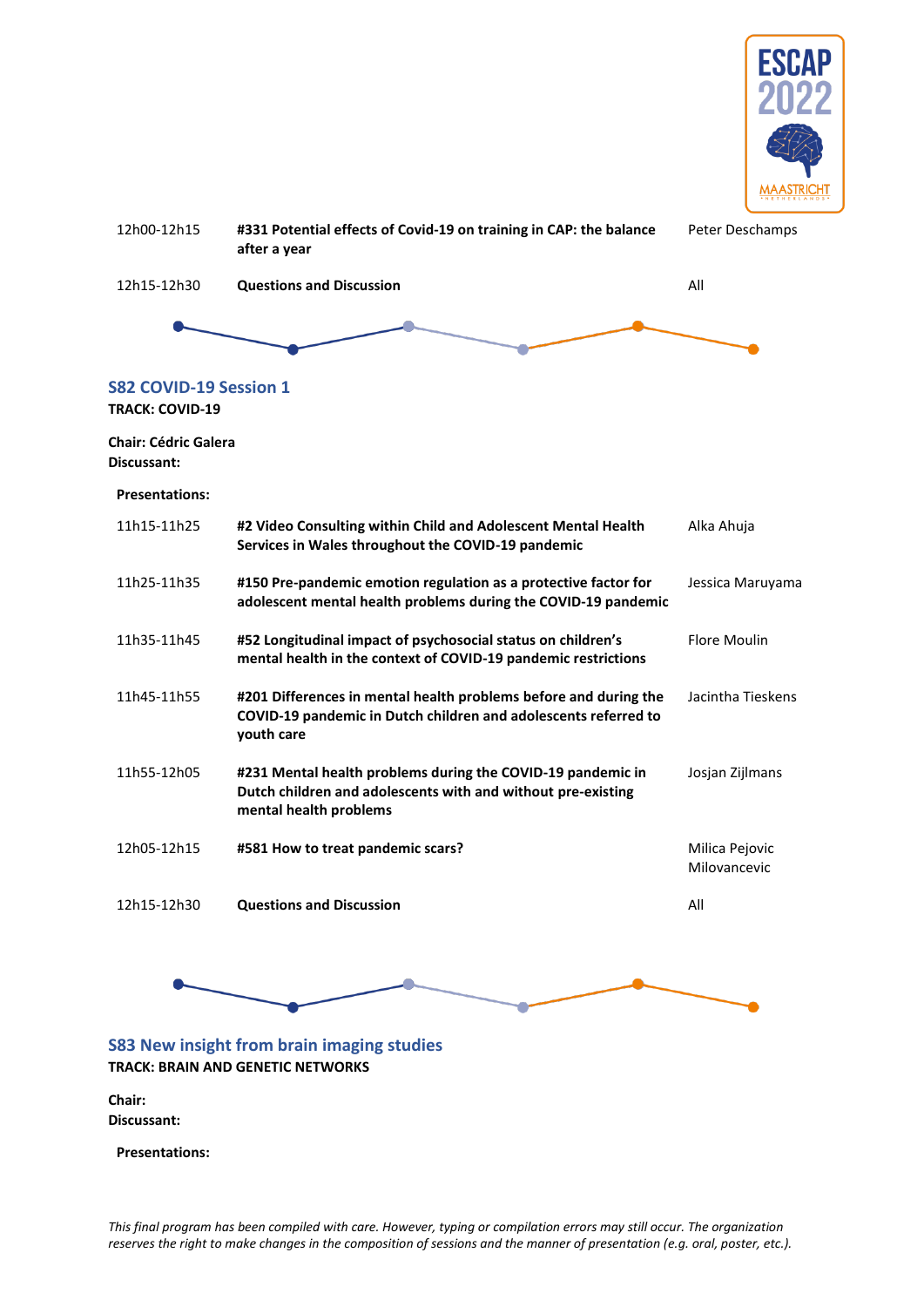

<span id="page-18-0"></span>

| <b>Questions and Discussion</b><br>All<br>12h15-12h30<br>S82 COVID-19 Session 1<br><b>TRACK: COVID-19</b><br><b>Chair: Cédric Galera</b><br>Discussant:<br><b>Presentations:</b><br>11h15-11h25<br>#2 Video Consulting within Child and Adolescent Mental Health<br>Alka Ahuja<br>Services in Wales throughout the COVID-19 pandemic<br>11h25-11h35<br>#150 Pre-pandemic emotion regulation as a protective factor for<br>Jessica Maruyama<br>adolescent mental health problems during the COVID-19 pandemic<br><b>Flore Moulin</b><br>11h35-11h45<br>#52 Longitudinal impact of psychosocial status on children's<br>mental health in the context of COVID-19 pandemic restrictions<br>Jacintha Tieskens<br>11h45-11h55<br>#201 Differences in mental health problems before and during the<br>COVID-19 pandemic in Dutch children and adolescents referred to<br>youth care<br>11h55-12h05<br>#231 Mental health problems during the COVID-19 pandemic in<br>Josjan Zijlmans<br>Dutch children and adolescents with and without pre-existing<br>mental health problems<br>12h05-12h15<br>#581 How to treat pandemic scars?<br>Milica Pejovic<br>Milovancevic<br>All<br>12h15-12h30<br><b>Questions and Discussion</b> | 12h00-12h15 | #331 Potential effects of Covid-19 on training in CAP: the balance<br>after a year | Peter Deschamps |
|-------------------------------------------------------------------------------------------------------------------------------------------------------------------------------------------------------------------------------------------------------------------------------------------------------------------------------------------------------------------------------------------------------------------------------------------------------------------------------------------------------------------------------------------------------------------------------------------------------------------------------------------------------------------------------------------------------------------------------------------------------------------------------------------------------------------------------------------------------------------------------------------------------------------------------------------------------------------------------------------------------------------------------------------------------------------------------------------------------------------------------------------------------------------------------------------------------------------------|-------------|------------------------------------------------------------------------------------|-----------------|
|                                                                                                                                                                                                                                                                                                                                                                                                                                                                                                                                                                                                                                                                                                                                                                                                                                                                                                                                                                                                                                                                                                                                                                                                                         |             |                                                                                    |                 |
|                                                                                                                                                                                                                                                                                                                                                                                                                                                                                                                                                                                                                                                                                                                                                                                                                                                                                                                                                                                                                                                                                                                                                                                                                         |             |                                                                                    |                 |
|                                                                                                                                                                                                                                                                                                                                                                                                                                                                                                                                                                                                                                                                                                                                                                                                                                                                                                                                                                                                                                                                                                                                                                                                                         |             |                                                                                    |                 |
|                                                                                                                                                                                                                                                                                                                                                                                                                                                                                                                                                                                                                                                                                                                                                                                                                                                                                                                                                                                                                                                                                                                                                                                                                         |             |                                                                                    |                 |
|                                                                                                                                                                                                                                                                                                                                                                                                                                                                                                                                                                                                                                                                                                                                                                                                                                                                                                                                                                                                                                                                                                                                                                                                                         |             |                                                                                    |                 |
|                                                                                                                                                                                                                                                                                                                                                                                                                                                                                                                                                                                                                                                                                                                                                                                                                                                                                                                                                                                                                                                                                                                                                                                                                         |             |                                                                                    |                 |
|                                                                                                                                                                                                                                                                                                                                                                                                                                                                                                                                                                                                                                                                                                                                                                                                                                                                                                                                                                                                                                                                                                                                                                                                                         |             |                                                                                    |                 |
|                                                                                                                                                                                                                                                                                                                                                                                                                                                                                                                                                                                                                                                                                                                                                                                                                                                                                                                                                                                                                                                                                                                                                                                                                         |             |                                                                                    |                 |
|                                                                                                                                                                                                                                                                                                                                                                                                                                                                                                                                                                                                                                                                                                                                                                                                                                                                                                                                                                                                                                                                                                                                                                                                                         |             |                                                                                    |                 |
|                                                                                                                                                                                                                                                                                                                                                                                                                                                                                                                                                                                                                                                                                                                                                                                                                                                                                                                                                                                                                                                                                                                                                                                                                         |             |                                                                                    |                 |
|                                                                                                                                                                                                                                                                                                                                                                                                                                                                                                                                                                                                                                                                                                                                                                                                                                                                                                                                                                                                                                                                                                                                                                                                                         |             |                                                                                    |                 |
|                                                                                                                                                                                                                                                                                                                                                                                                                                                                                                                                                                                                                                                                                                                                                                                                                                                                                                                                                                                                                                                                                                                                                                                                                         |             |                                                                                    |                 |
|                                                                                                                                                                                                                                                                                                                                                                                                                                                                                                                                                                                                                                                                                                                                                                                                                                                                                                                                                                                                                                                                                                                                                                                                                         |             |                                                                                    |                 |



### <span id="page-18-1"></span>**S83 New insight from brain imaging studies TRACK: BRAIN AND GENETIC NETWORKS**

**Chair: Discussant:**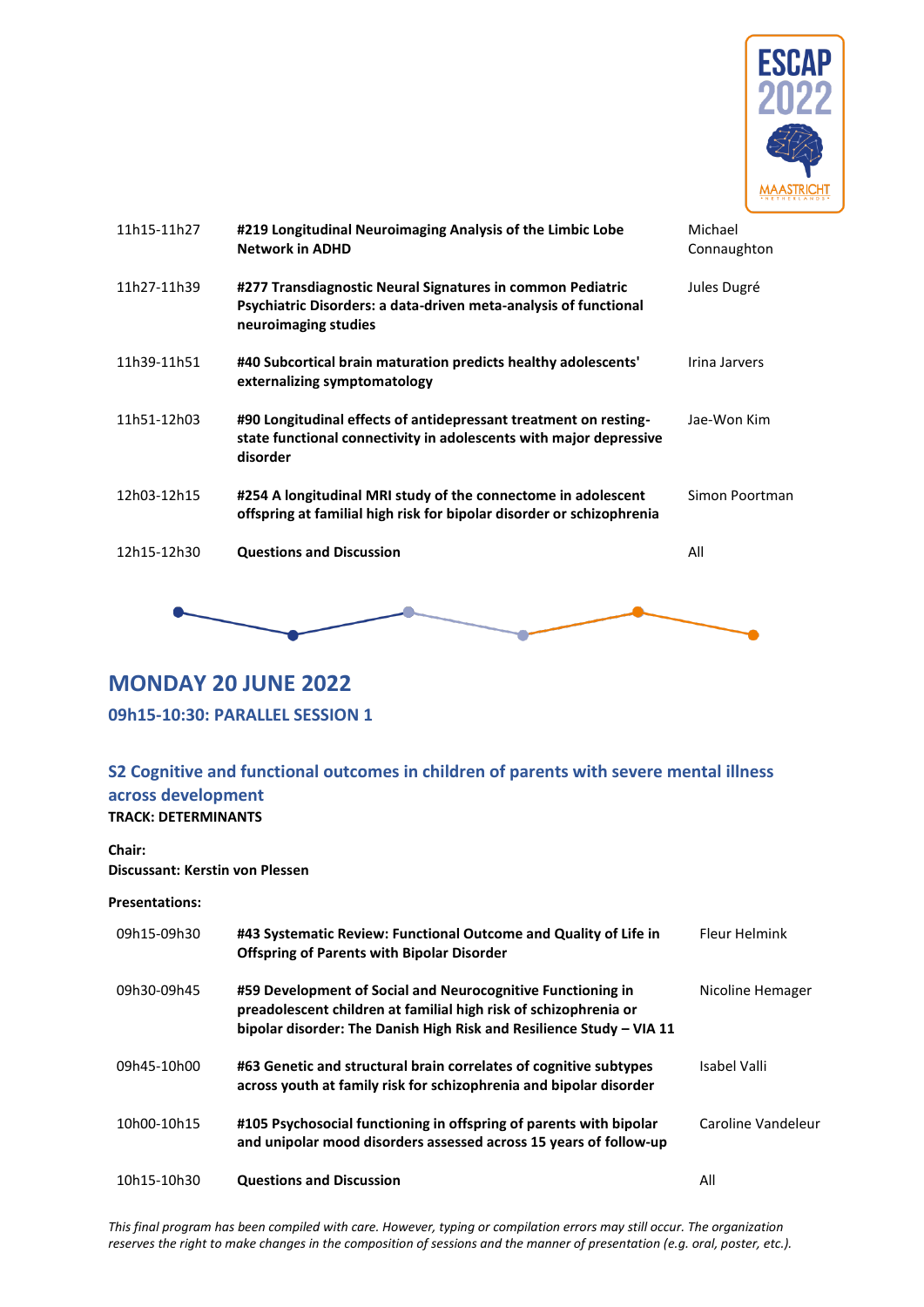

| 11h15-11h27 | #219 Longitudinal Neuroimaging Analysis of the Limbic Lobe<br><b>Network in ADHD</b>                                                                   | Michael<br>Connaughton |
|-------------|--------------------------------------------------------------------------------------------------------------------------------------------------------|------------------------|
| 11h27-11h39 | #277 Transdiagnostic Neural Signatures in common Pediatric<br>Psychiatric Disorders: a data-driven meta-analysis of functional<br>neuroimaging studies | Jules Dugré            |
| 11h39-11h51 | #40 Subcortical brain maturation predicts healthy adolescents'<br>externalizing symptomatology                                                         | Irina Jarvers          |
| 11h51-12h03 | #90 Longitudinal effects of antidepressant treatment on resting-<br>state functional connectivity in adolescents with major depressive<br>disorder     | Jae-Won Kim            |
| 12h03-12h15 | #254 A longitudinal MRI study of the connectome in adolescent<br>offspring at familial high risk for bipolar disorder or schizophrenia                 | Simon Poortman         |
| 12h15-12h30 | <b>Questions and Discussion</b>                                                                                                                        | All                    |
|             |                                                                                                                                                        |                        |

# <span id="page-19-0"></span>**MONDAY 20 JUNE 2022**

### <span id="page-19-1"></span>**09h15-10:30: PARALLEL SESSION 1**

### <span id="page-19-2"></span>**S2 Cognitive and functional outcomes in children of parents with severe mental illness across development TRACK: DETERMINANTS**

# **Chair:**

**Discussant: Kerstin von Plessen**

| 09h15-09h30 | #43 Systematic Review: Functional Outcome and Quality of Life in<br><b>Offspring of Parents with Bipolar Disorder</b>                                                                                   | Fleur Helmink      |
|-------------|---------------------------------------------------------------------------------------------------------------------------------------------------------------------------------------------------------|--------------------|
| 09h30-09h45 | #59 Development of Social and Neurocognitive Functioning in<br>preadolescent children at familial high risk of schizophrenia or<br>bipolar disorder: The Danish High Risk and Resilience Study - VIA 11 | Nicoline Hemager   |
| 09h45-10h00 | #63 Genetic and structural brain correlates of cognitive subtypes<br>across youth at family risk for schizophrenia and bipolar disorder                                                                 | Isabel Valli       |
| 10h00-10h15 | #105 Psychosocial functioning in offspring of parents with bipolar<br>and unipolar mood disorders assessed across 15 years of follow-up                                                                 | Caroline Vandeleur |
| 10h15-10h30 | <b>Questions and Discussion</b>                                                                                                                                                                         | All                |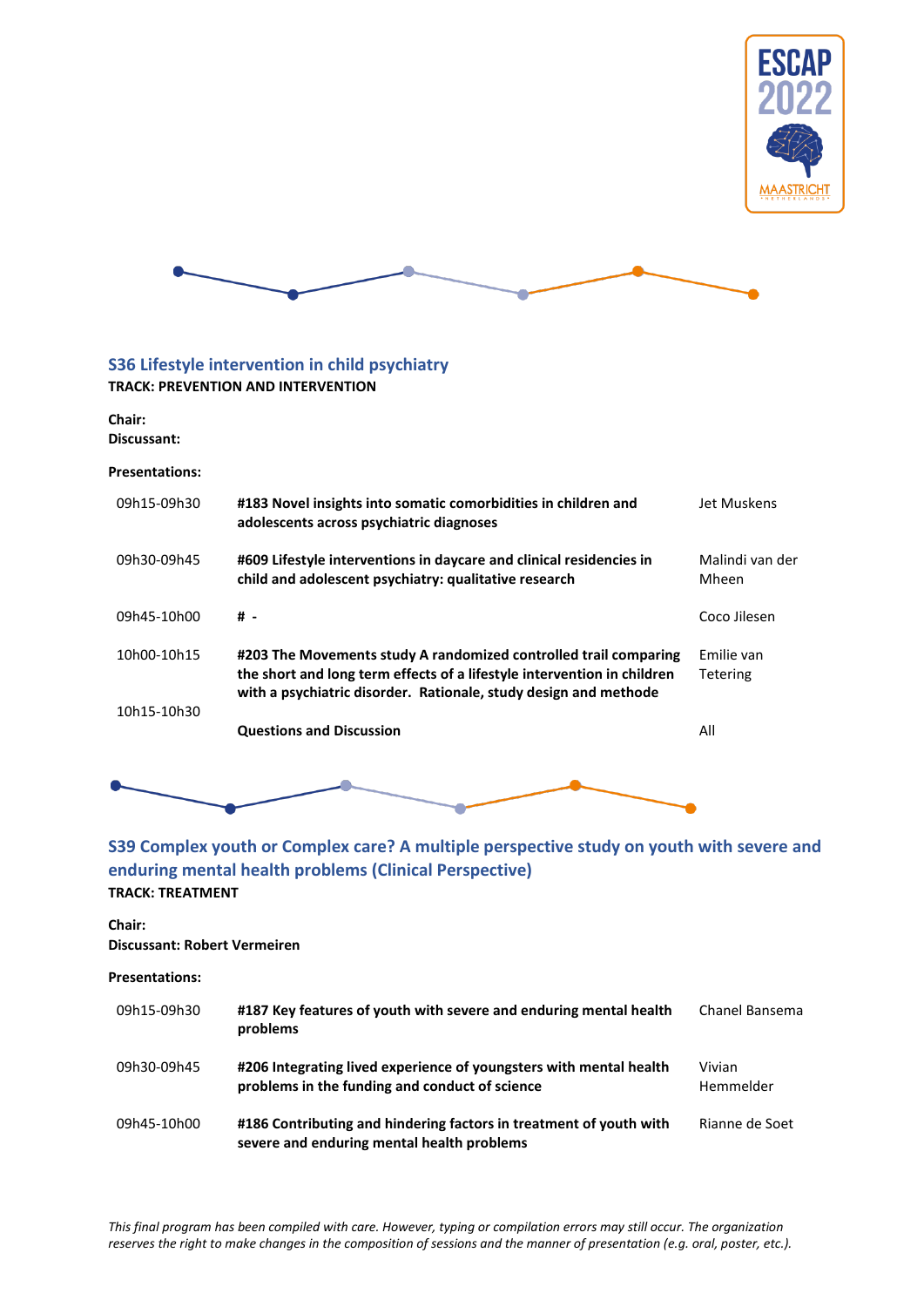



# <span id="page-20-0"></span>**S36 Lifestyle intervention in child psychiatry**

#### **TRACK: PREVENTION AND INTERVENTION**

**Chair: Discussant:**

#### **Presentations:**

| 09h15-09h30 | #183 Novel insights into somatic comorbidities in children and<br>adolescents across psychiatric diagnoses                                                                                                      | Jet Muskens                   |
|-------------|-----------------------------------------------------------------------------------------------------------------------------------------------------------------------------------------------------------------|-------------------------------|
| 09h30-09h45 | #609 Lifestyle interventions in daycare and clinical residencies in<br>child and adolescent psychiatry: qualitative research                                                                                    | Malindi van der<br>Mheen      |
| 09h45-10h00 | # -                                                                                                                                                                                                             | Coco Jilesen                  |
| 10h00-10h15 | #203 The Movements study A randomized controlled trail comparing<br>the short and long term effects of a lifestyle intervention in children<br>with a psychiatric disorder. Rationale, study design and methode | Emilie van<br><b>Tetering</b> |
| 10h15-10h30 | <b>Questions and Discussion</b>                                                                                                                                                                                 | All                           |
|             |                                                                                                                                                                                                                 |                               |



### <span id="page-20-1"></span>**S39 Complex youth or Complex care? A multiple perspective study on youth with severe and enduring mental health problems (Clinical Perspective) TRACK: TREATMENT**

### **Chair:**

#### **Discussant: Robert Vermeiren**

| <b>Presentations:</b> |                                                                                                                      |                     |
|-----------------------|----------------------------------------------------------------------------------------------------------------------|---------------------|
| 09h15-09h30           | #187 Key features of youth with severe and enduring mental health<br>problems                                        | Chanel Bansema      |
| 09h30-09h45           | #206 Integrating lived experience of youngsters with mental health<br>problems in the funding and conduct of science | Vivian<br>Hemmelder |
| 09h45-10h00           | #186 Contributing and hindering factors in treatment of youth with<br>severe and enduring mental health problems     | Rianne de Soet      |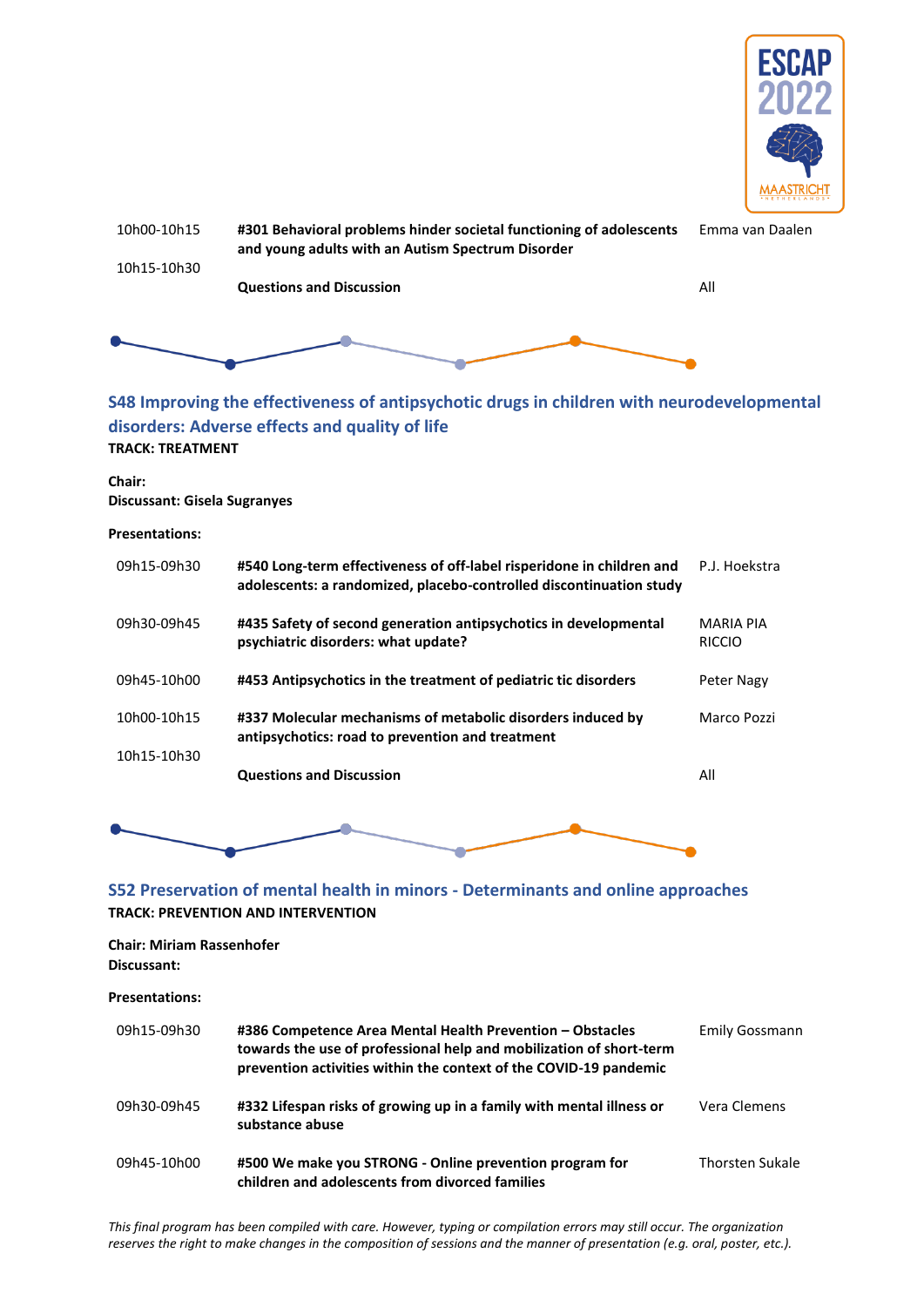



### <span id="page-21-0"></span>**S48 Improving the effectiveness of antipsychotic drugs in children with neurodevelopmental disorders: Adverse effects and quality of life TRACK: TREATMENT**

**Chair: Discussant: Gisela Sugranyes**

#### **Presentations:**

| 09h15-09h30 | #540 Long-term effectiveness of off-label risperidone in children and<br>adolescents: a randomized, placebo-controlled discontinuation study | P.J. Hoekstra                     |
|-------------|----------------------------------------------------------------------------------------------------------------------------------------------|-----------------------------------|
| 09h30-09h45 | #435 Safety of second generation antipsychotics in developmental<br>psychiatric disorders: what update?                                      | <b>MARIA PIA</b><br><b>RICCIO</b> |
| 09h45-10h00 | #453 Antipsychotics in the treatment of pediatric tic disorders                                                                              | Peter Nagy                        |
| 10h00-10h15 | #337 Molecular mechanisms of metabolic disorders induced by<br>antipsychotics: road to prevention and treatment                              | Marco Pozzi                       |
| 10h15-10h30 | <b>Questions and Discussion</b>                                                                                                              | All                               |



### <span id="page-21-1"></span>**S52 Preservation of mental health in minors - Determinants and online approaches TRACK: PREVENTION AND INTERVENTION**

### **Chair: Miriam Rassenhofer Discussant:**

**Presentations:**

| 09h15-09h30 | #386 Competence Area Mental Health Prevention - Obstacles<br>towards the use of professional help and mobilization of short-term<br>prevention activities within the context of the COVID-19 pandemic | Emily Gossmann         |
|-------------|-------------------------------------------------------------------------------------------------------------------------------------------------------------------------------------------------------|------------------------|
| 09h30-09h45 | #332 Lifespan risks of growing up in a family with mental illness or<br>substance abuse                                                                                                               | Vera Clemens           |
| 09h45-10h00 | #500 We make you STRONG - Online prevention program for<br>children and adolescents from divorced families                                                                                            | <b>Thorsten Sukale</b> |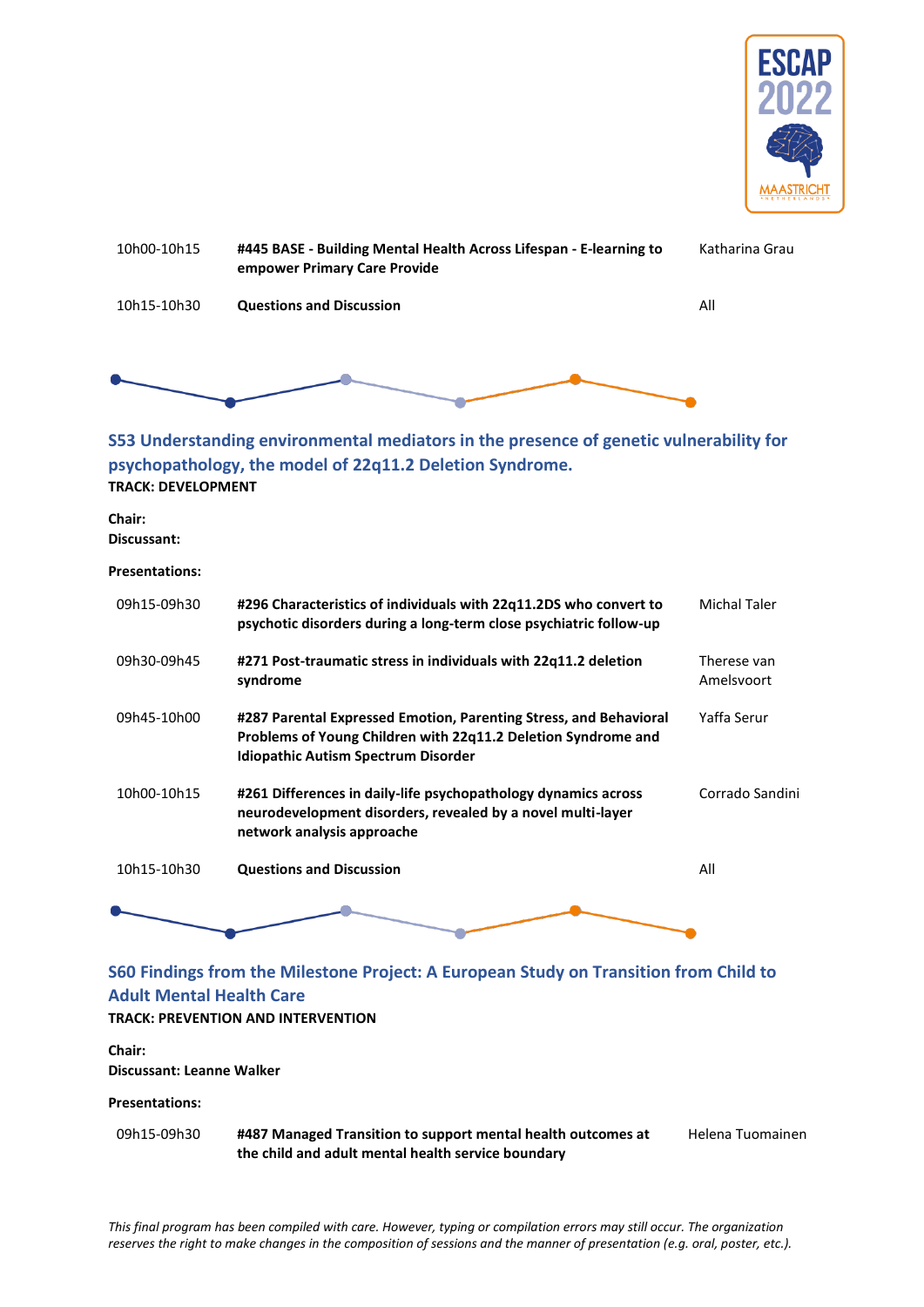



### <span id="page-22-0"></span>**S53 Understanding environmental mediators in the presence of genetic vulnerability for psychopathology, the model of 22q11.2 Deletion Syndrome. TRACK: DEVELOPMENT**

**Chair:** 

**Discussant:**

**Presentations:**

| 09h15-09h30 | #296 Characteristics of individuals with 22q11.2DS who convert to<br>psychotic disorders during a long-term close psychiatric follow-up                                          | Michal Taler              |
|-------------|----------------------------------------------------------------------------------------------------------------------------------------------------------------------------------|---------------------------|
| 09h30-09h45 | #271 Post-traumatic stress in individuals with 22q11.2 deletion<br>syndrome                                                                                                      | Therese van<br>Amelsvoort |
| 09h45-10h00 | #287 Parental Expressed Emotion, Parenting Stress, and Behavioral<br>Problems of Young Children with 22q11.2 Deletion Syndrome and<br><b>Idiopathic Autism Spectrum Disorder</b> | Yaffa Serur               |
| 10h00-10h15 | #261 Differences in daily-life psychopathology dynamics across<br>neurodevelopment disorders, revealed by a novel multi-layer<br>network analysis approache                      | Corrado Sandini           |
| 10h15-10h30 | <b>Questions and Discussion</b>                                                                                                                                                  | All                       |
|             |                                                                                                                                                                                  |                           |

# <span id="page-22-1"></span>**S60 Findings from the Milestone Project: A European Study on Transition from Child to Adult Mental Health Care**

### **TRACK: PREVENTION AND INTERVENTION**

**Chair: Discussant: Leanne Walker**

#### **Presentations:**

09h15-09h30 **#487 Managed Transition to support mental health outcomes at the child and adult mental health service boundary**

Helena Tuomainen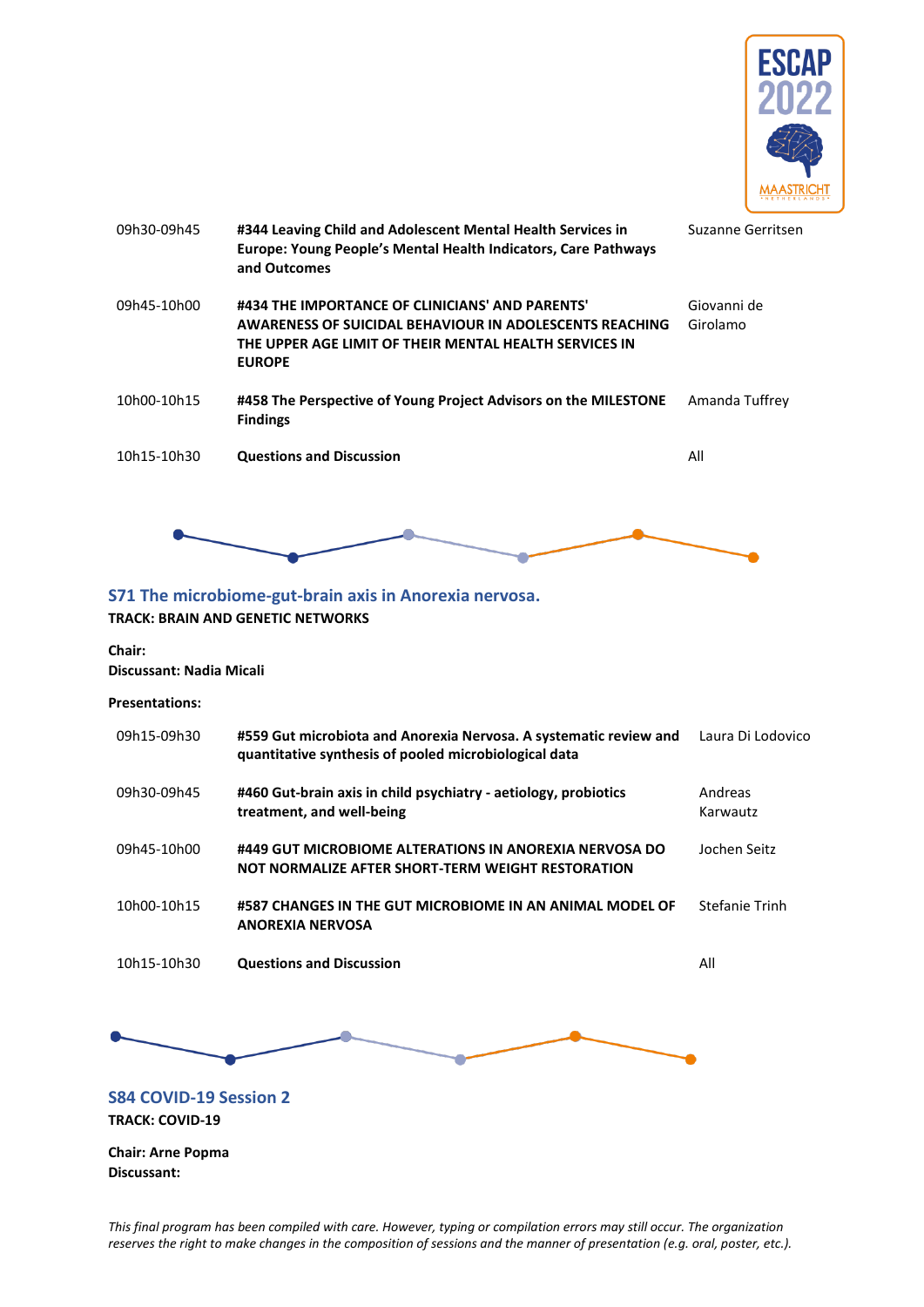

| 09h30-09h45 | #344 Leaving Child and Adolescent Mental Health Services in<br>Europe: Young People's Mental Health Indicators, Care Pathways<br>and Outcomes                                                | Suzanne Gerritsen       |
|-------------|----------------------------------------------------------------------------------------------------------------------------------------------------------------------------------------------|-------------------------|
| 09h45-10h00 | #434 THE IMPORTANCE OF CLINICIANS' AND PARENTS'<br><b>AWARENESS OF SUICIDAL BEHAVIOUR IN ADOLESCENTS REACHING</b><br>THE UPPER AGE LIMIT OF THEIR MENTAL HEALTH SERVICES IN<br><b>EUROPE</b> | Giovanni de<br>Girolamo |
| 10h00-10h15 | #458 The Perspective of Young Project Advisors on the MILESTONE<br><b>Findings</b>                                                                                                           | Amanda Tuffrey          |
| 10h15-10h30 | <b>Questions and Discussion</b>                                                                                                                                                              | All                     |
|             |                                                                                                                                                                                              |                         |

### <span id="page-23-0"></span>**S71 The microbiome-gut-brain axis in Anorexia nervosa. TRACK: BRAIN AND GENETIC NETWORKS**

# **Chair:**

**Discussant: Nadia Micali**

**Presentations:**

<span id="page-23-1"></span>

| 09h15-09h30                                             | #559 Gut microbiota and Anorexia Nervosa. A systematic review and<br>quantitative synthesis of pooled microbiological data | Laura Di Lodovico   |
|---------------------------------------------------------|----------------------------------------------------------------------------------------------------------------------------|---------------------|
| 09h30-09h45                                             | #460 Gut-brain axis in child psychiatry - aetiology, probiotics<br>treatment, and well-being                               | Andreas<br>Karwautz |
| 09h45-10h00                                             | #449 GUT MICROBIOME ALTERATIONS IN ANOREXIA NERVOSA DO<br>NOT NORMALIZE AFTER SHORT-TERM WEIGHT RESTORATION                | Jochen Seitz        |
| 10h00-10h15                                             | #587 CHANGES IN THE GUT MICROBIOME IN AN ANIMAL MODEL OF<br><b>ANOREXIA NERVOSA</b>                                        | Stefanie Trinh      |
| 10h15-10h30                                             | <b>Questions and Discussion</b>                                                                                            | All                 |
|                                                         |                                                                                                                            |                     |
| <b>S84 COVID-19 Session 2</b><br><b>TRACK: COVID-19</b> |                                                                                                                            |                     |
| <b>Chair: Arne Popma</b><br>Discussant:                 |                                                                                                                            |                     |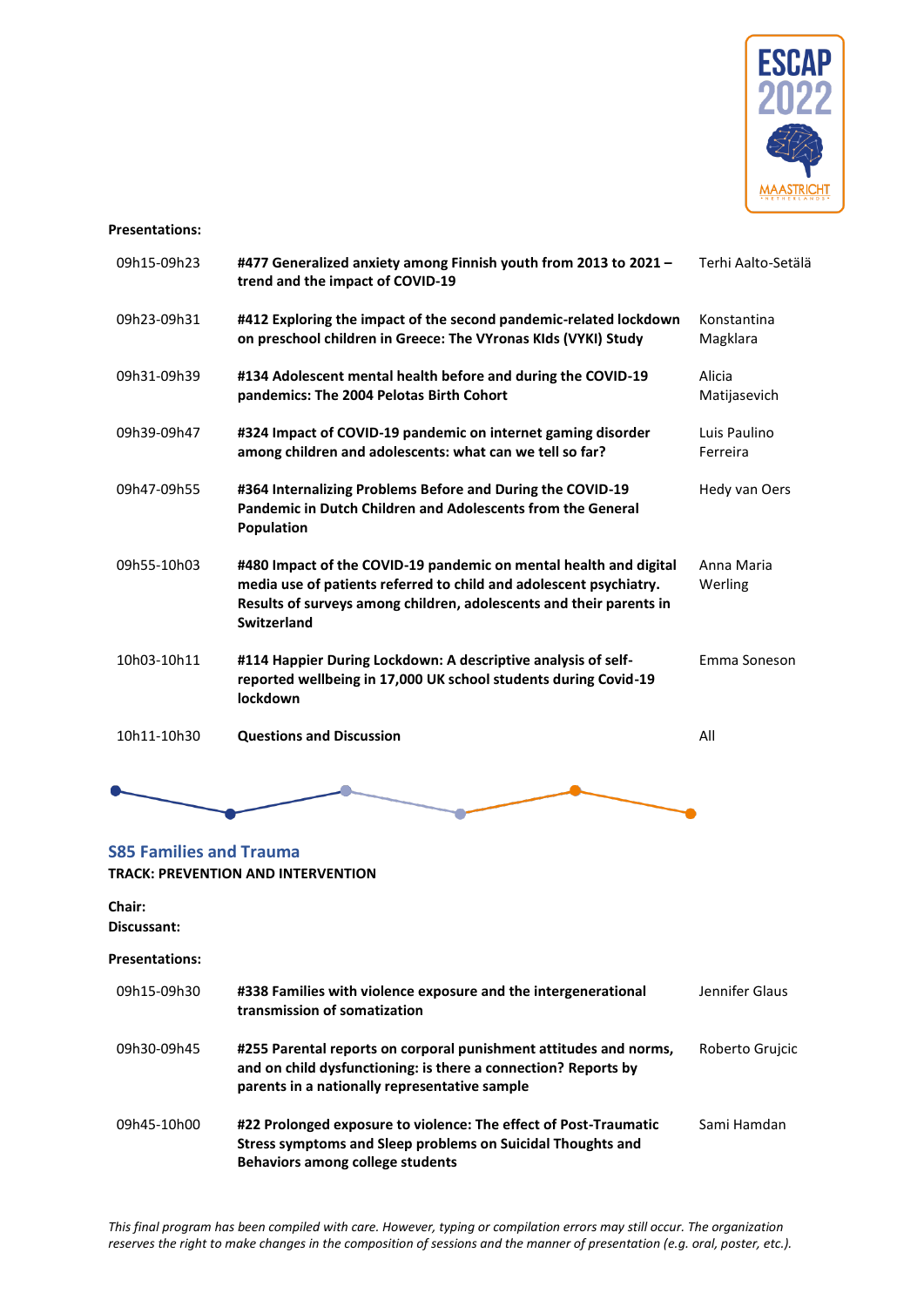

#### **Presentations:**

| 09h15-09h23 | #477 Generalized anxiety among Finnish youth from 2013 to 2021 -<br>trend and the impact of COVID-19                                                                                                                                 | Terhi Aalto-Setälä       |
|-------------|--------------------------------------------------------------------------------------------------------------------------------------------------------------------------------------------------------------------------------------|--------------------------|
| 09h23-09h31 | #412 Exploring the impact of the second pandemic-related lockdown<br>on preschool children in Greece: The VYronas KIds (VYKI) Study                                                                                                  | Konstantina<br>Magklara  |
| 09h31-09h39 | #134 Adolescent mental health before and during the COVID-19<br>pandemics: The 2004 Pelotas Birth Cohort                                                                                                                             | Alicia<br>Matijasevich   |
| 09h39-09h47 | #324 Impact of COVID-19 pandemic on internet gaming disorder<br>among children and adolescents: what can we tell so far?                                                                                                             | Luis Paulino<br>Ferreira |
| 09h47-09h55 | #364 Internalizing Problems Before and During the COVID-19<br>Pandemic in Dutch Children and Adolescents from the General<br><b>Population</b>                                                                                       | Hedy van Oers            |
| 09h55-10h03 | #480 Impact of the COVID-19 pandemic on mental health and digital<br>media use of patients referred to child and adolescent psychiatry.<br>Results of surveys among children, adolescents and their parents in<br><b>Switzerland</b> | Anna Maria<br>Werling    |
| 10h03-10h11 | #114 Happier During Lockdown: A descriptive analysis of self-<br>reported wellbeing in 17,000 UK school students during Covid-19<br>lockdown                                                                                         | Emma Soneson             |
| 10h11-10h30 | <b>Questions and Discussion</b>                                                                                                                                                                                                      | All                      |



### <span id="page-24-0"></span>**S85 Families and Trauma TRACK: PREVENTION AND INTERVENTION**

# **Chair:**

**Discussant:**

| 09h15-09h30 | #338 Families with violence exposure and the intergenerational<br>transmission of somatization                                                                                       | Jennifer Glaus  |
|-------------|--------------------------------------------------------------------------------------------------------------------------------------------------------------------------------------|-----------------|
| 09h30-09h45 | #255 Parental reports on corporal punishment attitudes and norms,<br>and on child dysfunctioning: is there a connection? Reports by<br>parents in a nationally representative sample | Roberto Grujcic |
| 09h45-10h00 | #22 Prolonged exposure to violence: The effect of Post-Traumatic<br>Stress symptoms and Sleep problems on Suicidal Thoughts and<br>Behaviors among college students                  | Sami Hamdan     |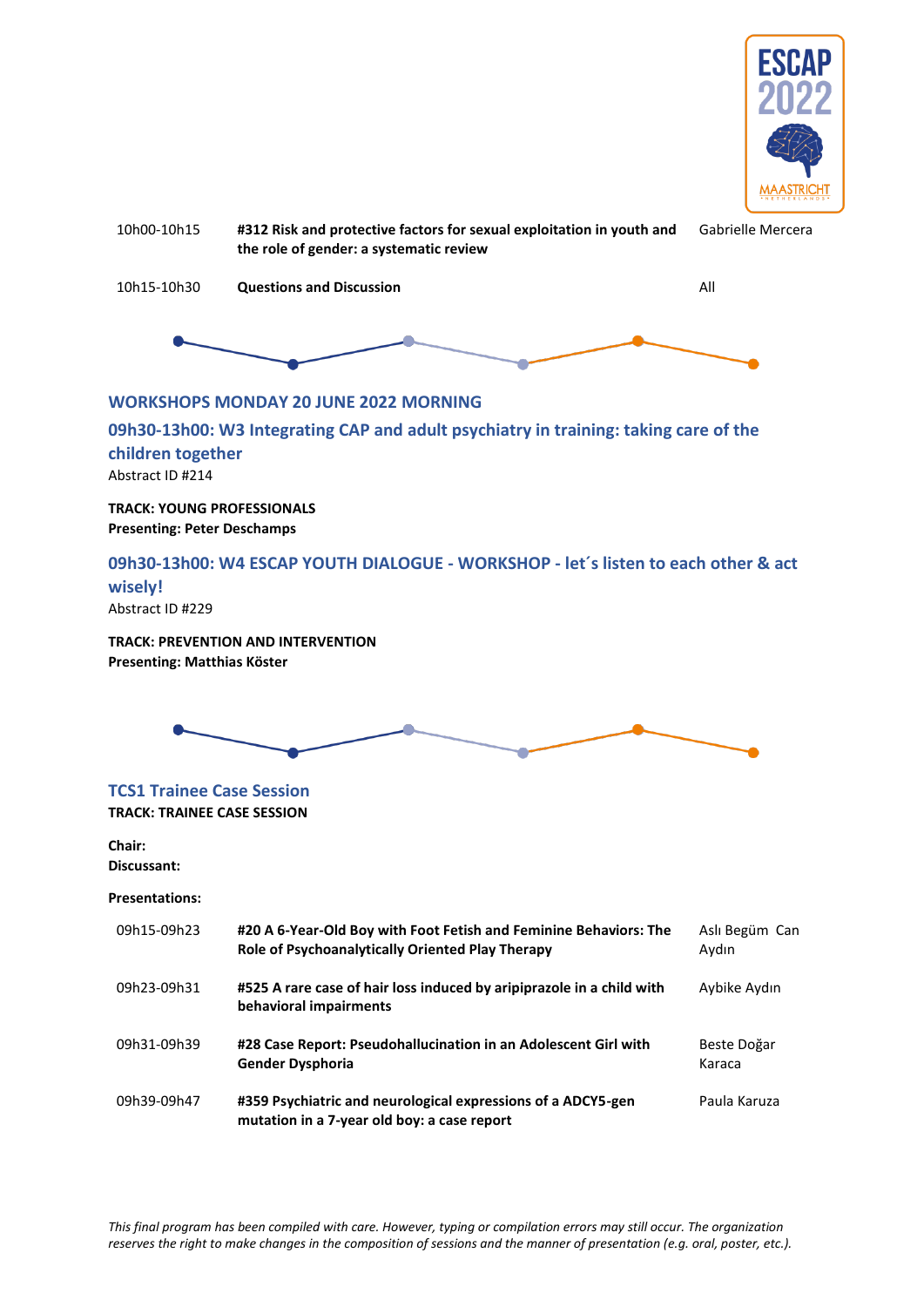

<span id="page-25-0"></span>

### <span id="page-25-2"></span><span id="page-25-1"></span>**wisely!**

Abstract ID #229

**TRACK: PREVENTION AND INTERVENTION Presenting: Matthias Köster**



### <span id="page-25-3"></span>**TCS1 Trainee Case Session TRACK: TRAINEE CASE SESSION**

**Chair: Discussant:**

| 09h15-09h23 | #20 A 6-Year-Old Boy with Foot Fetish and Feminine Behaviors: The<br>Role of Psychoanalytically Oriented Play Therapy | Aslı Begüm Can<br>Aydın |
|-------------|-----------------------------------------------------------------------------------------------------------------------|-------------------------|
| 09h23-09h31 | #525 A rare case of hair loss induced by aripiprazole in a child with<br>behavioral impairments                       | Aybike Aydın            |
| 09h31-09h39 | #28 Case Report: Pseudohallucination in an Adolescent Girl with<br><b>Gender Dysphoria</b>                            | Beste Doğar<br>Karaca   |
| 09h39-09h47 | #359 Psychiatric and neurological expressions of a ADCY5-gen<br>mutation in a 7-year old boy: a case report           | Paula Karuza            |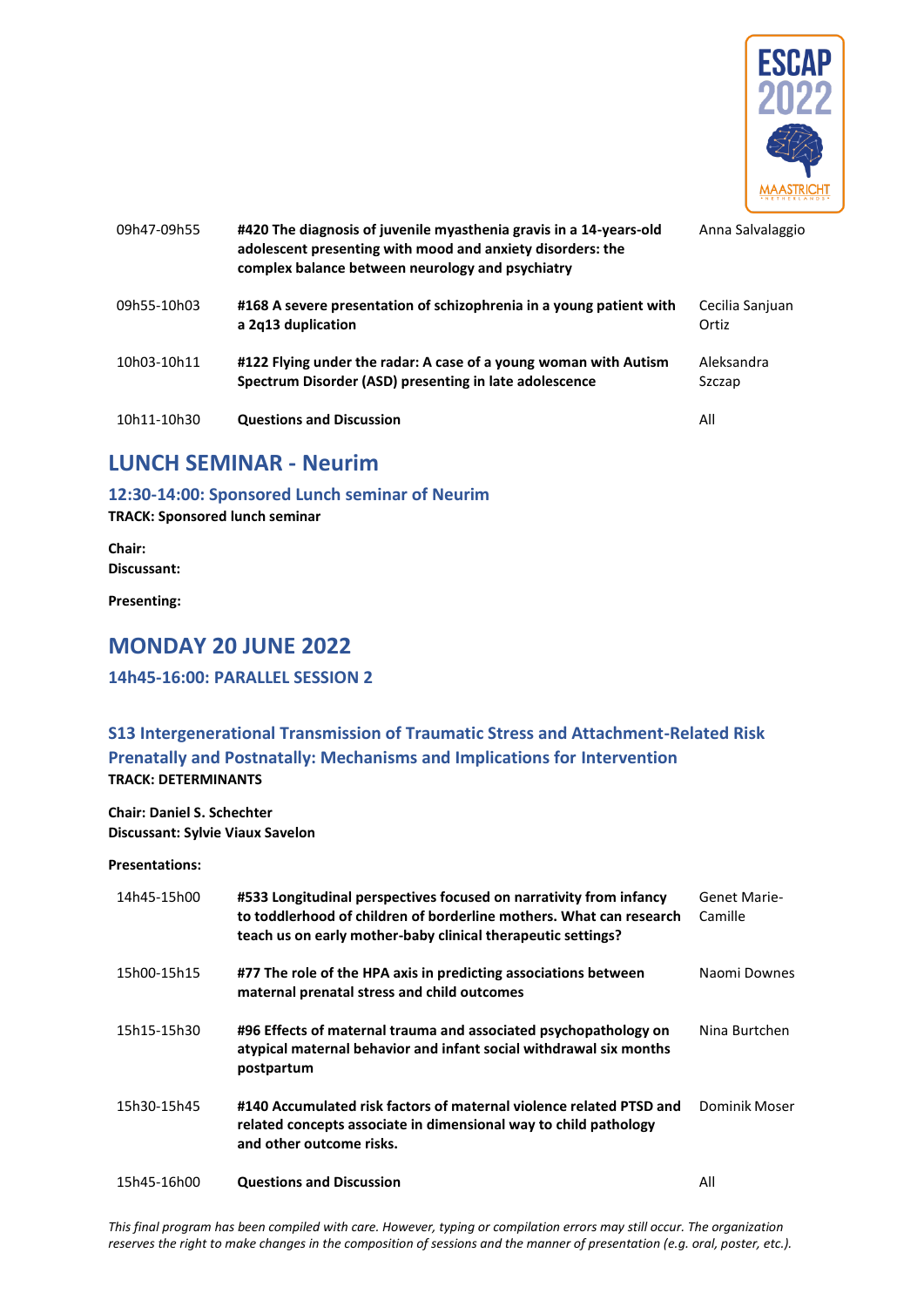

| 09h47-09h55 | #420 The diagnosis of juvenile myasthenia gravis in a 14-years-old<br>adolescent presenting with mood and anxiety disorders: the<br>complex balance between neurology and psychiatry | Anna Salvalaggio         |
|-------------|--------------------------------------------------------------------------------------------------------------------------------------------------------------------------------------|--------------------------|
| 09h55-10h03 | #168 A severe presentation of schizophrenia in a young patient with<br>a 2q13 duplication                                                                                            | Cecilia Sanjuan<br>Ortiz |
| 10h03-10h11 | #122 Flying under the radar: A case of a young woman with Autism<br>Spectrum Disorder (ASD) presenting in late adolescence                                                           | Aleksandra<br>Szczap     |
| 10h11-10h30 | <b>Questions and Discussion</b>                                                                                                                                                      | All                      |

# <span id="page-26-0"></span>**LUNCH SEMINAR - Neurim**

<span id="page-26-1"></span>**12:30-14:00: Sponsored Lunch seminar of Neurim**

**TRACK: Sponsored lunch seminar**

**Chair: Discussant:** 

**Presenting:** 

### <span id="page-26-2"></span>**MONDAY 20 JUNE 2022**

### <span id="page-26-3"></span>**14h45-16:00: PARALLEL SESSION 2**

### <span id="page-26-4"></span>**S13 Intergenerational Transmission of Traumatic Stress and Attachment-Related Risk Prenatally and Postnatally: Mechanisms and Implications for Intervention TRACK: DETERMINANTS**

**Chair: Daniel S. Schechter Discussant: Sylvie Viaux Savelon**

| 14h45-15h00 | #533 Longitudinal perspectives focused on narrativity from infancy<br>to toddlerhood of children of borderline mothers. What can research<br>teach us on early mother-baby clinical therapeutic settings? | Genet Marie-<br>Camille |
|-------------|-----------------------------------------------------------------------------------------------------------------------------------------------------------------------------------------------------------|-------------------------|
| 15h00-15h15 | #77 The role of the HPA axis in predicting associations between<br>maternal prenatal stress and child outcomes                                                                                            | Naomi Downes            |
| 15h15-15h30 | #96 Effects of maternal trauma and associated psychopathology on<br>atypical maternal behavior and infant social withdrawal six months<br>postpartum                                                      | Nina Burtchen           |
| 15h30-15h45 | #140 Accumulated risk factors of maternal violence related PTSD and<br>related concepts associate in dimensional way to child pathology<br>and other outcome risks.                                       | Dominik Moser           |
| 15h45-16h00 | <b>Questions and Discussion</b>                                                                                                                                                                           | All                     |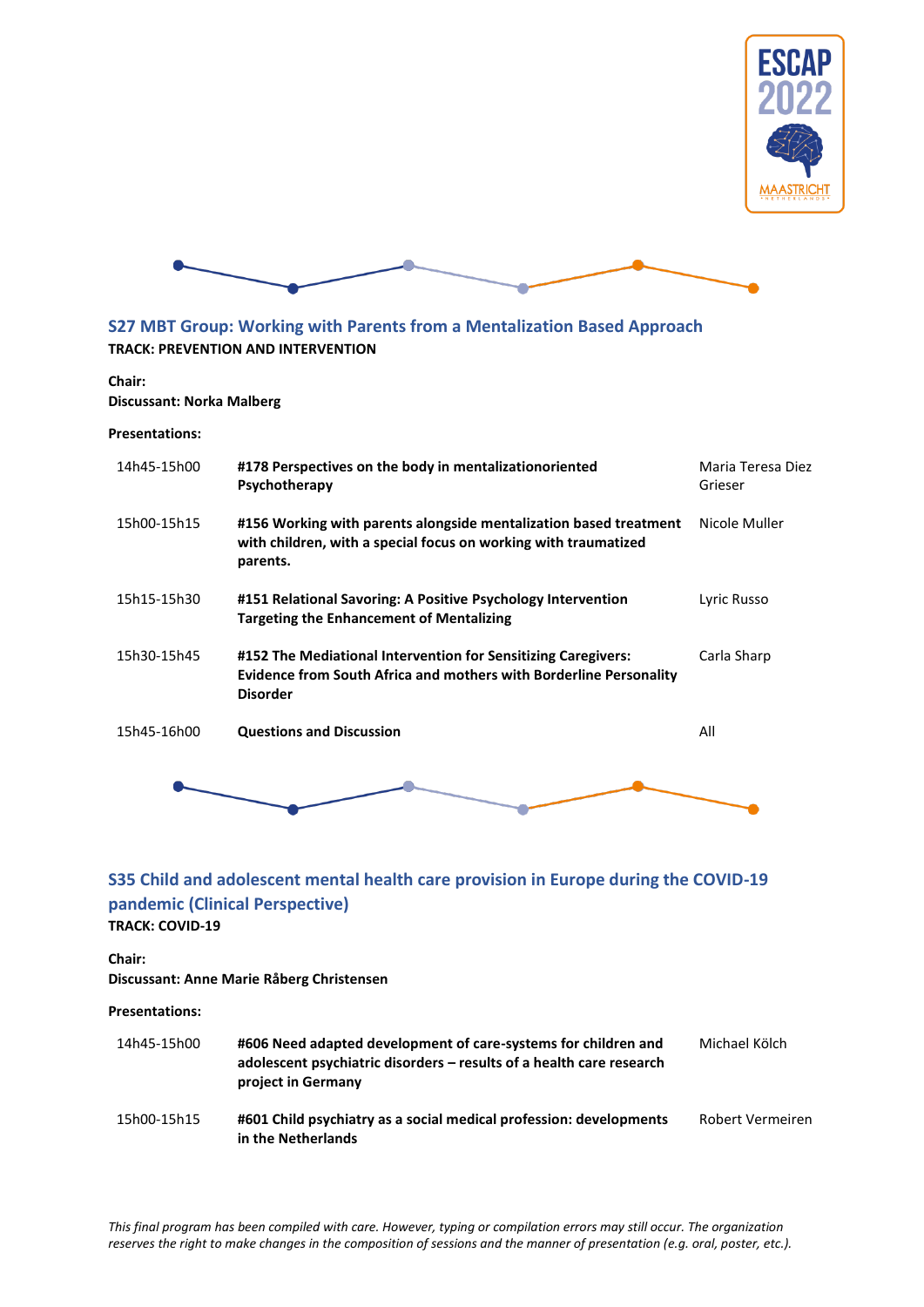



### <span id="page-27-0"></span>**S27 MBT Group: Working with Parents from a Mentalization Based Approach TRACK: PREVENTION AND INTERVENTION**

### **Chair:**

**Discussant: Norka Malberg**

#### **Presentations:**

| 14h45-15h00 | #178 Perspectives on the body in mentalizationoriented<br>Psychotherapy                                                                                | Maria Teresa Diez<br>Grieser |
|-------------|--------------------------------------------------------------------------------------------------------------------------------------------------------|------------------------------|
| 15h00-15h15 | #156 Working with parents alongside mentalization based treatment<br>with children, with a special focus on working with traumatized<br>parents.       | Nicole Muller                |
| 15h15-15h30 | #151 Relational Savoring: A Positive Psychology Intervention<br><b>Targeting the Enhancement of Mentalizing</b>                                        | Lyric Russo                  |
| 15h30-15h45 | #152 The Mediational Intervention for Sensitizing Caregivers:<br>Evidence from South Africa and mothers with Borderline Personality<br><b>Disorder</b> | Carla Sharp                  |
| 15h45-16h00 | <b>Questions and Discussion</b>                                                                                                                        | All                          |
|             |                                                                                                                                                        |                              |

### <span id="page-27-1"></span>**S35 Child and adolescent mental health care provision in Europe during the COVID-19 pandemic (Clinical Perspective) TRACK: COVID-19**

**Chair:** 

**Discussant: Anne Marie Råberg Christensen**

| 14h45-15h00 | #606 Need adapted development of care-systems for children and<br>adolescent psychiatric disorders - results of a health care research<br>project in Germany | Michael Kölch           |
|-------------|--------------------------------------------------------------------------------------------------------------------------------------------------------------|-------------------------|
| 15h00-15h15 | #601 Child psychiatry as a social medical profession: developments<br>in the Netherlands                                                                     | <b>Robert Vermeiren</b> |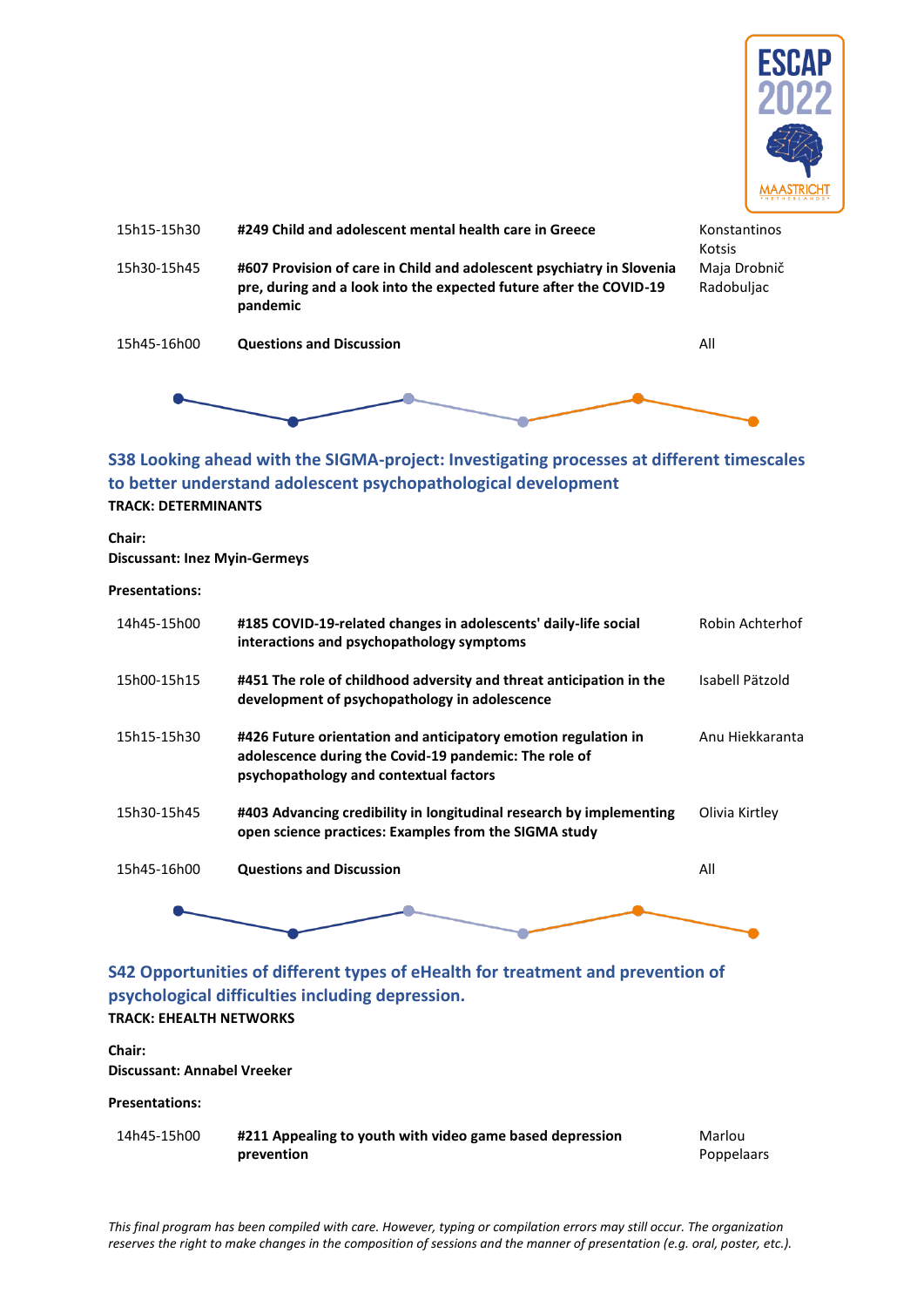



### <span id="page-28-0"></span>**S38 Looking ahead with the SIGMA-project: Investigating processes at different timescales to better understand adolescent psychopathological development TRACK: DETERMINANTS**

**Chair: Discussant: Inez Myin-Germeys**

#### **Presentations:**

| 14h45-15h00 | #185 COVID-19-related changes in adolescents' daily-life social<br>interactions and psychopathology symptoms                                                      | Robin Achterhof |
|-------------|-------------------------------------------------------------------------------------------------------------------------------------------------------------------|-----------------|
| 15h00-15h15 | #451 The role of childhood adversity and threat anticipation in the<br>development of psychopathology in adolescence                                              | Isabell Pätzold |
| 15h15-15h30 | #426 Future orientation and anticipatory emotion regulation in<br>adolescence during the Covid-19 pandemic: The role of<br>psychopathology and contextual factors | Anu Hiekkaranta |
| 15h30-15h45 | #403 Advancing credibility in longitudinal research by implementing<br>open science practices: Examples from the SIGMA study                                      | Olivia Kirtley  |
| 15h45-16h00 | <b>Questions and Discussion</b>                                                                                                                                   | All             |
|             |                                                                                                                                                                   |                 |

### <span id="page-28-1"></span>**S42 Opportunities of different types of eHealth for treatment and prevention of psychological difficulties including depression. TRACK: EHEALTH NETWORKS**

#### **Chair: Discussant: Annabel Vreeker**

#### **Presentations:**

| 14h45-15h00 | #211 Appealing to youth with video game based depression | Marlou            |
|-------------|----------------------------------------------------------|-------------------|
|             | prevention                                               | <b>Poppelaars</b> |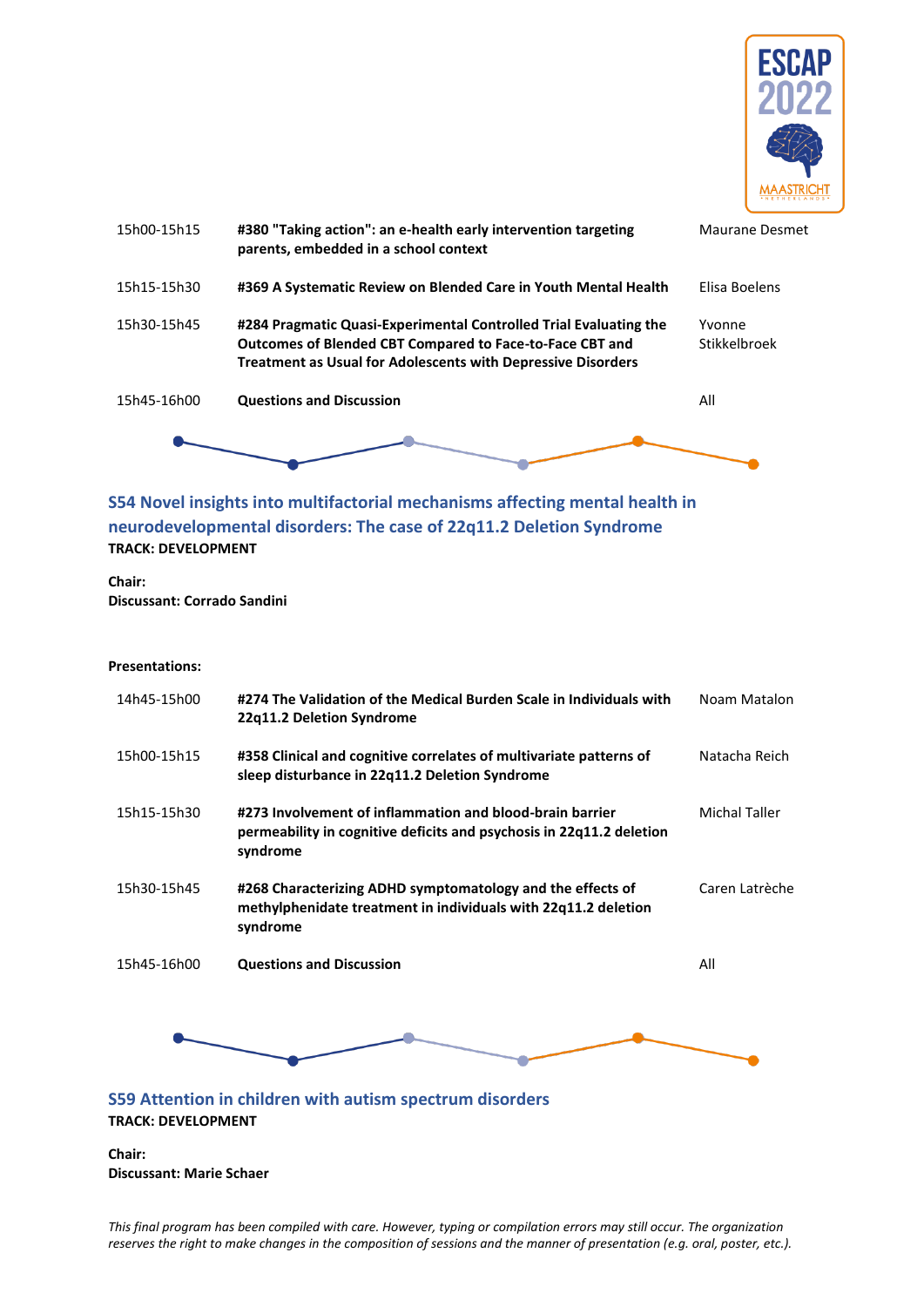

| 15h00-15h15 | #380 "Taking action": an e-health early intervention targeting<br>parents, embedded in a school context                                                                                                     | Maurane Desmet         |
|-------------|-------------------------------------------------------------------------------------------------------------------------------------------------------------------------------------------------------------|------------------------|
| 15h15-15h30 | #369 A Systematic Review on Blended Care in Youth Mental Health                                                                                                                                             | Elisa Boelens          |
| 15h30-15h45 | #284 Pragmatic Quasi-Experimental Controlled Trial Evaluating the<br><b>Outcomes of Blended CBT Compared to Face-to-Face CBT and</b><br><b>Treatment as Usual for Adolescents with Depressive Disorders</b> | Yvonne<br>Stikkelbroek |
| 15h45-16h00 | <b>Questions and Discussion</b>                                                                                                                                                                             | All                    |
|             |                                                                                                                                                                                                             |                        |

### <span id="page-29-0"></span>**S54 Novel insights into multifactorial mechanisms affecting mental health in neurodevelopmental disorders: The case of 22q11.2 Deletion Syndrome TRACK: DEVELOPMENT**

**Chair: Discussant: Corrado Sandini**

#### **Presentations:**

| 14h45-15h00 | #274 The Validation of the Medical Burden Scale in Individuals with<br>22q11.2 Deletion Syndrome                                             | Noam Matalon         |
|-------------|----------------------------------------------------------------------------------------------------------------------------------------------|----------------------|
| 15h00-15h15 | #358 Clinical and cognitive correlates of multivariate patterns of<br>sleep disturbance in 22q11.2 Deletion Syndrome                         | Natacha Reich        |
| 15h15-15h30 | #273 Involvement of inflammation and blood-brain barrier<br>permeability in cognitive deficits and psychosis in 22q11.2 deletion<br>syndrome | <b>Michal Taller</b> |
| 15h30-15h45 | #268 Characterizing ADHD symptomatology and the effects of<br>methylphenidate treatment in individuals with 22q11.2 deletion<br>syndrome     | Caren Latrèche       |
| 15h45-16h00 | <b>Questions and Discussion</b>                                                                                                              | All                  |
|             |                                                                                                                                              |                      |
|             | S59 Attention in children with autism spectrum disorders                                                                                     |                      |

<span id="page-29-1"></span>**TRACK: DEVELOPMENT**

**Chair: Discussant: Marie Schaer**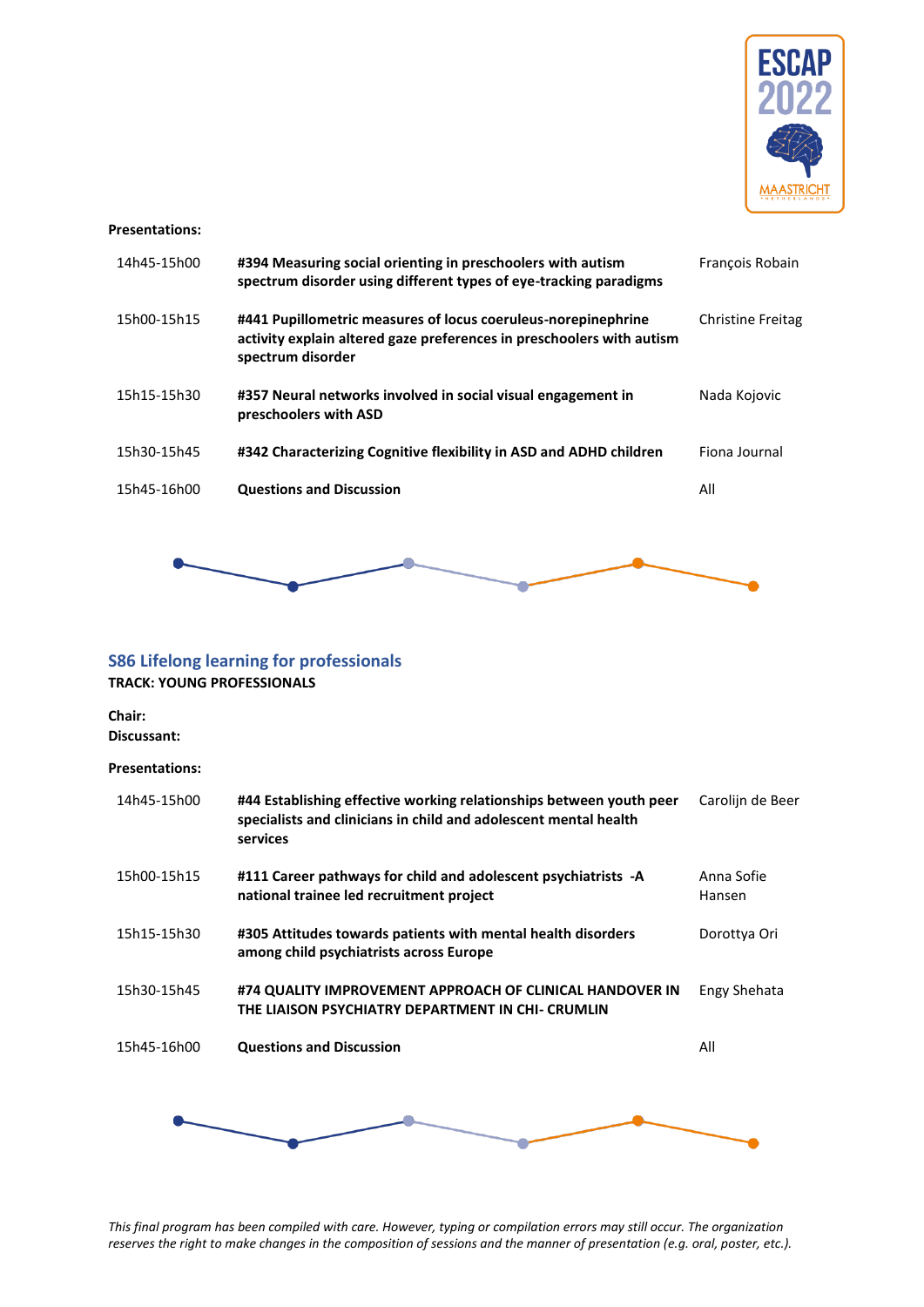

#### **Presentations:**

| 14h45-15h00 | #394 Measuring social orienting in preschoolers with autism<br>spectrum disorder using different types of eye-tracking paradigms                            | Francois Robain          |
|-------------|-------------------------------------------------------------------------------------------------------------------------------------------------------------|--------------------------|
| 15h00-15h15 | #441 Pupillometric measures of locus coeruleus-norepinephrine<br>activity explain altered gaze preferences in preschoolers with autism<br>spectrum disorder | <b>Christine Freitag</b> |
| 15h15-15h30 | #357 Neural networks involved in social visual engagement in<br>preschoolers with ASD                                                                       | Nada Kojovic             |
| 15h30-15h45 | #342 Characterizing Cognitive flexibility in ASD and ADHD children                                                                                          | Fiona Journal            |
| 15h45-16h00 | <b>Questions and Discussion</b>                                                                                                                             | All                      |



### <span id="page-30-0"></span>**S86 Lifelong learning for professionals**

**TRACK: YOUNG PROFESSIONALS**

# **Chair:**

**Discussant:**

### **Presentations:**

| 14h45-15h00 | #44 Establishing effective working relationships between youth peer<br>specialists and clinicians in child and adolescent mental health<br>services | Carolijn de Beer     |
|-------------|-----------------------------------------------------------------------------------------------------------------------------------------------------|----------------------|
| 15h00-15h15 | #111 Career pathways for child and adolescent psychiatrists -A<br>national trainee led recruitment project                                          | Anna Sofie<br>Hansen |
| 15h15-15h30 | #305 Attitudes towards patients with mental health disorders<br>among child psychiatrists across Europe                                             | Dorottya Ori         |
| 15h30-15h45 | #74 QUALITY IMPROVEMENT APPROACH OF CLINICAL HANDOVER IN<br>THE LIAISON PSYCHIATRY DEPARTMENT IN CHI- CRUMLIN                                       | Engy Shehata         |
| 15h45-16h00 | <b>Questions and Discussion</b>                                                                                                                     | All                  |
|             |                                                                                                                                                     |                      |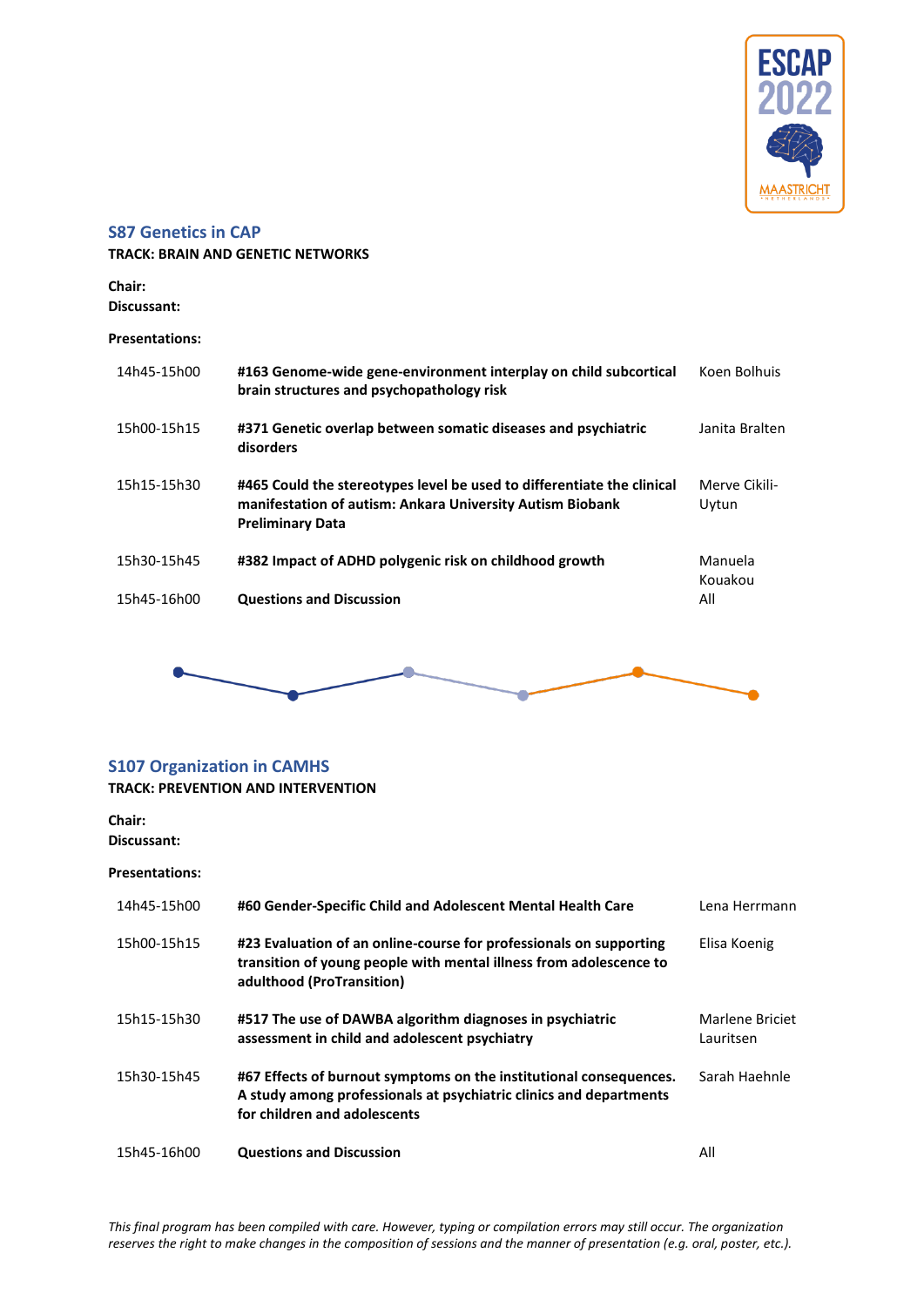

### <span id="page-31-0"></span>**S87 Genetics in CAP**

**TRACK: BRAIN AND GENETIC NETWORKS**

**Chair: Discussant:**

#### **Presentations:**

| 14h45-15h00 | #163 Genome-wide gene-environment interplay on child subcortical<br>brain structures and psychopathology risk                                                  | Koen Bolhuis           |
|-------------|----------------------------------------------------------------------------------------------------------------------------------------------------------------|------------------------|
| 15h00-15h15 | #371 Genetic overlap between somatic diseases and psychiatric<br>disorders                                                                                     | Janita Bralten         |
| 15h15-15h30 | #465 Could the stereotypes level be used to differentiate the clinical<br>manifestation of autism: Ankara University Autism Biobank<br><b>Preliminary Data</b> | Merve Cikili-<br>Uytun |
| 15h30-15h45 | #382 Impact of ADHD polygenic risk on childhood growth                                                                                                         | Manuela<br>Kouakou     |
| 15h45-16h00 | <b>Questions and Discussion</b>                                                                                                                                | All                    |



### <span id="page-31-1"></span>**S107 Organization in CAMHS**

### **TRACK: PREVENTION AND INTERVENTION**

#### **Chair: Discussant:**

| 14h45-15h00 | #60 Gender-Specific Child and Adolescent Mental Health Care                                                                                                              | Lena Herrmann                |
|-------------|--------------------------------------------------------------------------------------------------------------------------------------------------------------------------|------------------------------|
| 15h00-15h15 | #23 Evaluation of an online-course for professionals on supporting<br>transition of young people with mental illness from adolescence to<br>adulthood (ProTransition)    | Elisa Koenig                 |
| 15h15-15h30 | #517 The use of DAWBA algorithm diagnoses in psychiatric<br>assessment in child and adolescent psychiatry                                                                | Marlene Briciet<br>Lauritsen |
| 15h30-15h45 | #67 Effects of burnout symptoms on the institutional consequences.<br>A study among professionals at psychiatric clinics and departments<br>for children and adolescents | Sarah Haehnle                |
| 15h45-16h00 | <b>Questions and Discussion</b>                                                                                                                                          | All                          |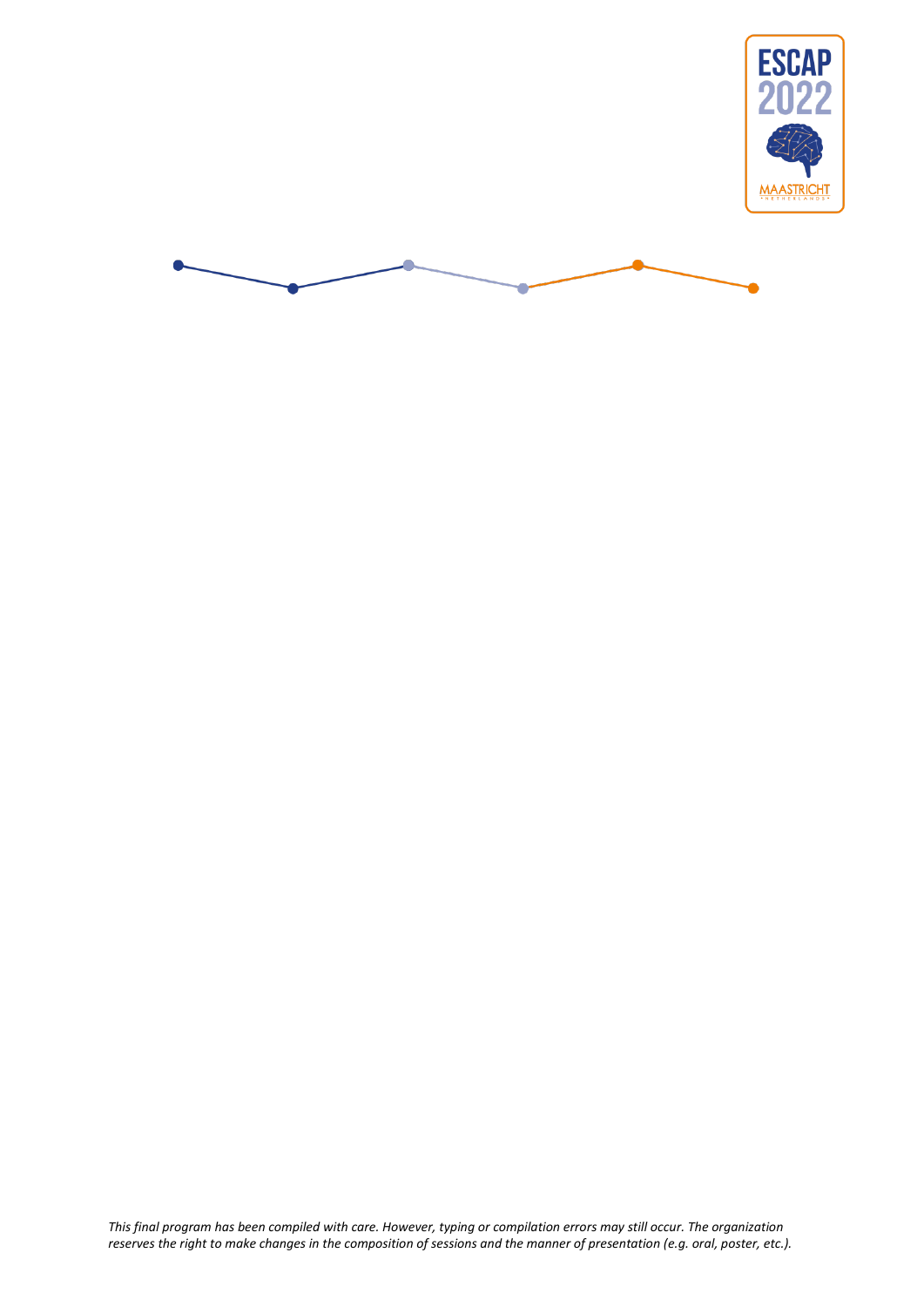

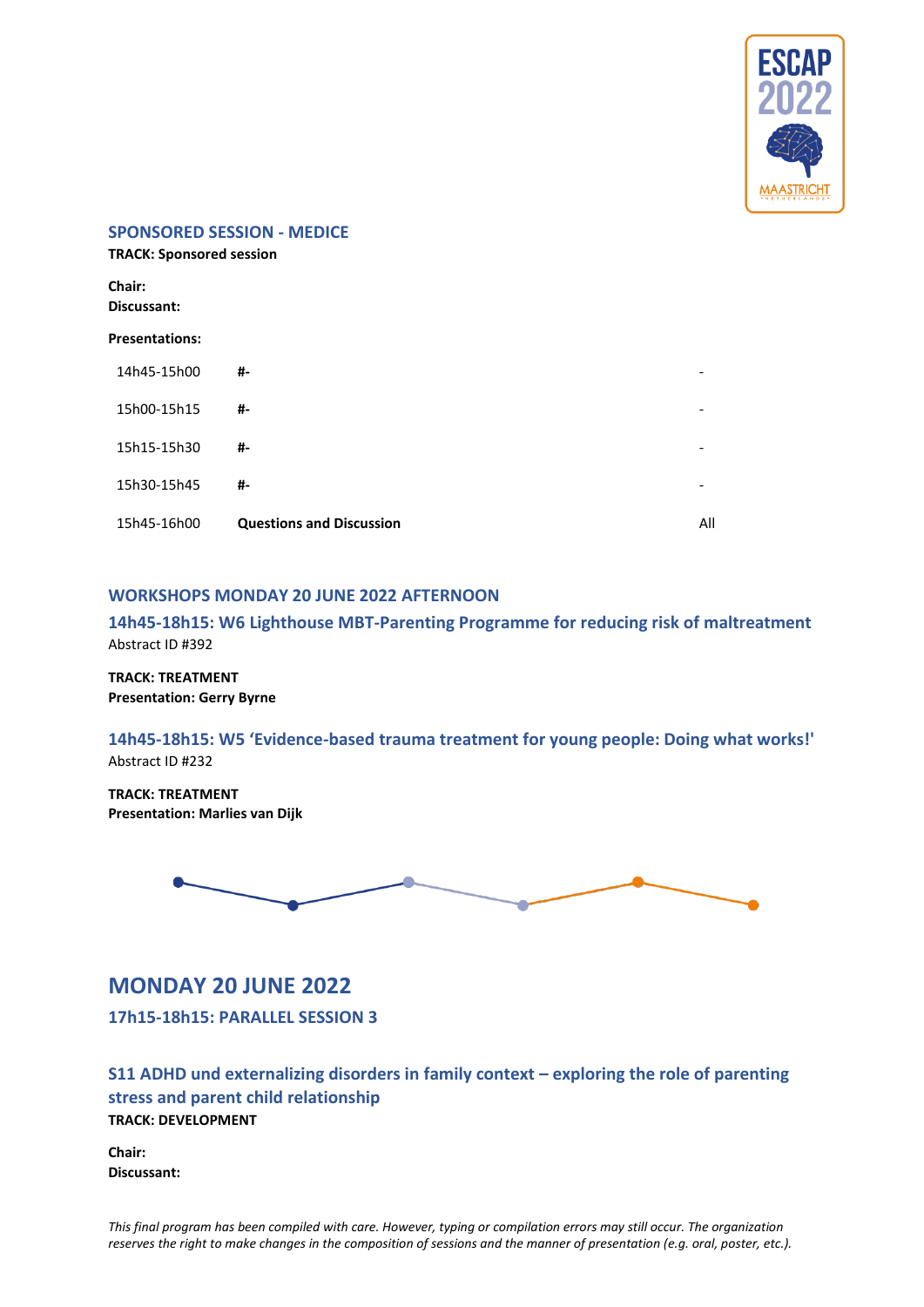

#### <span id="page-33-0"></span>**SPONSORED SESSION - MEDICE**

**TRACK: Sponsored session Chair: Discussant: Presentations:** 14h45-15h00 **#-** - 15h00-15h15 **#-** - 15h15-15h30 **#-** - 15h30-15h45 **#-** - 15h45-16h00 **Questions and Discussion** All

### <span id="page-33-1"></span>**WORKSHOPS MONDAY 20 JUNE 2022 AFTERNOON**

<span id="page-33-2"></span>**14h45-18h15: W6 Lighthouse MBT-Parenting Programme for reducing risk of maltreatment**  Abstract ID #392

**TRACK: TREATMENT Presentation: Gerry Byrne**

**14h45-18h15: W5 'Evidence-based trauma treatment for young people: Doing what works!'**  Abstract ID #232

**TRACK: TREATMENT Presentation: Marlies van Dijk**



# <span id="page-33-3"></span>**MONDAY 20 JUNE 2022**

<span id="page-33-4"></span>**17h15-18h15: PARALLEL SESSION 3**

<span id="page-33-5"></span>**S11 ADHD und externalizing disorders in family context – exploring the role of parenting stress and parent child relationship TRACK: DEVELOPMENT**

**Chair: Discussant:**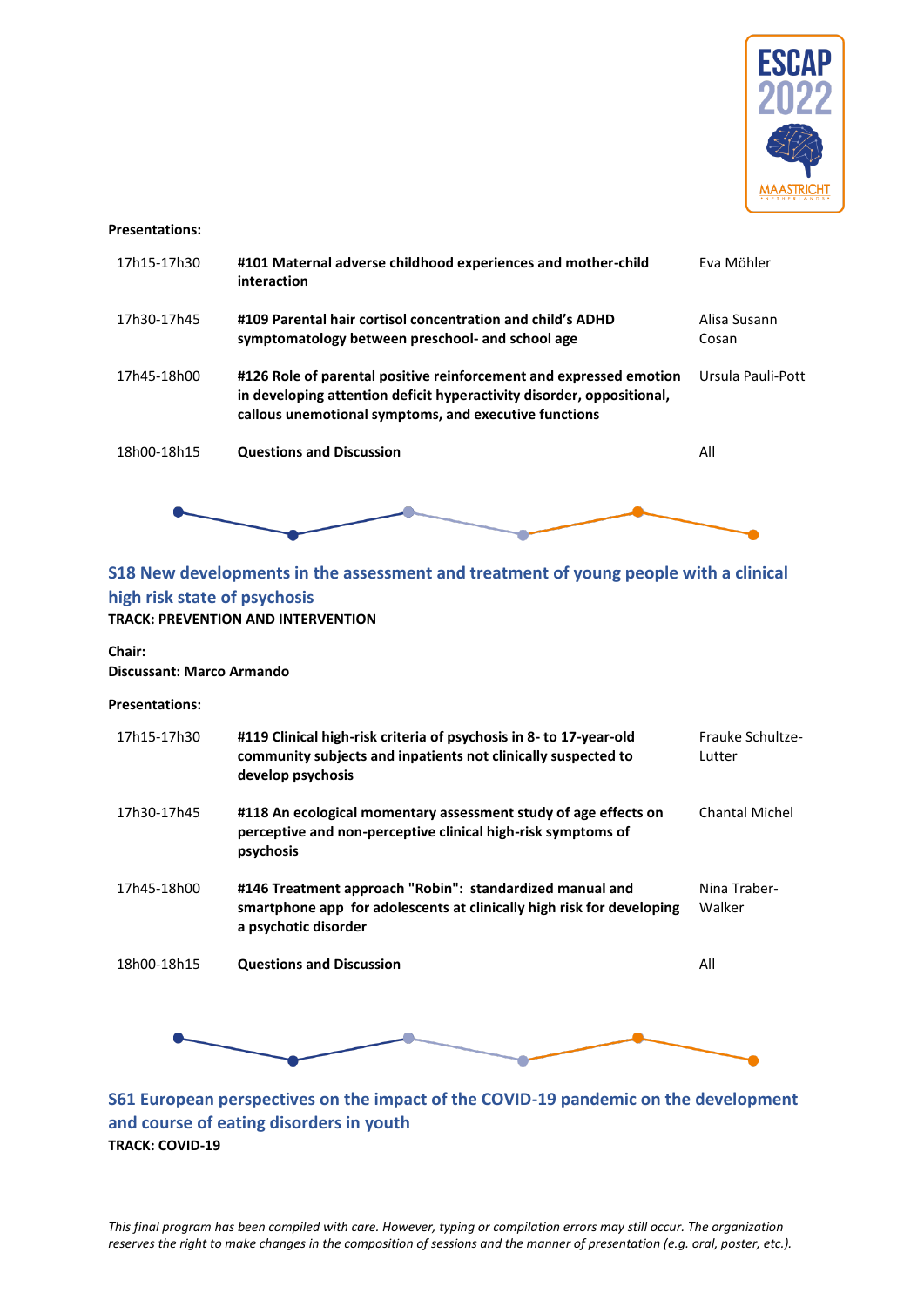

#### **Presentations:**

| 17h15-17h30 | #101 Maternal adverse childhood experiences and mother-child<br>interaction                                                                                                                          | Eva Möhler            |
|-------------|------------------------------------------------------------------------------------------------------------------------------------------------------------------------------------------------------|-----------------------|
| 17h30-17h45 | #109 Parental hair cortisol concentration and child's ADHD<br>symptomatology between preschool- and school age                                                                                       | Alisa Susann<br>Cosan |
| 17h45-18h00 | #126 Role of parental positive reinforcement and expressed emotion<br>in developing attention deficit hyperactivity disorder, oppositional,<br>callous unemotional symptoms, and executive functions | Ursula Pauli-Pott     |
| 18h00-18h15 | <b>Questions and Discussion</b>                                                                                                                                                                      | All                   |
|             |                                                                                                                                                                                                      |                       |

# <span id="page-34-0"></span>**S18 New developments in the assessment and treatment of young people with a clinical high risk state of psychosis**

### **TRACK: PREVENTION AND INTERVENTION**

#### **Chair:**

### **Discussant: Marco Armando**

#### **Presentations:**

| 17h15-17h30 | #119 Clinical high-risk criteria of psychosis in 8- to 17-year-old<br>community subjects and inpatients not clinically suspected to<br>develop psychosis  | Frauke Schultze-<br>Lutter |
|-------------|-----------------------------------------------------------------------------------------------------------------------------------------------------------|----------------------------|
| 17h30-17h45 | #118 An ecological momentary assessment study of age effects on<br>perceptive and non-perceptive clinical high-risk symptoms of<br>psychosis              | <b>Chantal Michel</b>      |
| 17h45-18h00 | #146 Treatment approach "Robin": standardized manual and<br>smartphone app for adolescents at clinically high risk for developing<br>a psychotic disorder | Nina Traber-<br>Walker     |
| 18h00-18h15 | <b>Questions and Discussion</b>                                                                                                                           | All                        |
|             |                                                                                                                                                           |                            |

<span id="page-34-1"></span>**S61 European perspectives on the impact of the COVID-19 pandemic on the development and course of eating disorders in youth TRACK: COVID-19**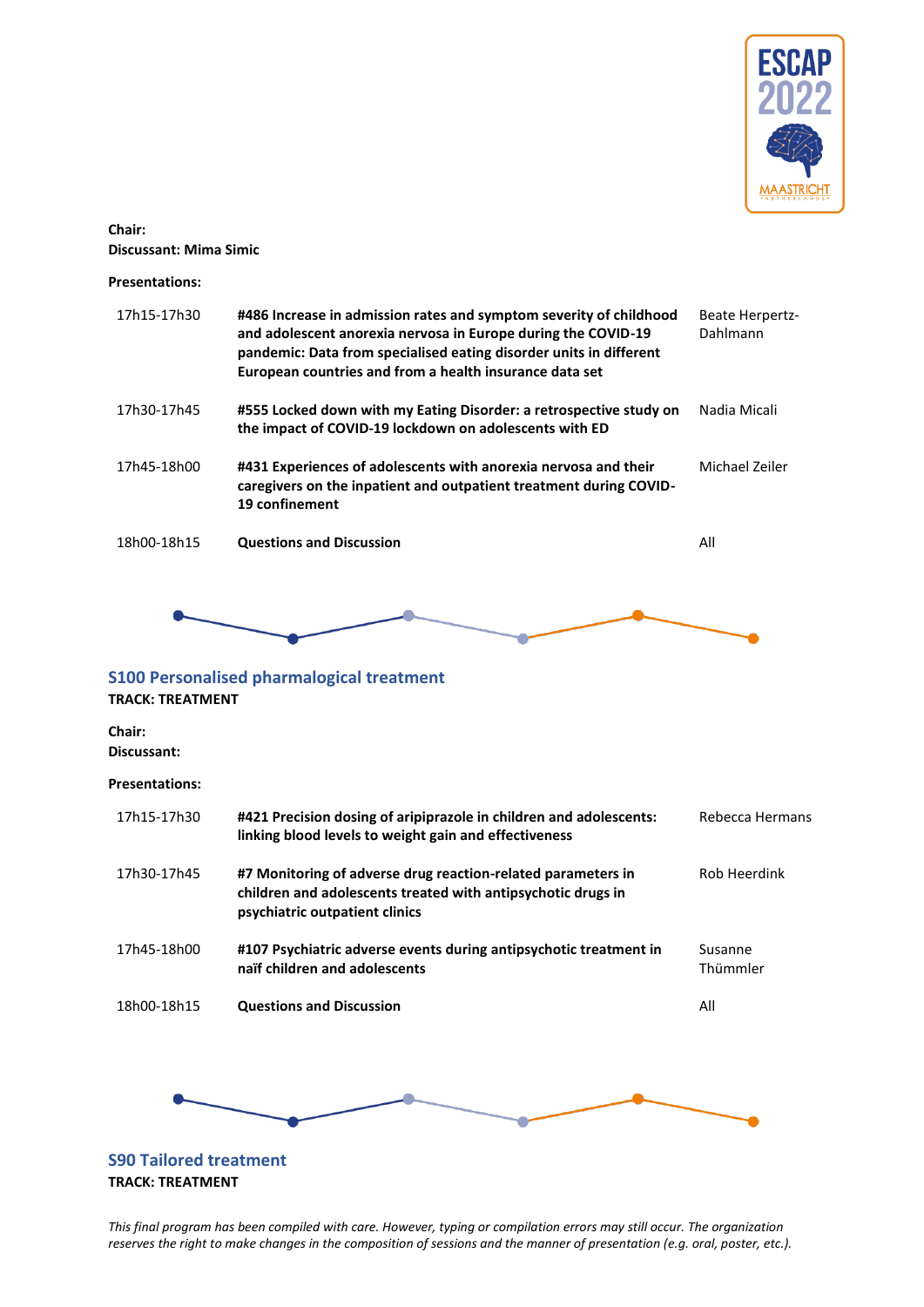

**Chair: Discussant: Mima Simic**

#### **Presentations:**

| 17h15-17h30 | #486 Increase in admission rates and symptom severity of childhood<br>and adolescent anorexia nervosa in Europe during the COVID-19<br>pandemic: Data from specialised eating disorder units in different<br>European countries and from a health insurance data set | <b>Beate Herpertz-</b><br>Dahlmann |
|-------------|----------------------------------------------------------------------------------------------------------------------------------------------------------------------------------------------------------------------------------------------------------------------|------------------------------------|
| 17h30-17h45 | #555 Locked down with my Eating Disorder: a retrospective study on<br>the impact of COVID-19 lockdown on adolescents with ED                                                                                                                                         | Nadia Micali                       |
| 17h45-18h00 | #431 Experiences of adolescents with anorexia nervosa and their<br>caregivers on the inpatient and outpatient treatment during COVID-<br>19 confinement                                                                                                              | Michael Zeiler                     |
| 18h00-18h15 | <b>Questions and Discussion</b>                                                                                                                                                                                                                                      | All                                |
|             |                                                                                                                                                                                                                                                                      |                                    |

### <span id="page-35-0"></span>**S100 Personalised pharmalogical treatment TRACK: TREATMENT**

**Chair: Discussant:**

#### **Presentations:**

| 17h15-17h30 | #421 Precision dosing of aripiprazole in children and adolescents:<br>linking blood levels to weight gain and effectiveness                                    | Rebecca Hermans     |
|-------------|----------------------------------------------------------------------------------------------------------------------------------------------------------------|---------------------|
| 17h30-17h45 | #7 Monitoring of adverse drug reaction-related parameters in<br>children and adolescents treated with antipsychotic drugs in<br>psychiatric outpatient clinics | Rob Heerdink        |
| 17h45-18h00 | #107 Psychiatric adverse events during antipsychotic treatment in<br>naïf children and adolescents                                                             | Susanne<br>Thümmler |
| 18h00-18h15 | <b>Questions and Discussion</b>                                                                                                                                | All                 |
|             |                                                                                                                                                                |                     |



### <span id="page-35-1"></span>**S90 Tailored treatment TRACK: TREATMENT**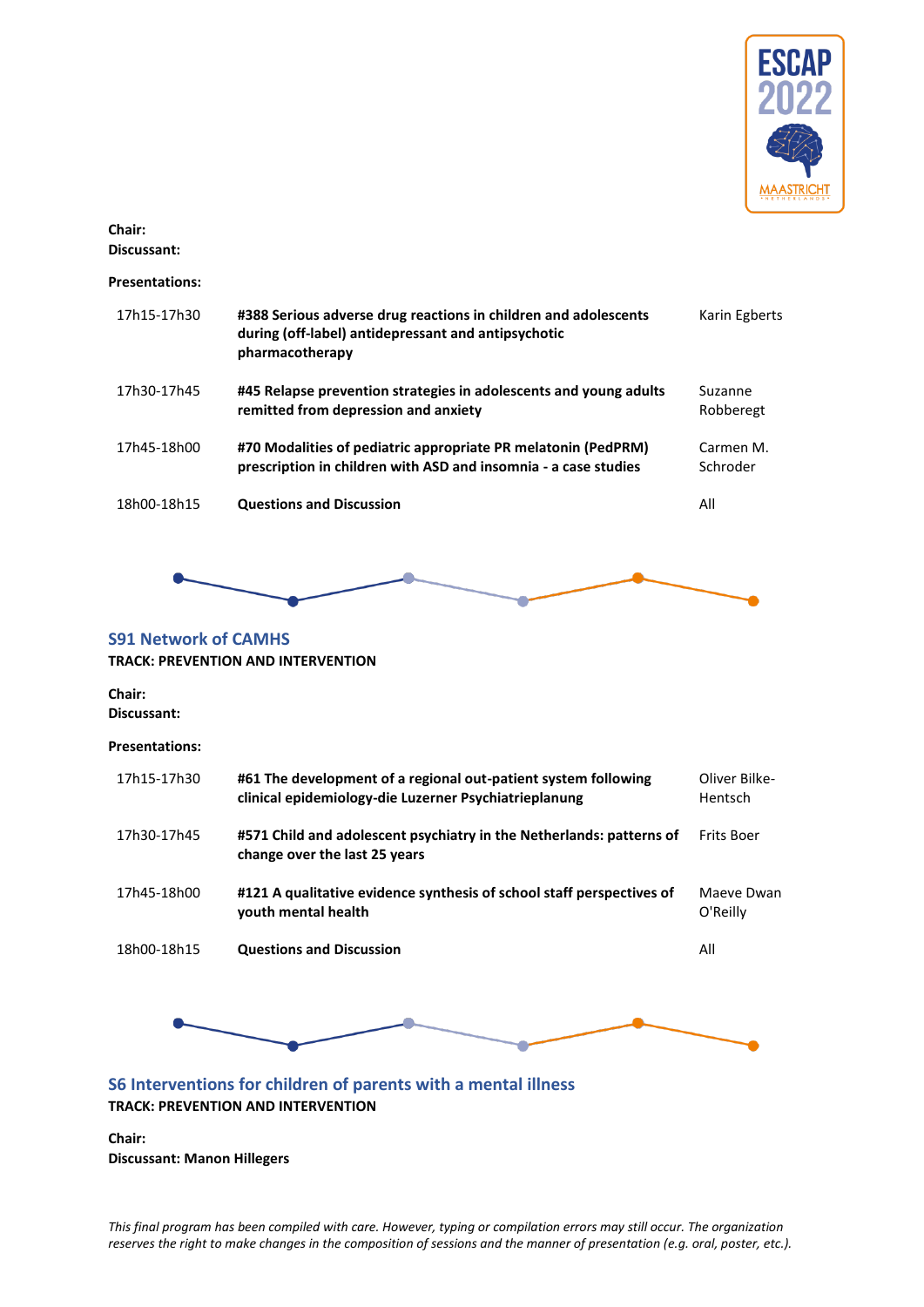

# **Chair:**

**Discussant:**

### **Presentations:**

| 17h15-17h30 | #388 Serious adverse drug reactions in children and adolescents<br>during (off-label) antidepressant and antipsychotic<br>pharmacotherapy | Karin Egberts         |
|-------------|-------------------------------------------------------------------------------------------------------------------------------------------|-----------------------|
| 17h30-17h45 | #45 Relapse prevention strategies in adolescents and young adults<br>remitted from depression and anxiety                                 | Suzanne<br>Robberegt  |
| 17h45-18h00 | #70 Modalities of pediatric appropriate PR melatonin (PedPRM)<br>prescription in children with ASD and insomnia - a case studies          | Carmen M.<br>Schroder |
| 18h00-18h15 | <b>Questions and Discussion</b>                                                                                                           | All                   |



### <span id="page-36-0"></span>**S91 Network of CAMHS TRACK: PREVENTION AND INTERVENTION**

# **Chair:**

**Discussant:**

### **Presentations:**

| 17h15-17h30 | #61 The development of a regional out-patient system following<br>clinical epidemiology-die Luzerner Psychiatrieplanung | Oliver Bilke-<br><b>Hentsch</b> |
|-------------|-------------------------------------------------------------------------------------------------------------------------|---------------------------------|
| 17h30-17h45 | #571 Child and adolescent psychiatry in the Netherlands: patterns of<br>change over the last 25 years                   | Frits Boer                      |
| 17h45-18h00 | #121 A qualitative evidence synthesis of school staff perspectives of<br>youth mental health                            | Maeye Dwan<br>O'Reilly          |
| 18h00-18h15 | <b>Questions and Discussion</b>                                                                                         | All                             |



### <span id="page-36-1"></span>**S6 Interventions for children of parents with a mental illness TRACK: PREVENTION AND INTERVENTION**

**Chair: Discussant: Manon Hillegers**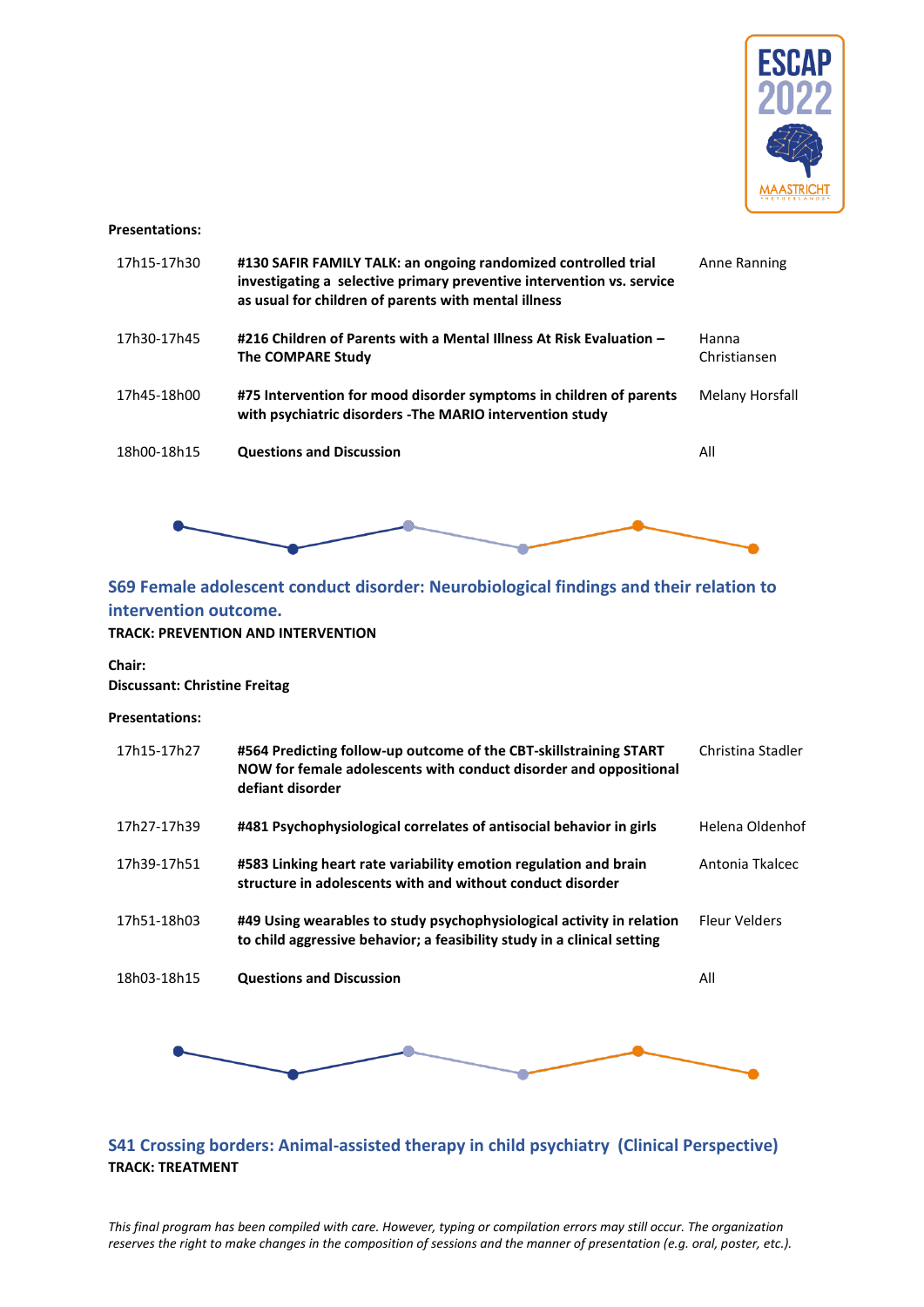

#### **Presentations:**

| 17h15-17h30 | #130 SAFIR FAMILY TALK: an ongoing randomized controlled trial<br>investigating a selective primary preventive intervention vs. service<br>as usual for children of parents with mental illness | Anne Ranning          |
|-------------|-------------------------------------------------------------------------------------------------------------------------------------------------------------------------------------------------|-----------------------|
| 17h30-17h45 | #216 Children of Parents with a Mental Illness At Risk Evaluation -<br>The COMPARE Study                                                                                                        | Hanna<br>Christiansen |
| 17h45-18h00 | #75 Intervention for mood disorder symptoms in children of parents<br>with psychiatric disorders - The MARIO intervention study                                                                 | Melany Horsfall       |
| 18h00-18h15 | <b>Questions and Discussion</b>                                                                                                                                                                 | All                   |



# <span id="page-37-0"></span>**S69 Female adolescent conduct disorder: Neurobiological findings and their relation to intervention outcome.**

### **TRACK: PREVENTION AND INTERVENTION**

**Chair:** 

**Discussant: Christine Freitag**

#### **Presentations:**

| 17h15-17h27 | #564 Predicting follow-up outcome of the CBT-skillstraining START<br>NOW for female adolescents with conduct disorder and oppositional<br>defiant disorder | Christina Stadler |
|-------------|------------------------------------------------------------------------------------------------------------------------------------------------------------|-------------------|
| 17h27-17h39 | #481 Psychophysiological correlates of antisocial behavior in girls                                                                                        | Helena Oldenhof   |
| 17h39-17h51 | #583 Linking heart rate variability emotion regulation and brain<br>structure in adolescents with and without conduct disorder                             | Antonia Tkalcec   |
| 17h51-18h03 | #49 Using wearables to study psychophysiological activity in relation<br>to child aggressive behavior; a feasibility study in a clinical setting           | Fleur Velders     |
| 18h03-18h15 | <b>Questions and Discussion</b>                                                                                                                            | All               |
|             |                                                                                                                                                            |                   |



### <span id="page-37-1"></span>**S41 Crossing borders: Animal-assisted therapy in child psychiatry (Clinical Perspective) TRACK: TREATMENT**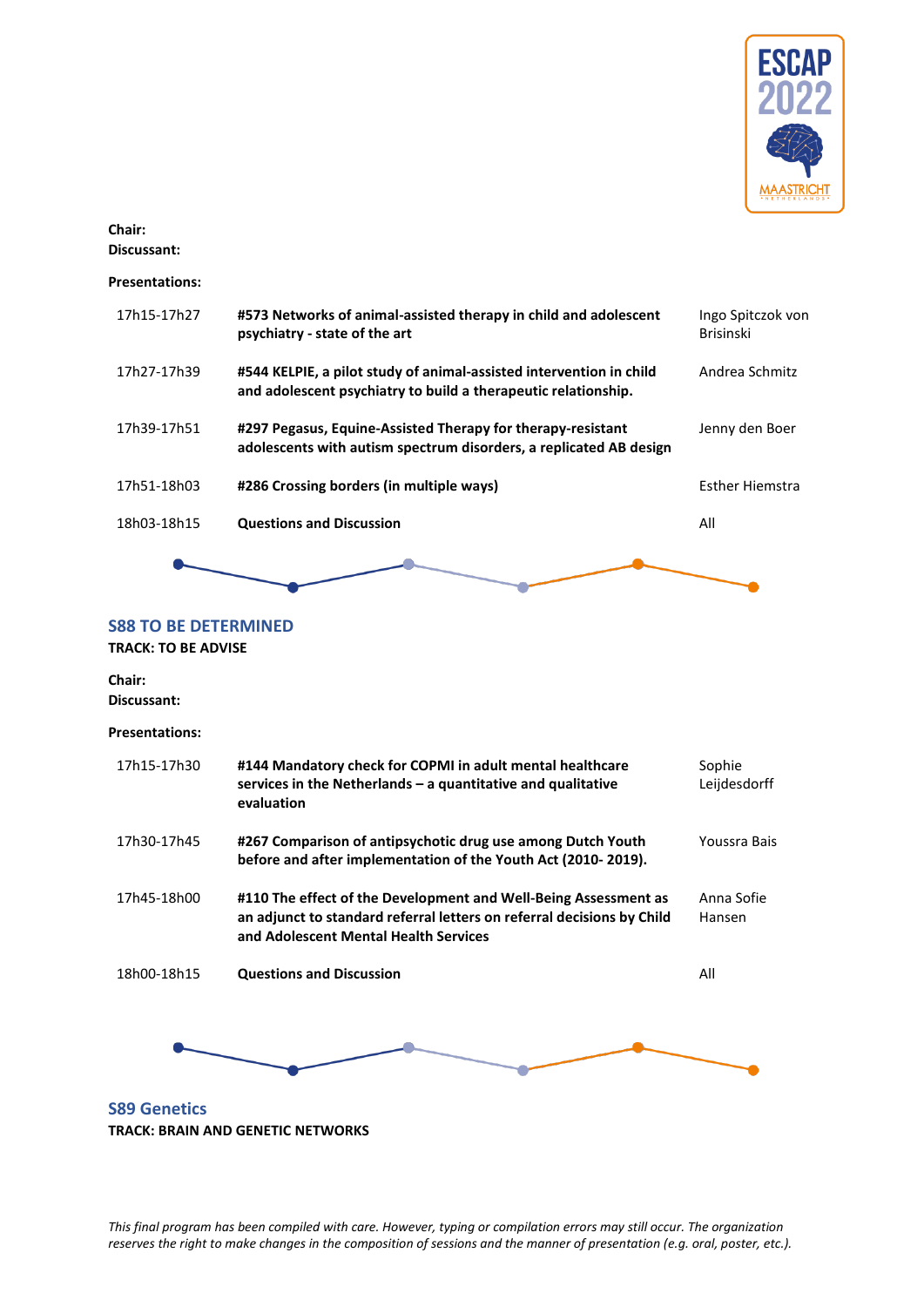

### **Chair:**

**Discussant:**

### **Presentations:**

| 17h15-17h27 | #573 Networks of animal-assisted therapy in child and adolescent<br>psychiatry - state of the art                                     | Ingo Spitczok von<br><b>Brisinski</b> |
|-------------|---------------------------------------------------------------------------------------------------------------------------------------|---------------------------------------|
| 17h27-17h39 | #544 KELPIE, a pilot study of animal-assisted intervention in child<br>and adolescent psychiatry to build a therapeutic relationship. | Andrea Schmitz                        |
| 17h39-17h51 | #297 Pegasus, Equine-Assisted Therapy for therapy-resistant<br>adolescents with autism spectrum disorders, a replicated AB design     | Jenny den Boer                        |
| 17h51-18h03 | #286 Crossing borders (in multiple ways)                                                                                              | Esther Hiemstra                       |
| 18h03-18h15 | <b>Questions and Discussion</b>                                                                                                       | All                                   |
|             |                                                                                                                                       |                                       |

### <span id="page-38-0"></span>**S88 TO BE DETERMINED**

**TRACK: TO BE ADVISE**

**Chair: Discussant:**

**Presentations:**

| 17h15-17h30  | #144 Mandatory check for COPMI in adult mental healthcare<br>services in the Netherlands $-$ a quantitative and qualitative<br>evaluation                                          | Sophie<br>Leijdesdorff |
|--------------|------------------------------------------------------------------------------------------------------------------------------------------------------------------------------------|------------------------|
| 17h30-17h45  | #267 Comparison of antipsychotic drug use among Dutch Youth<br>before and after implementation of the Youth Act (2010-2019).                                                       | Youssra Bais           |
| 17h45-18h00  | #110 The effect of the Development and Well-Being Assessment as<br>an adjunct to standard referral letters on referral decisions by Child<br>and Adolescent Mental Health Services | Anna Sofie<br>Hansen   |
| 18h00-18h15  | <b>Questions and Discussion</b>                                                                                                                                                    | All                    |
|              |                                                                                                                                                                                    |                        |
| S89 Genetics |                                                                                                                                                                                    |                        |

<span id="page-38-1"></span>**TRACK: BRAIN AND GENETIC NETWORKS**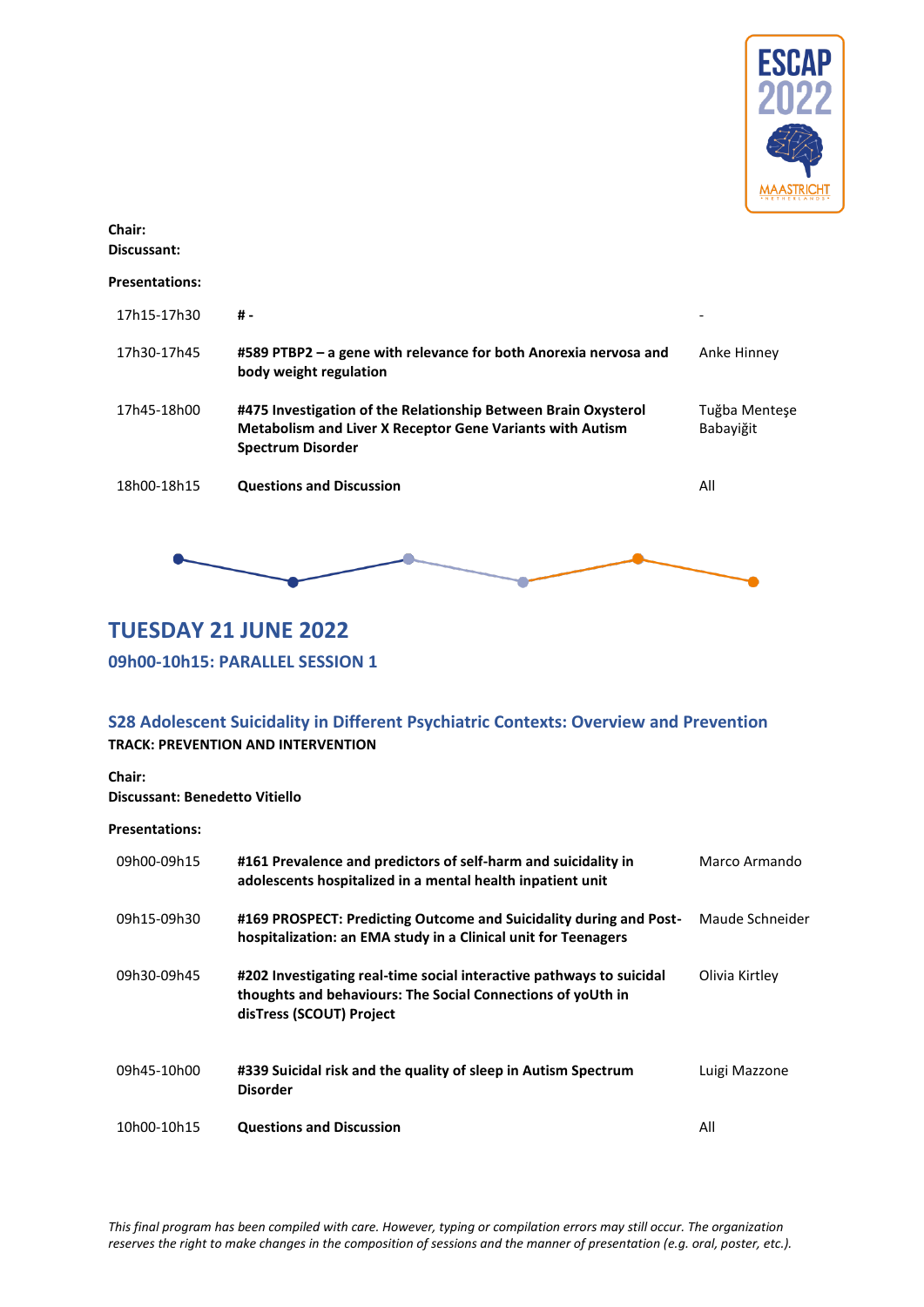

# **Chair:**

**Discussant:**

### **Presentations:**

| 17h15-17h30 | # -                                                                                                                                                            |                            |
|-------------|----------------------------------------------------------------------------------------------------------------------------------------------------------------|----------------------------|
| 17h30-17h45 | #589 PTBP2 - a gene with relevance for both Anorexia nervosa and<br>body weight regulation                                                                     | Anke Hinney                |
| 17h45-18h00 | #475 Investigation of the Relationship Between Brain Oxysterol<br><b>Metabolism and Liver X Receptor Gene Variants with Autism</b><br><b>Spectrum Disorder</b> | Tuğba Mentese<br>Babayiğit |
| 18h00-18h15 | <b>Questions and Discussion</b>                                                                                                                                | All                        |



# <span id="page-39-0"></span>**TUESDAY 21 JUNE 2022**

<span id="page-39-1"></span>**09h00-10h15: PARALLEL SESSION 1**

### <span id="page-39-2"></span>**S28 Adolescent Suicidality in Different Psychiatric Contexts: Overview and Prevention TRACK: PREVENTION AND INTERVENTION**

**Chair:** 

**Discussant: Benedetto Vitiello**

| 09h00-09h15 | #161 Prevalence and predictors of self-harm and suicidality in<br>adolescents hospitalized in a mental health inpatient unit                                    | Marco Armando   |
|-------------|-----------------------------------------------------------------------------------------------------------------------------------------------------------------|-----------------|
| 09h15-09h30 | #169 PROSPECT: Predicting Outcome and Suicidality during and Post-<br>hospitalization: an EMA study in a Clinical unit for Teenagers                            | Maude Schneider |
| 09h30-09h45 | #202 Investigating real-time social interactive pathways to suicidal<br>thoughts and behaviours: The Social Connections of yoUth in<br>disTress (SCOUT) Project | Olivia Kirtley  |
| 09h45-10h00 | #339 Suicidal risk and the quality of sleep in Autism Spectrum<br><b>Disorder</b>                                                                               | Luigi Mazzone   |
| 10h00-10h15 | <b>Questions and Discussion</b>                                                                                                                                 | All             |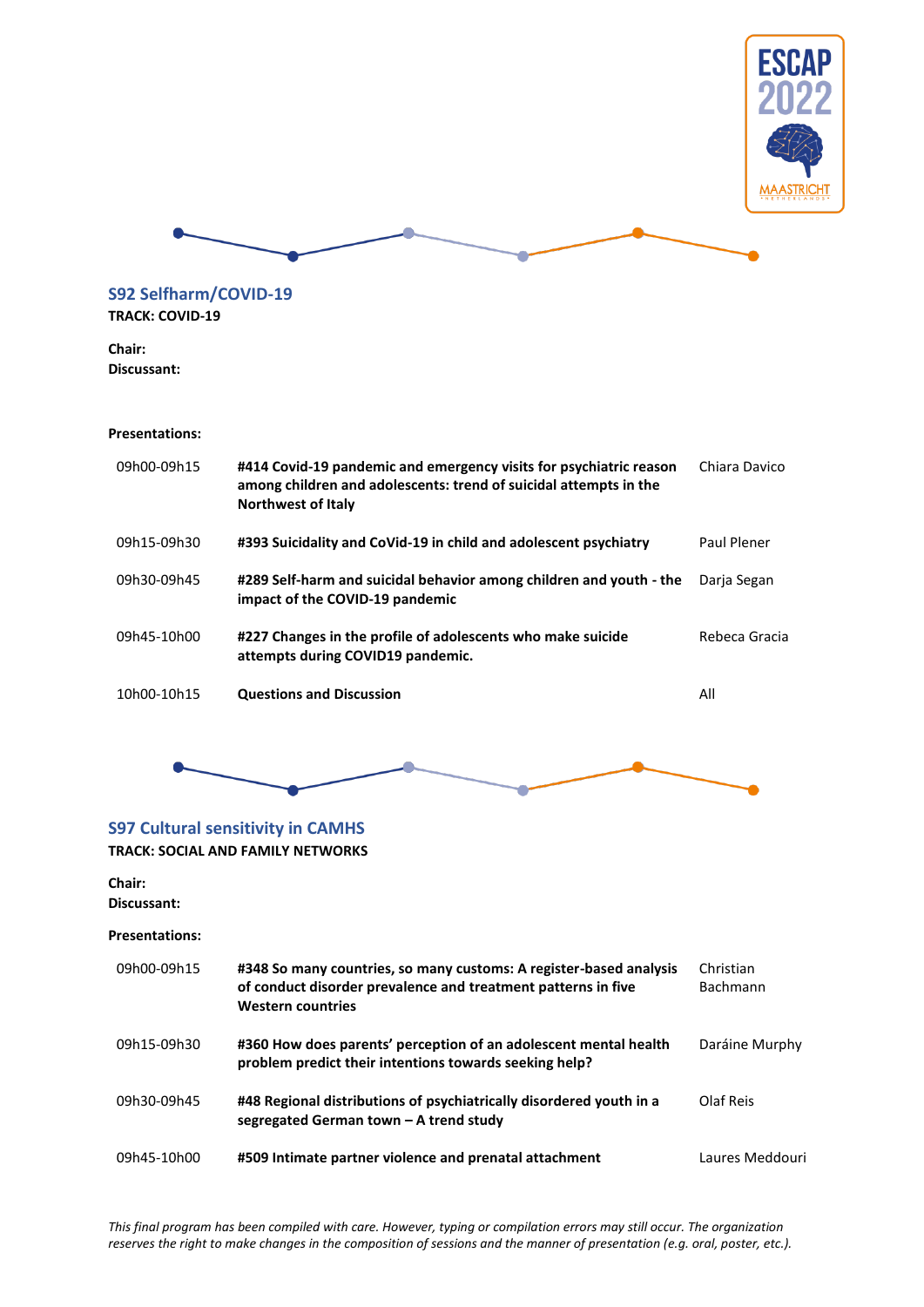



<span id="page-40-0"></span>**S92 Selfharm/COVID-19 TRACK: COVID-19**

**Chair: Discussant:**

### **Presentations:**

| 09h00-09h15 | #414 Covid-19 pandemic and emergency visits for psychiatric reason<br>among children and adolescents: trend of suicidal attempts in the<br><b>Northwest of Italy</b> | Chiara Davico |
|-------------|----------------------------------------------------------------------------------------------------------------------------------------------------------------------|---------------|
| 09h15-09h30 | #393 Suicidality and CoVid-19 in child and adolescent psychiatry                                                                                                     | Paul Plener   |
| 09h30-09h45 | #289 Self-harm and suicidal behavior among children and youth - the<br>impact of the COVID-19 pandemic                                                               | Darja Segan   |
| 09h45-10h00 | #227 Changes in the profile of adolescents who make suicide<br>attempts during COVID19 pandemic.                                                                     | Rebeca Gracia |
| 10h00-10h15 | <b>Questions and Discussion</b>                                                                                                                                      | All           |



### <span id="page-40-1"></span>**S97 Cultural sensitivity in CAMHS**

**TRACK: SOCIAL AND FAMILY NETWORKS**

#### **Chair:**

**Discussant:**

| 09h00-09h15 | #348 So many countries, so many customs: A register-based analysis<br>of conduct disorder prevalence and treatment patterns in five<br><b>Western countries</b> | Christian<br><b>Bachmann</b> |
|-------------|-----------------------------------------------------------------------------------------------------------------------------------------------------------------|------------------------------|
| 09h15-09h30 | #360 How does parents' perception of an adolescent mental health<br>problem predict their intentions towards seeking help?                                      | Daráine Murphy               |
| 09h30-09h45 | #48 Regional distributions of psychiatrically disordered youth in a<br>segregated German town - A trend study                                                   | Olaf Reis                    |
| 09h45-10h00 | #509 Intimate partner violence and prenatal attachment                                                                                                          | Laures Meddouri              |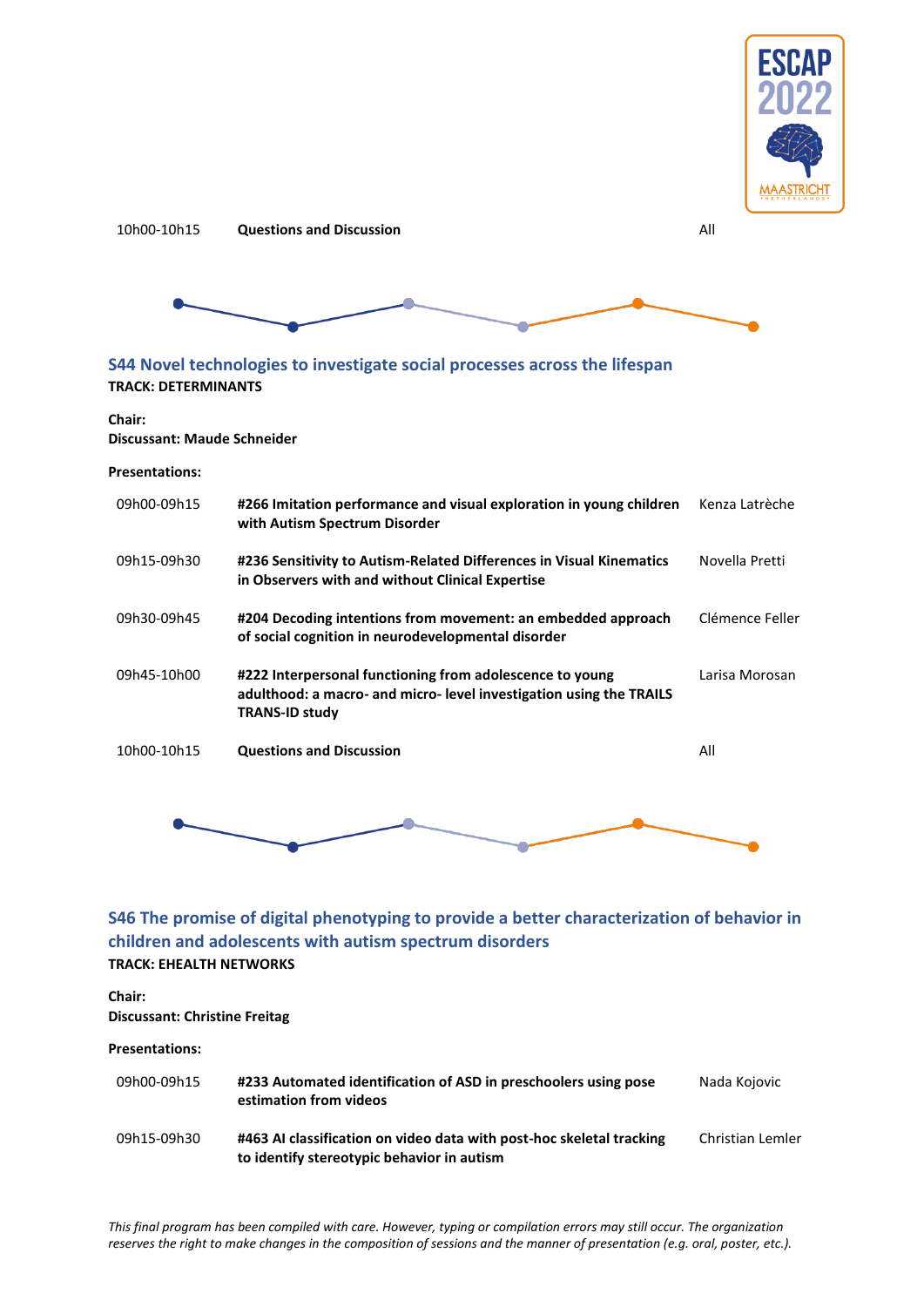





<span id="page-41-0"></span>**S44 Novel technologies to investigate social processes across the lifespan TRACK: DETERMINANTS**

#### **Chair: Discussant: Maude Schneider**

#### **Presentations:**

| 09h00-09h15 | #266 Imitation performance and visual exploration in young children<br>with Autism Spectrum Disorder                                                     | Kenza Latrèche  |
|-------------|----------------------------------------------------------------------------------------------------------------------------------------------------------|-----------------|
| 09h15-09h30 | #236 Sensitivity to Autism-Related Differences in Visual Kinematics<br>in Observers with and without Clinical Expertise                                  | Novella Pretti  |
| 09h30-09h45 | #204 Decoding intentions from movement: an embedded approach<br>of social cognition in neurodevelopmental disorder                                       | Clémence Feller |
| 09h45-10h00 | #222 Interpersonal functioning from adolescence to young<br>adulthood: a macro- and micro- level investigation using the TRAILS<br><b>TRANS-ID study</b> | Larisa Morosan  |
| 10h00-10h15 | <b>Questions and Discussion</b>                                                                                                                          | All             |



### <span id="page-41-1"></span>**S46 The promise of digital phenotyping to provide a better characterization of behavior in children and adolescents with autism spectrum disorders TRACK: EHEALTH NETWORKS**

#### **Chair: Discussant: Christine Freitag**

| 09h00-09h15 | #233 Automated identification of ASD in preschoolers using pose<br>estimation from videos                          | Nada Kojovic     |
|-------------|--------------------------------------------------------------------------------------------------------------------|------------------|
| 09h15-09h30 | #463 AI classification on video data with post-hoc skeletal tracking<br>to identify stereotypic behavior in autism | Christian Lemler |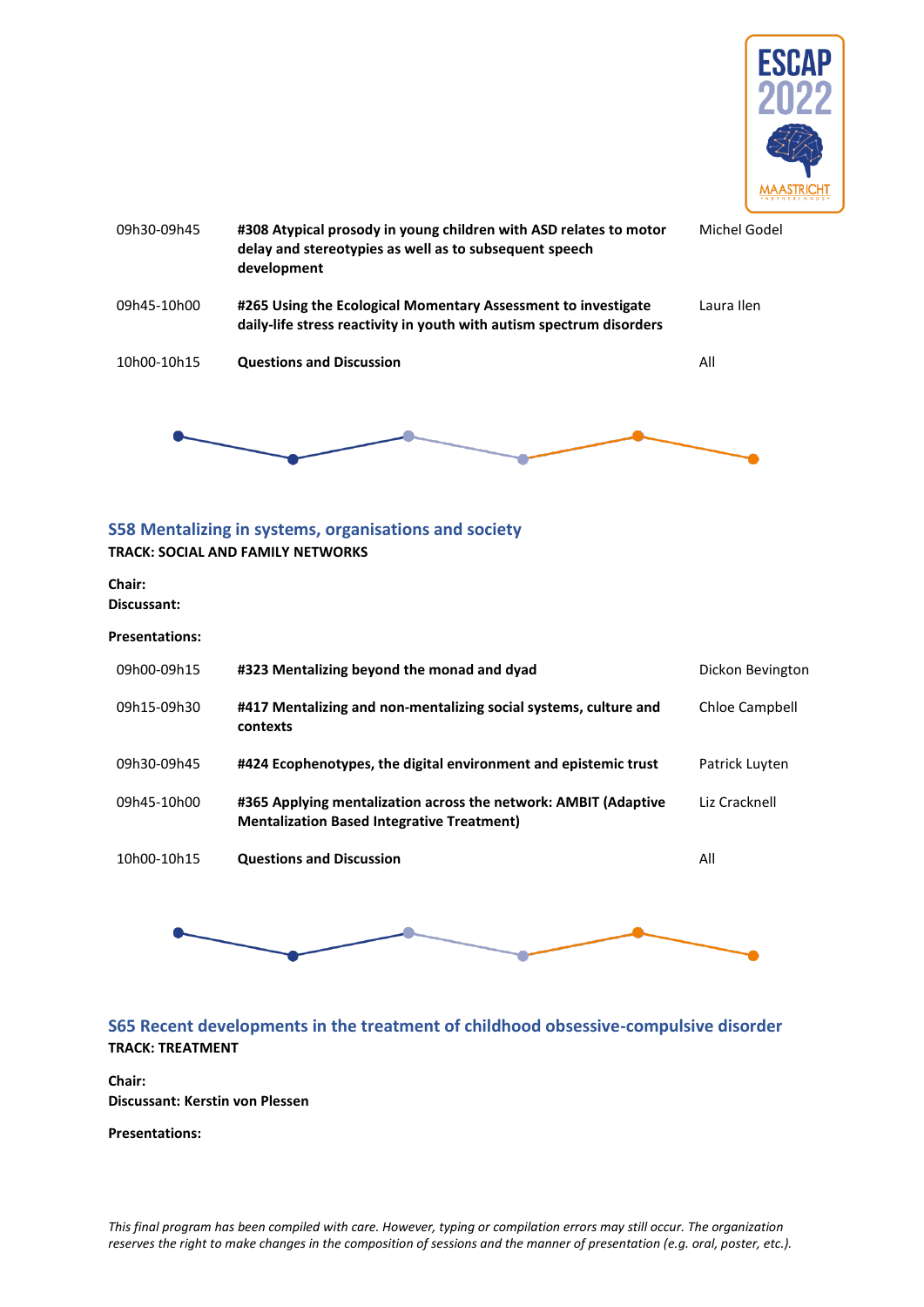

| 09h30-09h45 | #308 Atypical prosody in young children with ASD relates to motor<br>delay and stereotypies as well as to subsequent speech<br>development | Michel Godel |
|-------------|--------------------------------------------------------------------------------------------------------------------------------------------|--------------|
| 09h45-10h00 | #265 Using the Ecological Momentary Assessment to investigate<br>daily-life stress reactivity in youth with autism spectrum disorders      | Laura Ilen   |
| 10h00-10h15 | <b>Questions and Discussion</b>                                                                                                            | All          |
|             |                                                                                                                                            |              |

### <span id="page-42-0"></span>**S58 Mentalizing in systems, organisations and society TRACK: SOCIAL AND FAMILY NETWORKS**

**Chair: Discussant:**

**Presentations:**

| 09h00-09h15 | #323 Mentalizing beyond the monad and dyad                                                                           | Dickon Bevington |
|-------------|----------------------------------------------------------------------------------------------------------------------|------------------|
| 09h15-09h30 | #417 Mentalizing and non-mentalizing social systems, culture and<br>contexts                                         | Chloe Campbell   |
| 09h30-09h45 | #424 Ecophenotypes, the digital environment and epistemic trust                                                      | Patrick Luyten   |
| 09h45-10h00 | #365 Applying mentalization across the network: AMBIT (Adaptive<br><b>Mentalization Based Integrative Treatment)</b> | Liz Cracknell    |
| 10h00-10h15 | <b>Questions and Discussion</b>                                                                                      | All              |
|             |                                                                                                                      |                  |

### <span id="page-42-1"></span>**S65 Recent developments in the treatment of childhood obsessive-compulsive disorder TRACK: TREATMENT**

**Chair: Discussant: Kerstin von Plessen**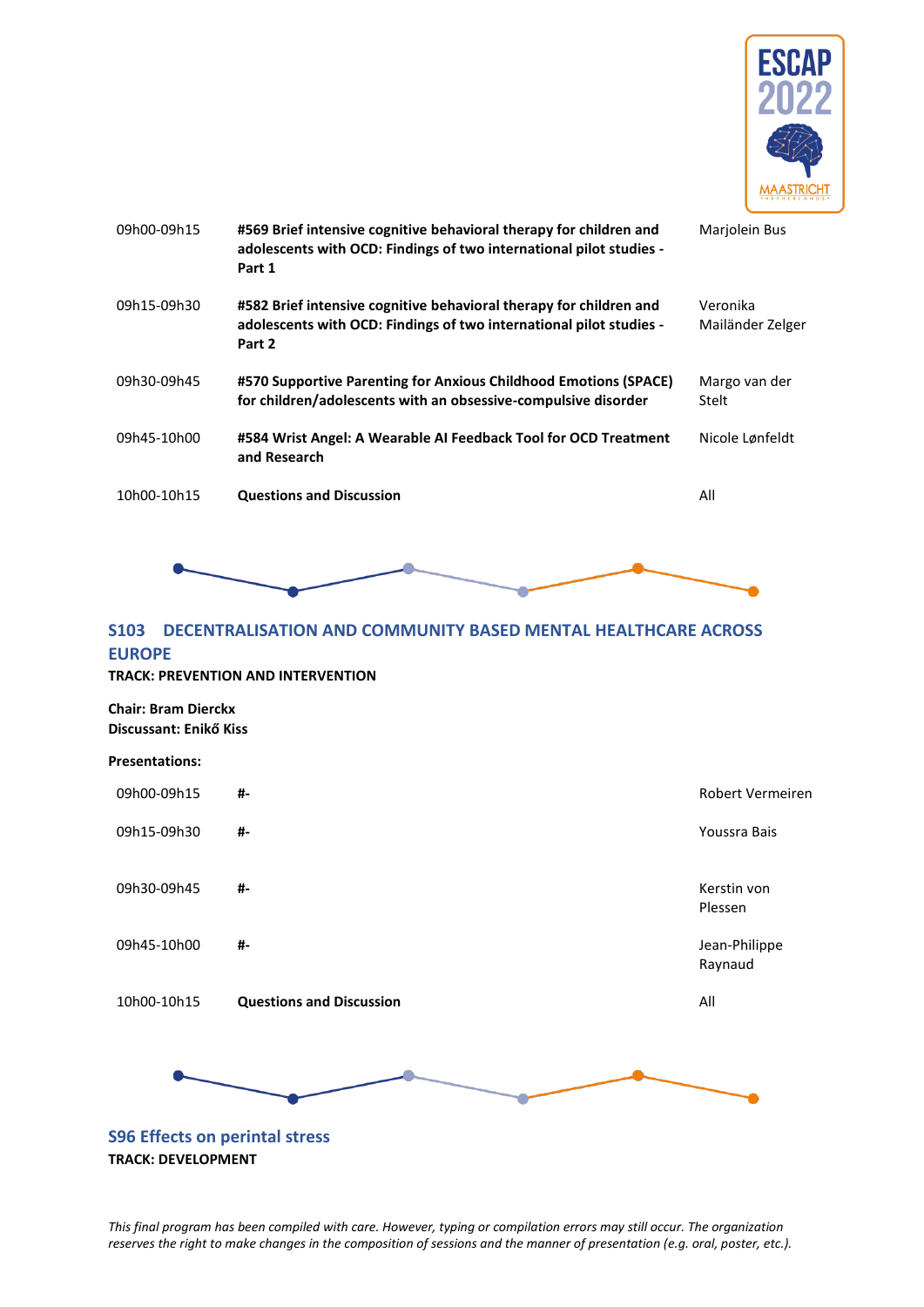

| 09h00-09h15 | #569 Brief intensive cognitive behavioral therapy for children and<br>adolescents with OCD: Findings of two international pilot studies -<br>Part 1 | Marjolein Bus                |
|-------------|-----------------------------------------------------------------------------------------------------------------------------------------------------|------------------------------|
| 09h15-09h30 | #582 Brief intensive cognitive behavioral therapy for children and<br>adolescents with OCD: Findings of two international pilot studies -<br>Part 2 | Veronika<br>Mailänder Zelger |
| 09h30-09h45 | #570 Supportive Parenting for Anxious Childhood Emotions (SPACE)<br>for children/adolescents with an obsessive-compulsive disorder                  | Margo van der<br>Stelt       |
| 09h45-10h00 | #584 Wrist Angel: A Wearable AI Feedback Tool for OCD Treatment<br>and Research                                                                     | Nicole Lønfeldt              |
| 10h00-10h15 | <b>Questions and Discussion</b>                                                                                                                     | All                          |



# <span id="page-43-0"></span>**S103 DECENTRALISATION AND COMMUNITY BASED MENTAL HEALTHCARE ACROSS EUROPE**

#### **TRACK: PREVENTION AND INTERVENTION**

#### **Chair: Bram Dierckx Discussant: Enikő Kiss**

#### **Presentations:**



<span id="page-43-1"></span>**TRACK: DEVELOPMENT**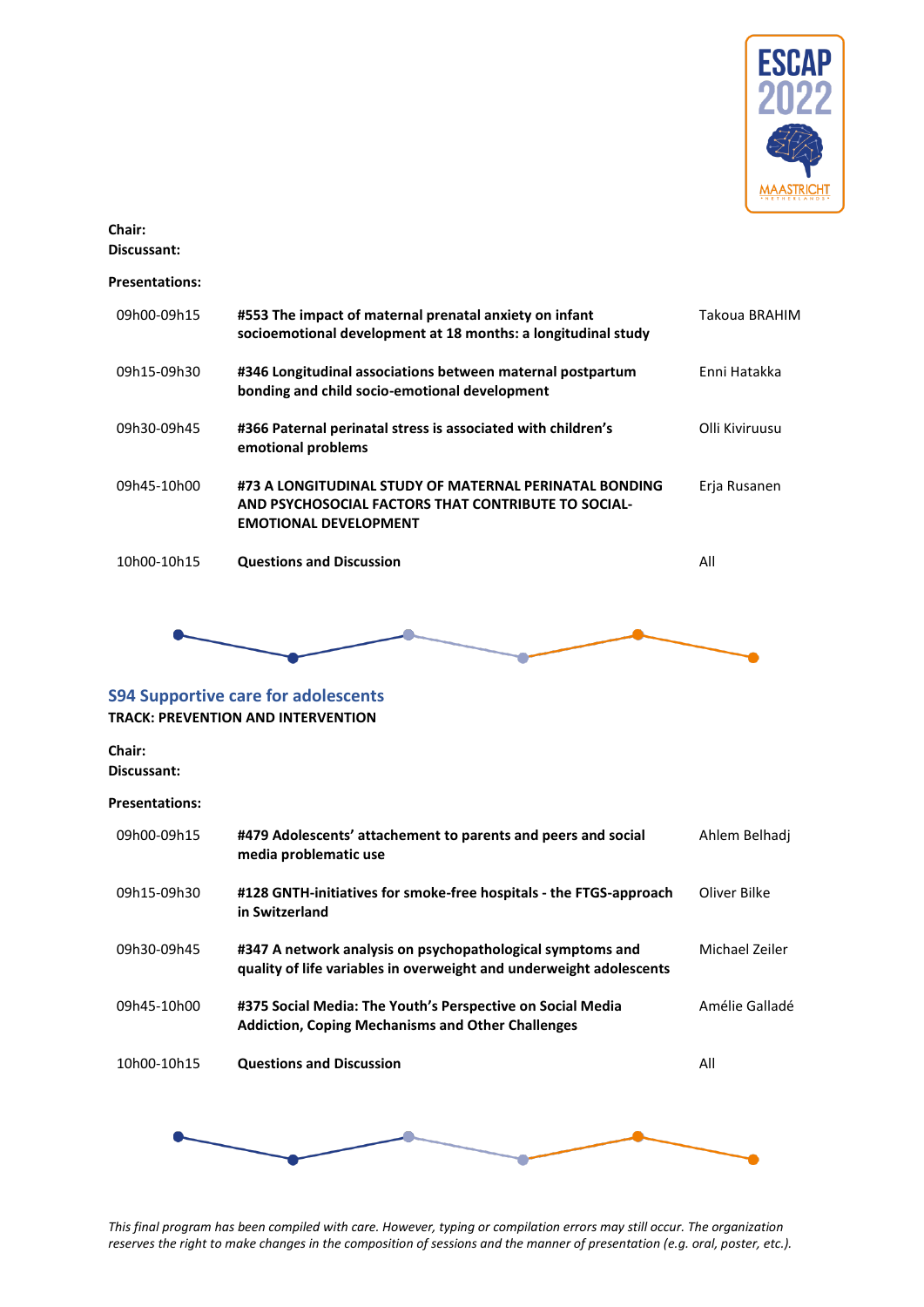

### **Chair:**

**Discussant:**

### **Presentations:**

| 09h00-09h15 | #553 The impact of maternal prenatal anxiety on infant<br>socioemotional development at 18 months: a longitudinal study                       | Takoua BRAHIM       |
|-------------|-----------------------------------------------------------------------------------------------------------------------------------------------|---------------------|
| 09h15-09h30 | #346 Longitudinal associations between maternal postpartum<br>bonding and child socio-emotional development                                   | <b>Fnni Hatakka</b> |
| 09h30-09h45 | #366 Paternal perinatal stress is associated with children's<br>emotional problems                                                            | Olli Kiviruusu      |
| 09h45-10h00 | #73 A LONGITUDINAL STUDY OF MATERNAL PERINATAL BONDING<br>AND PSYCHOSOCIAL FACTORS THAT CONTRIBUTE TO SOCIAL-<br><b>EMOTIONAL DEVELOPMENT</b> | Erja Rusanen        |
| 10h00-10h15 | <b>Questions and Discussion</b>                                                                                                               | All                 |



<span id="page-44-0"></span>

# **Chair:**

**Discussant:**

### **Presentations:**

| 09h00-09h15 | #479 Adolescents' attachement to parents and peers and social<br>media problematic use                                            | Ahlem Belhadi  |
|-------------|-----------------------------------------------------------------------------------------------------------------------------------|----------------|
| 09h15-09h30 | #128 GNTH-initiatives for smoke-free hospitals - the FTGS-approach<br>in Switzerland                                              | Oliver Bilke   |
| 09h30-09h45 | #347 A network analysis on psychopathological symptoms and<br>quality of life variables in overweight and underweight adolescents | Michael Zeiler |
| 09h45-10h00 | #375 Social Media: The Youth's Perspective on Social Media<br><b>Addiction, Coping Mechanisms and Other Challenges</b>            | Amélie Galladé |
| 10h00-10h15 | <b>Questions and Discussion</b>                                                                                                   | All            |
|             |                                                                                                                                   |                |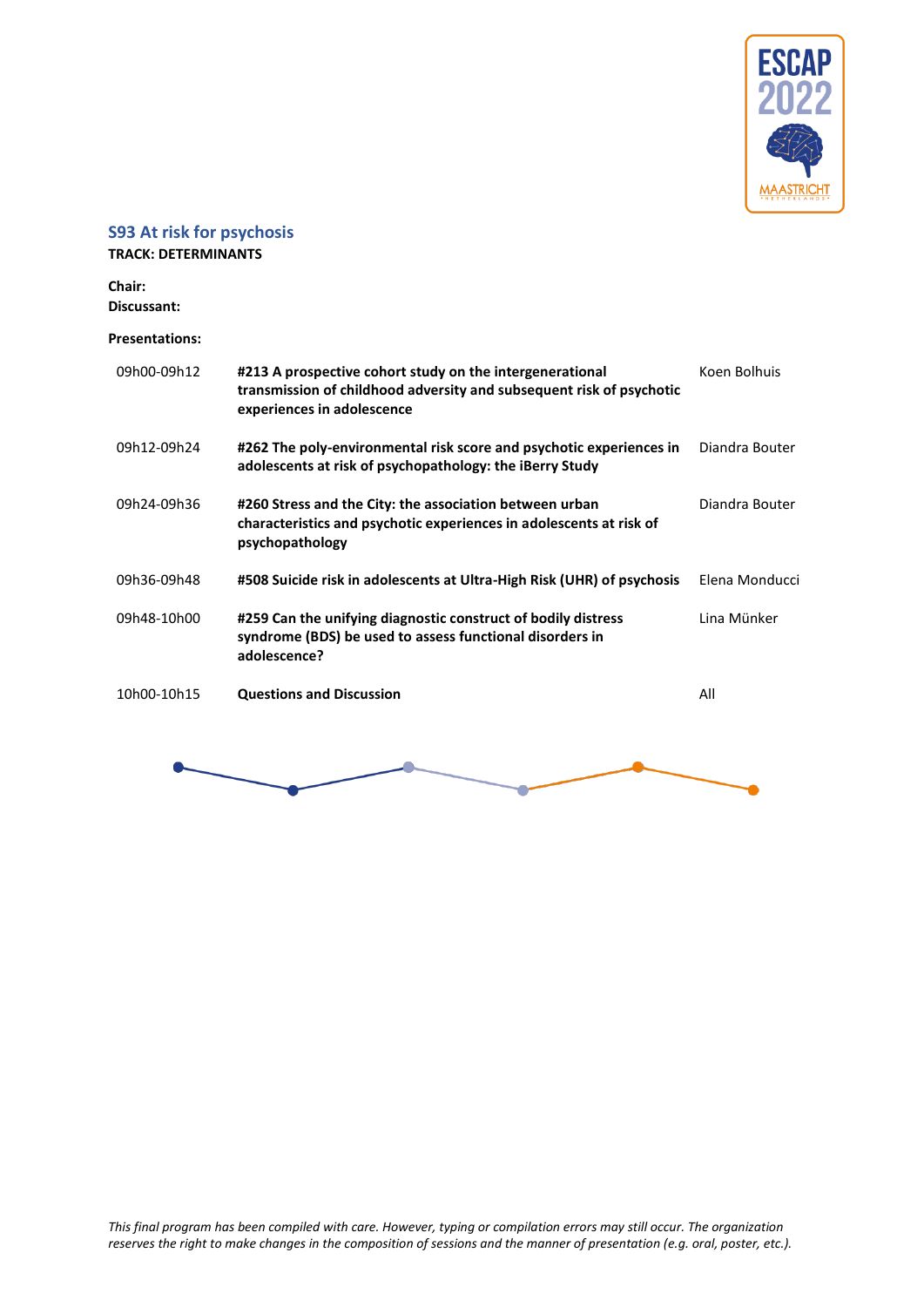

### <span id="page-45-0"></span>**S93 At risk for psychosis**

#### **TRACK: DETERMINANTS**

**Chair: Discussant:**

| 09h00-09h12 | #213 A prospective cohort study on the intergenerational<br>transmission of childhood adversity and subsequent risk of psychotic<br>experiences in adolescence | Koen Bolhuis   |
|-------------|----------------------------------------------------------------------------------------------------------------------------------------------------------------|----------------|
| 09h12-09h24 | #262 The poly-environmental risk score and psychotic experiences in<br>adolescents at risk of psychopathology: the iBerry Study                                | Diandra Bouter |
| 09h24-09h36 | #260 Stress and the City: the association between urban<br>characteristics and psychotic experiences in adolescents at risk of<br>psychopathology              | Diandra Bouter |
| 09h36-09h48 | #508 Suicide risk in adolescents at Ultra-High Risk (UHR) of psychosis                                                                                         | Elena Monducci |
| 09h48-10h00 | #259 Can the unifying diagnostic construct of bodily distress<br>syndrome (BDS) be used to assess functional disorders in<br>adolescence?                      | Lina Münker    |
| 10h00-10h15 | <b>Questions and Discussion</b>                                                                                                                                | All            |

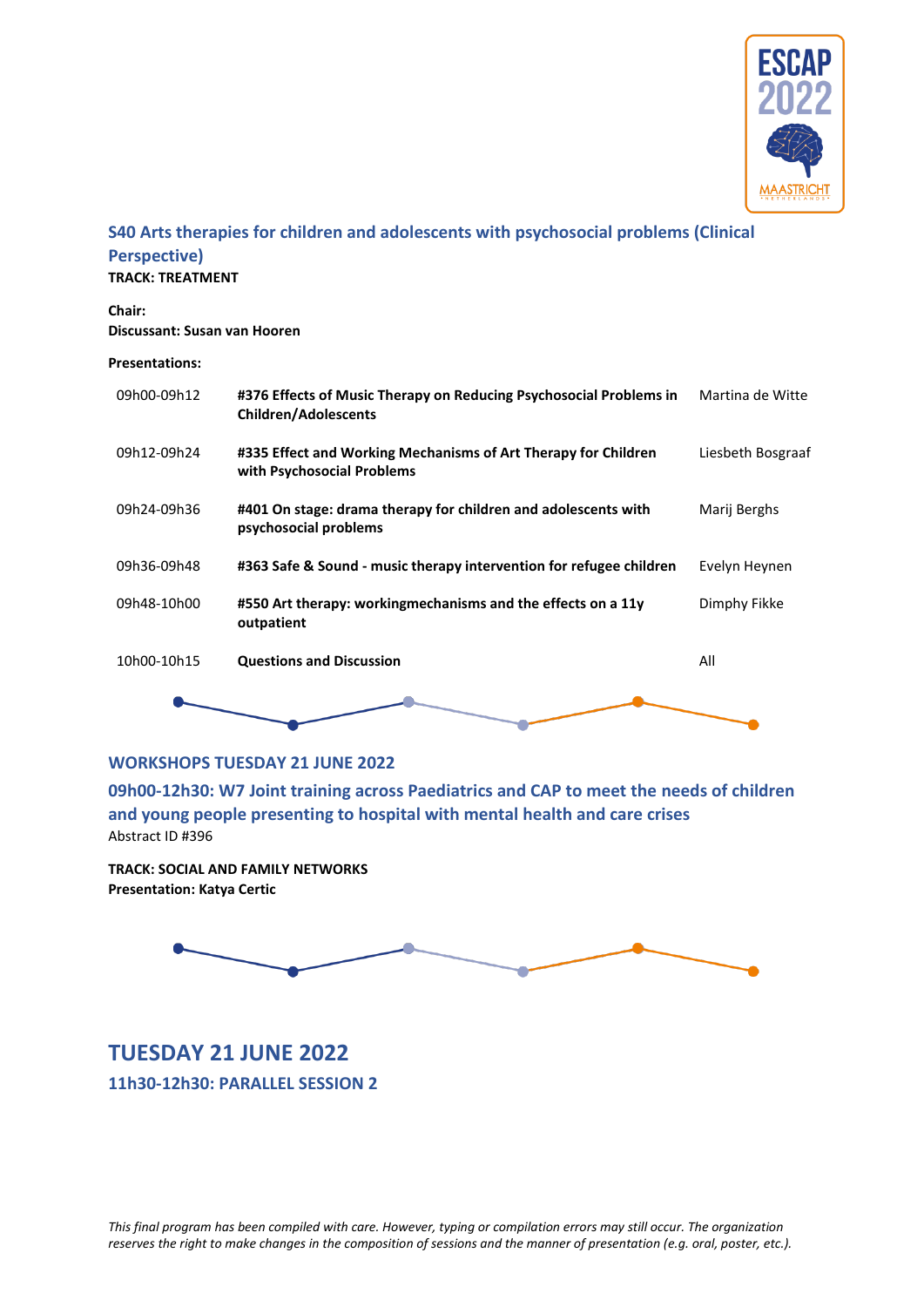

### <span id="page-46-0"></span>**S40 Arts therapies for children and adolescents with psychosocial problems (Clinical Perspective)**

**TRACK: TREATMENT**

**Chair: Discussant: Susan van Hooren**

**Presentations:**

| 09h00-09h12 | #376 Effects of Music Therapy on Reducing Psychosocial Problems in<br><b>Children/Adolescents</b> | Martina de Witte  |
|-------------|---------------------------------------------------------------------------------------------------|-------------------|
| 09h12-09h24 | #335 Effect and Working Mechanisms of Art Therapy for Children<br>with Psychosocial Problems      | Liesbeth Bosgraaf |
| 09h24-09h36 | #401 On stage: drama therapy for children and adolescents with<br>psychosocial problems           | Marij Berghs      |
| 09h36-09h48 | #363 Safe & Sound - music therapy intervention for refugee children                               | Evelyn Heynen     |
| 09h48-10h00 | #550 Art therapy: workingmechanisms and the effects on a 11y<br>outpatient                        | Dimphy Fikke      |
| 10h00-10h15 | <b>Questions and Discussion</b>                                                                   | All               |
|             |                                                                                                   |                   |

### <span id="page-46-1"></span>**WORKSHOPS TUESDAY 21 JUNE 2022**

<span id="page-46-2"></span>**09h00-12h30: W7 Joint training across Paediatrics and CAP to meet the needs of children and young people presenting to hospital with mental health and care crises** Abstract ID #396

**TRACK: SOCIAL AND FAMILY NETWORKS Presentation: Katya Certic**



<span id="page-46-4"></span><span id="page-46-3"></span>**TUESDAY 21 JUNE 2022 11h30-12h30: PARALLEL SESSION 2**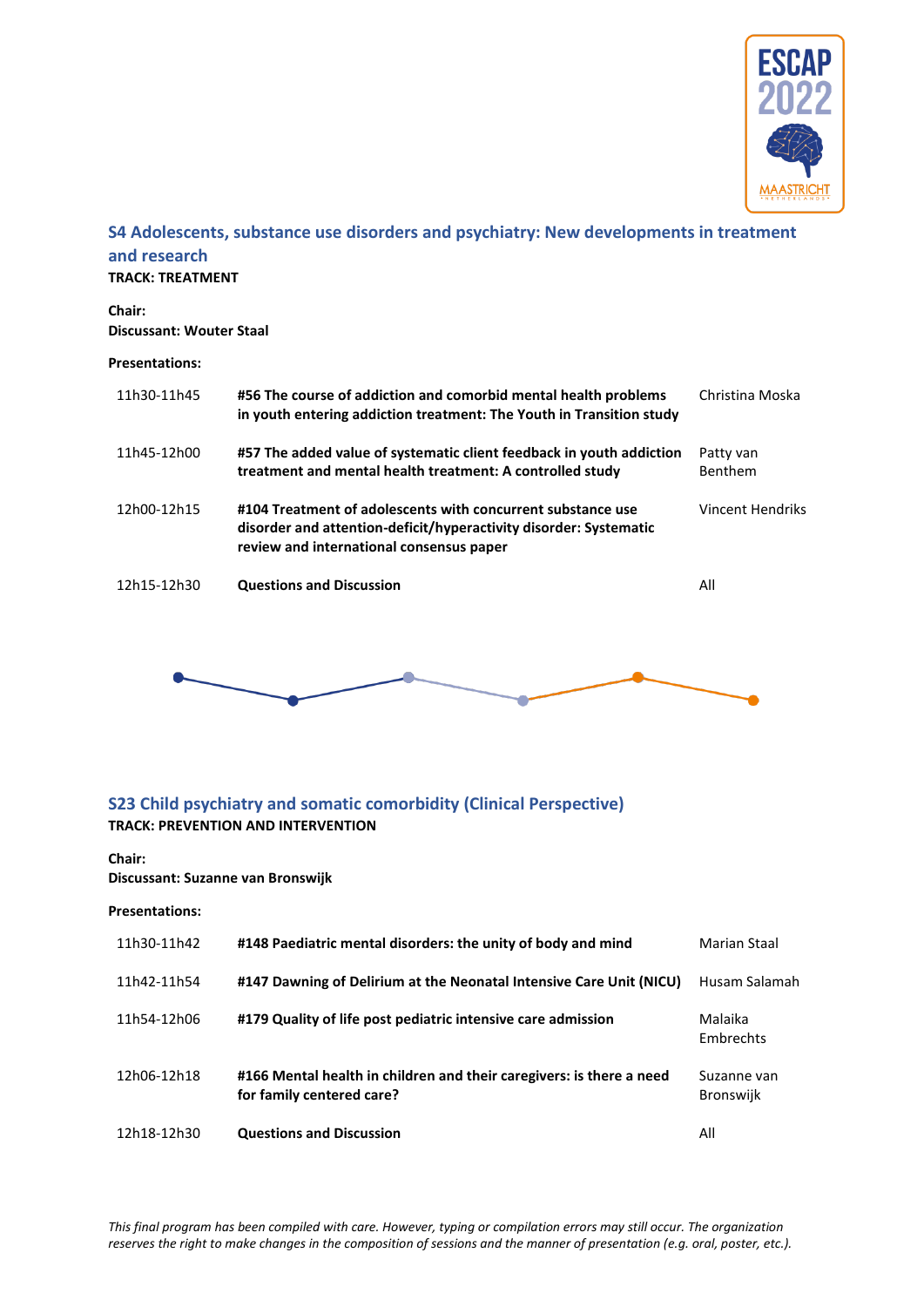

### <span id="page-47-0"></span>**S4 Adolescents, substance use disorders and psychiatry: New developments in treatment and research**

**TRACK: TREATMENT**

**Chair: Discussant: Wouter Staal**

#### **Presentations:**

| 11h30-11h45 | #56 The course of addiction and comorbid mental health problems<br>in youth entering addiction treatment: The Youth in Transition study                                      | Christina Moska      |
|-------------|------------------------------------------------------------------------------------------------------------------------------------------------------------------------------|----------------------|
| 11h45-12h00 | #57 The added value of systematic client feedback in youth addiction<br>treatment and mental health treatment: A controlled study                                            | Patty van<br>Benthem |
| 12h00-12h15 | #104 Treatment of adolescents with concurrent substance use<br>disorder and attention-deficit/hyperactivity disorder: Systematic<br>review and international consensus paper | Vincent Hendriks     |
| 12h15-12h30 | <b>Questions and Discussion</b>                                                                                                                                              | All                  |



### <span id="page-47-1"></span>**S23 Child psychiatry and somatic comorbidity (Clinical Perspective) TRACK: PREVENTION AND INTERVENTION**

#### **Chair:**

**Discussant: Suzanne van Bronswijk**

| 11h30-11h42 | #148 Paediatric mental disorders: the unity of body and mind                                      | Marian Staal                    |
|-------------|---------------------------------------------------------------------------------------------------|---------------------------------|
| 11h42-11h54 | #147 Dawning of Delirium at the Neonatal Intensive Care Unit (NICU)                               | Husam Salamah                   |
| 11h54-12h06 | #179 Quality of life post pediatric intensive care admission                                      | Malaika<br>Embrechts            |
| 12h06-12h18 | #166 Mental health in children and their caregivers: is there a need<br>for family centered care? | Suzanne van<br><b>Bronswijk</b> |
| 12h18-12h30 | <b>Questions and Discussion</b>                                                                   | All                             |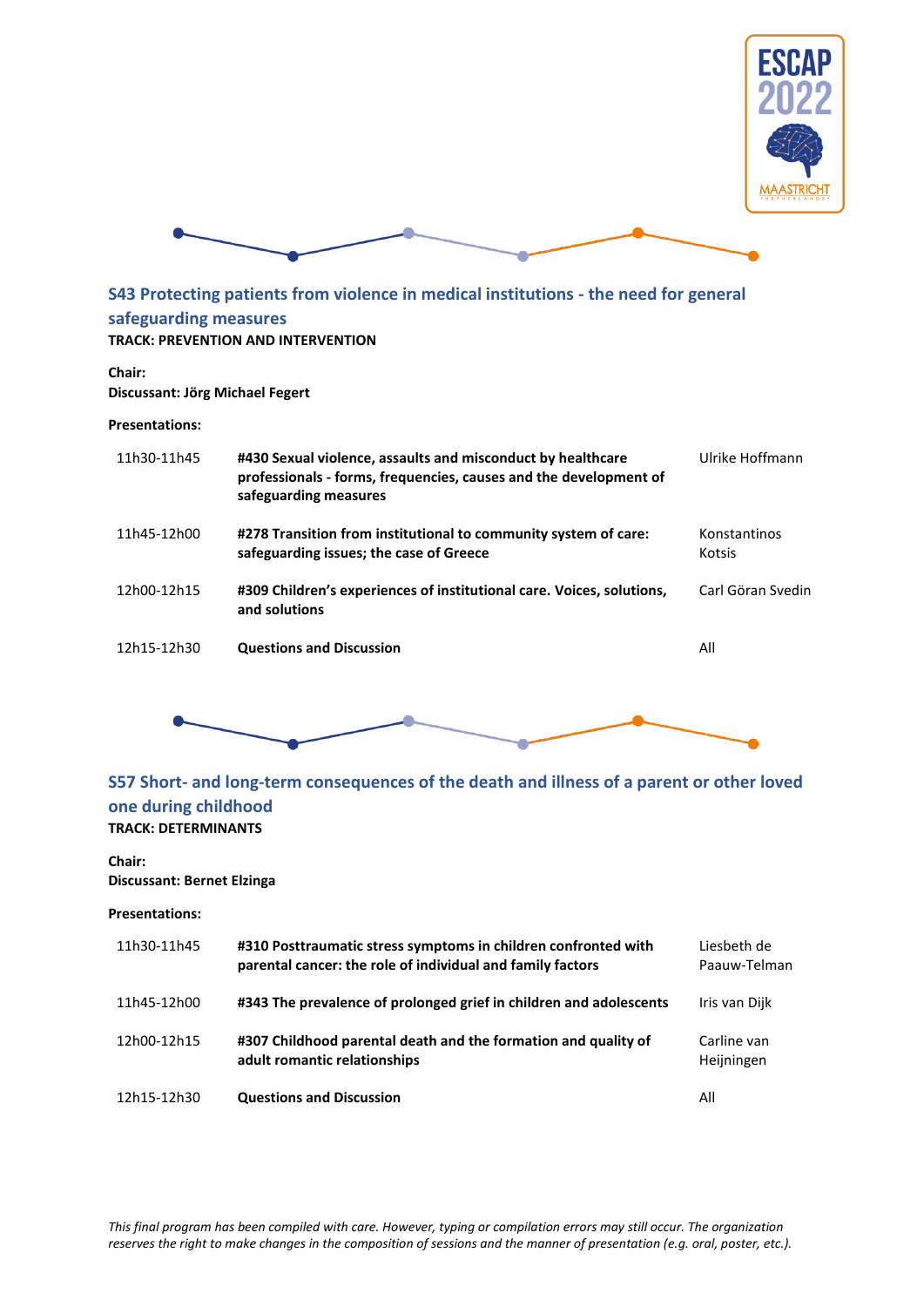



# <span id="page-48-0"></span>**S43 Protecting patients from violence in medical institutions - the need for general safeguarding measures**

### **TRACK: PREVENTION AND INTERVENTION**

#### **Chair:**

#### **Discussant: Jörg Michael Fegert**

#### **Presentations:**

| 11h30-11h45 | #430 Sexual violence, assaults and misconduct by healthcare<br>professionals - forms, frequencies, causes and the development of<br>safeguarding measures | Ulrike Hoffmann        |
|-------------|-----------------------------------------------------------------------------------------------------------------------------------------------------------|------------------------|
| 11h45-12h00 | #278 Transition from institutional to community system of care:<br>safeguarding issues; the case of Greece                                                | Konstantinos<br>Kotsis |
| 12h00-12h15 | #309 Children's experiences of institutional care. Voices, solutions,<br>and solutions                                                                    | Carl Göran Svedin      |
| 12h15-12h30 | <b>Questions and Discussion</b>                                                                                                                           | All                    |



### <span id="page-48-1"></span>**S57 Short- and long-term consequences of the death and illness of a parent or other loved one during childhood TRACK: DETERMINANTS**

#### **Chair:**

#### **Discussant: Bernet Elzinga**

| 11h30-11h45 | #310 Posttraumatic stress symptoms in children confronted with<br>parental cancer: the role of individual and family factors | Liesbeth de<br>Paauw-Telman |
|-------------|------------------------------------------------------------------------------------------------------------------------------|-----------------------------|
| 11h45-12h00 | #343 The prevalence of prolonged grief in children and adolescents                                                           | Iris van Dijk               |
| 12h00-12h15 | #307 Childhood parental death and the formation and quality of<br>adult romantic relationships                               | Carline van<br>Heijningen   |
| 12h15-12h30 | <b>Questions and Discussion</b>                                                                                              | All                         |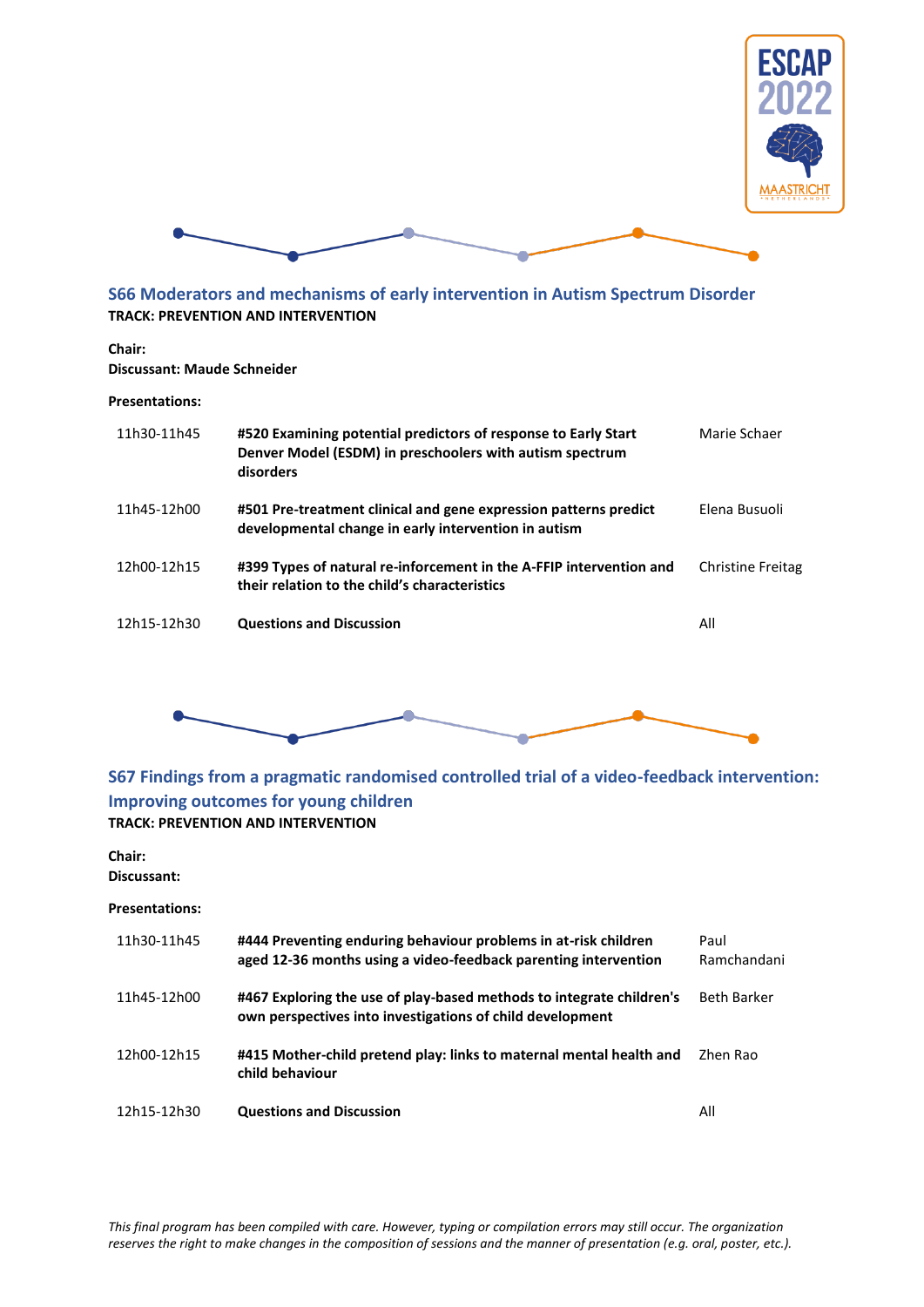



### <span id="page-49-0"></span>**S66 Moderators and mechanisms of early intervention in Autism Spectrum Disorder TRACK: PREVENTION AND INTERVENTION**

#### **Chair:**

#### **Discussant: Maude Schneider**

#### **Presentations:**

| 11h30-11h45 | #520 Examining potential predictors of response to Early Start<br>Denver Model (ESDM) in preschoolers with autism spectrum<br>disorders | Marie Schaer             |
|-------------|-----------------------------------------------------------------------------------------------------------------------------------------|--------------------------|
| 11h45-12h00 | #501 Pre-treatment clinical and gene expression patterns predict<br>developmental change in early intervention in autism                | Elena Busuoli            |
| 12h00-12h15 | #399 Types of natural re-inforcement in the A-FFIP intervention and<br>their relation to the child's characteristics                    | <b>Christine Freitag</b> |
| 12h15-12h30 | <b>Questions and Discussion</b>                                                                                                         | All                      |
|             |                                                                                                                                         |                          |



### <span id="page-49-1"></span>**S67 Findings from a pragmatic randomised controlled trial of a video-feedback intervention: Improving outcomes for young children TRACK: PREVENTION AND INTERVENTION**

### **Chair:**

**Discussant:**

| 11h30-11h45 | #444 Preventing enduring behaviour problems in at-risk children<br>aged 12-36 months using a video-feedback parenting intervention | Paul<br>Ramchandani |
|-------------|------------------------------------------------------------------------------------------------------------------------------------|---------------------|
| 11h45-12h00 | #467 Exploring the use of play-based methods to integrate children's<br>own perspectives into investigations of child development  | <b>Beth Barker</b>  |
| 12h00-12h15 | #415 Mother-child pretend play: links to maternal mental health and<br>child behaviour                                             | Zhen Rao            |
| 12h15-12h30 | <b>Questions and Discussion</b>                                                                                                    | All                 |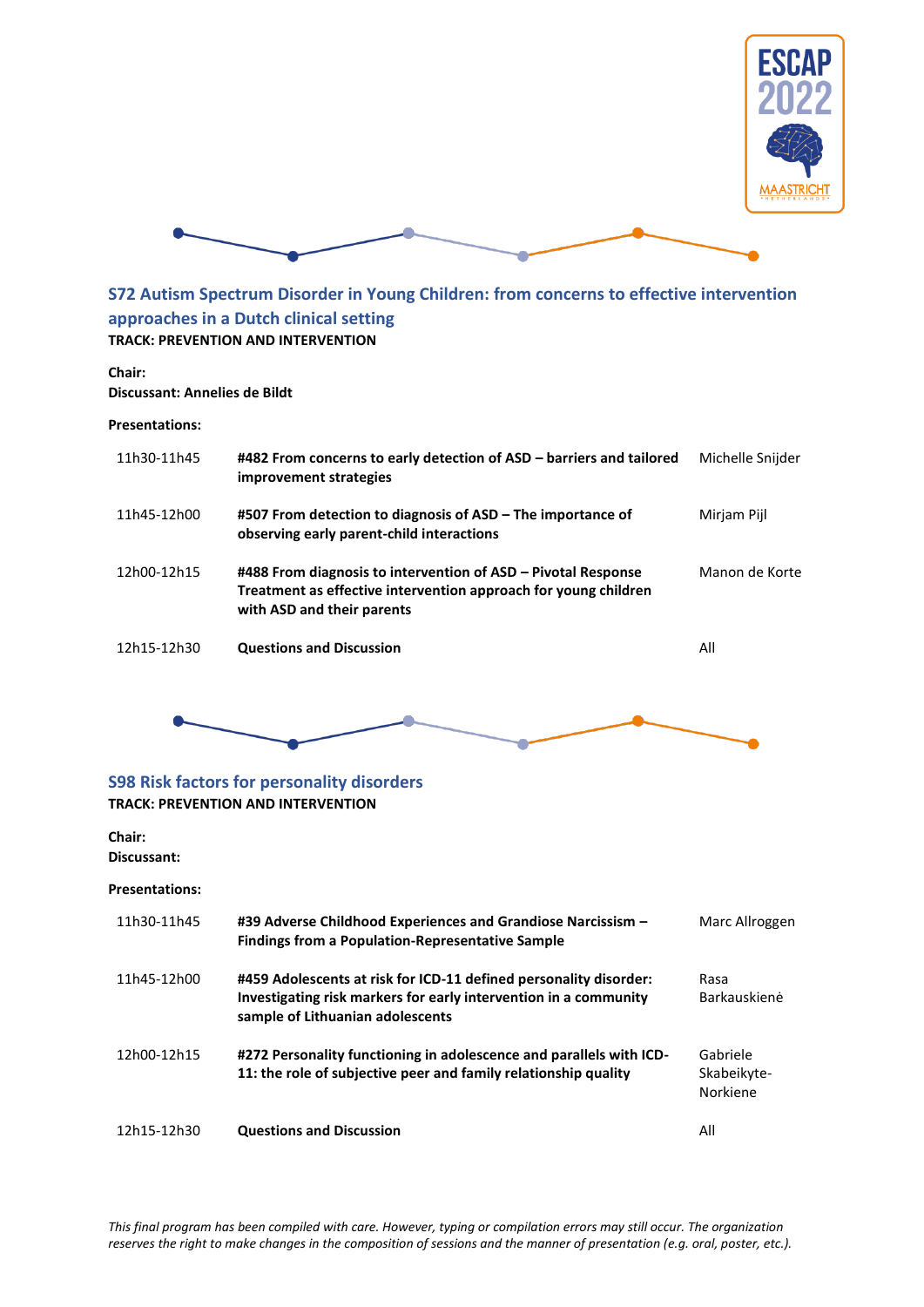



<span id="page-50-0"></span>**S72 Autism Spectrum Disorder in Young Children: from concerns to effective intervention approaches in a Dutch clinical setting TRACK: PREVENTION AND INTERVENTION**

#### **Chair:**

**Discussant: Annelies de Bildt**

#### **Presentations:**

| 11h30-11h45 | #482 From concerns to early detection of ASD – barriers and tailored<br>improvement strategies                                                                 | Michelle Snijder |
|-------------|----------------------------------------------------------------------------------------------------------------------------------------------------------------|------------------|
| 11h45-12h00 | #507 From detection to diagnosis of ASD – The importance of<br>observing early parent-child interactions                                                       | Mirjam Pijl      |
| 12h00-12h15 | #488 From diagnosis to intervention of ASD – Pivotal Response<br>Treatment as effective intervention approach for young children<br>with ASD and their parents | Manon de Korte   |
| 12h15-12h30 | <b>Questions and Discussion</b>                                                                                                                                | All              |



### <span id="page-50-1"></span>**S98 Risk factors for personality disorders TRACK: PREVENTION AND INTERVENTION**

#### **Chair:**

**Discussant:**

| 11h30-11h45 | #39 Adverse Childhood Experiences and Grandiose Narcissism -<br><b>Findings from a Population-Representative Sample</b>                                                   | Marc Allroggen                      |
|-------------|---------------------------------------------------------------------------------------------------------------------------------------------------------------------------|-------------------------------------|
| 11h45-12h00 | #459 Adolescents at risk for ICD-11 defined personality disorder:<br>Investigating risk markers for early intervention in a community<br>sample of Lithuanian adolescents | Rasa<br>Barkauskienė                |
| 12h00-12h15 | #272 Personality functioning in adolescence and parallels with ICD-<br>11: the role of subjective peer and family relationship quality                                    | Gabriele<br>Skabeikyte-<br>Norkiene |
| 12h15-12h30 | <b>Questions and Discussion</b>                                                                                                                                           | All                                 |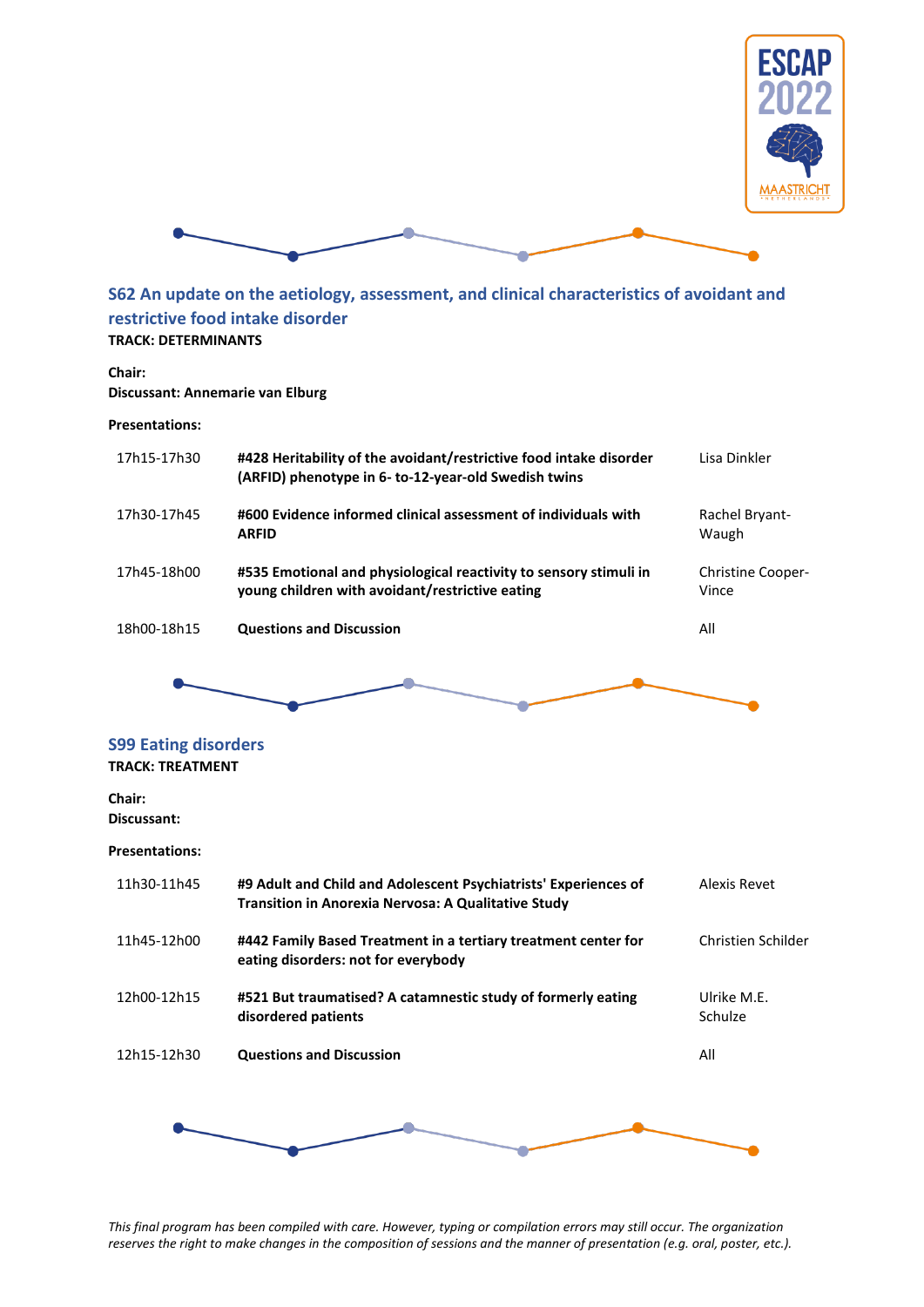



### <span id="page-51-0"></span>**S62 An update on the aetiology, assessment, and clinical characteristics of avoidant and restrictive food intake disorder TRACK: DETERMINANTS**

#### **Chair:**

#### **Discussant: Annemarie van Elburg**

#### **Presentations:**

| 17h15-17h30 | #428 Heritability of the avoidant/restrictive food intake disorder<br>(ARFID) phenotype in 6- to-12-year-old Swedish twins | Lisa Dinkler                      |
|-------------|----------------------------------------------------------------------------------------------------------------------------|-----------------------------------|
| 17h30-17h45 | #600 Evidence informed clinical assessment of individuals with<br><b>ARFID</b>                                             | Rachel Bryant-<br>Waugh           |
| 17h45-18h00 | #535 Emotional and physiological reactivity to sensory stimuli in<br>young children with avoidant/restrictive eating       | <b>Christine Cooper-</b><br>Vince |
| 18h00-18h15 | <b>Questions and Discussion</b>                                                                                            | All                               |



# <span id="page-51-1"></span>**S99 Eating disorders**

### **TRACK: TREATMENT**

#### **Chair: Discussant:**

#### **Presentations:**

| 11h30-11h45 | #9 Adult and Child and Adolescent Psychiatrists' Experiences of<br><b>Transition in Anorexia Nervosa: A Qualitative Study</b> | Alexis Revet           |
|-------------|-------------------------------------------------------------------------------------------------------------------------------|------------------------|
| 11h45-12h00 | #442 Family Based Treatment in a tertiary treatment center for<br>eating disorders: not for everybody                         | Christien Schilder     |
| 12h00-12h15 | #521 But traumatised? A catamnestic study of formerly eating<br>disordered patients                                           | Ulrike M.F.<br>Schulze |
| 12h15-12h30 | <b>Questions and Discussion</b>                                                                                               | All                    |
|             |                                                                                                                               |                        |
|             |                                                                                                                               |                        |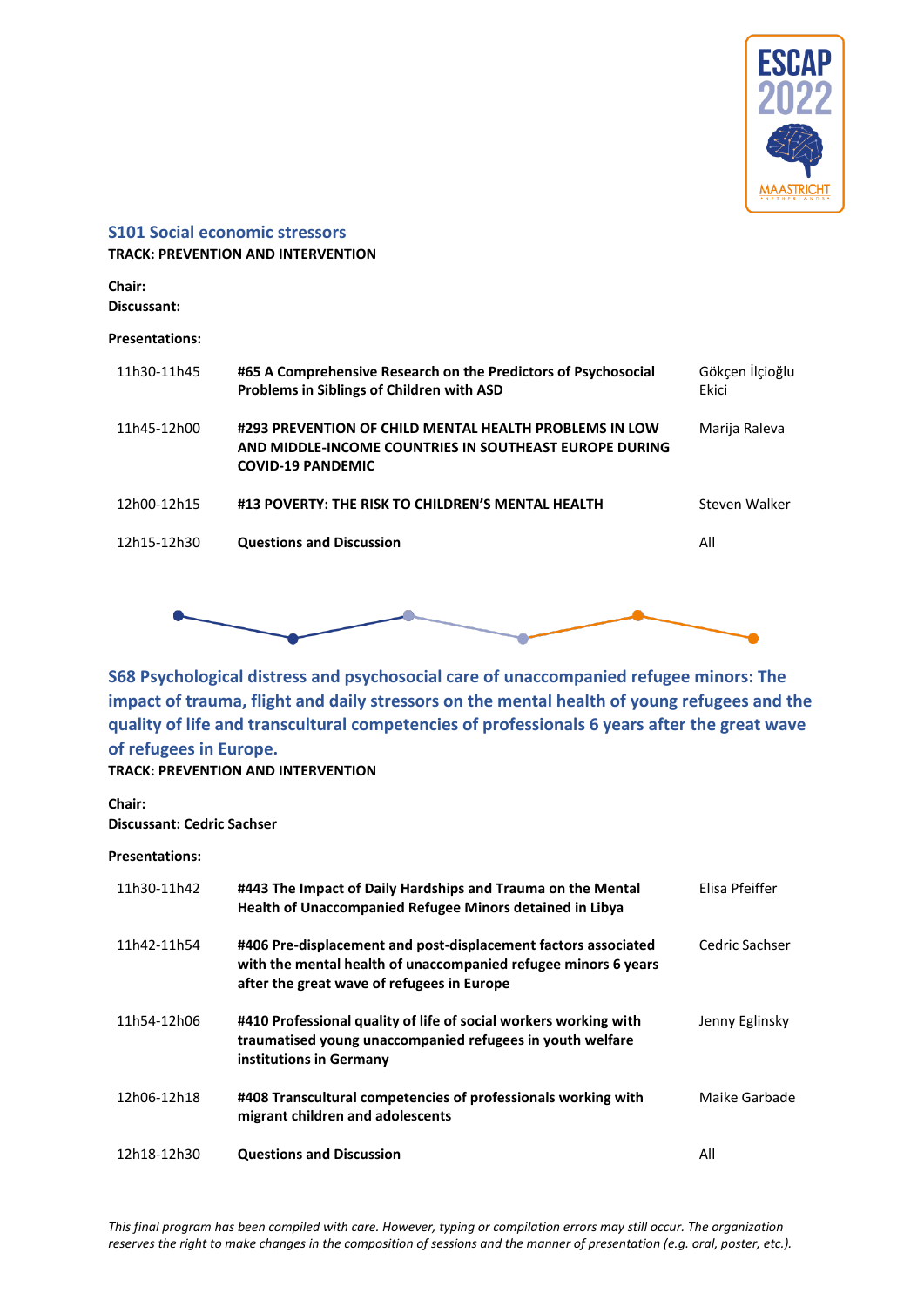

#### <span id="page-52-0"></span>**S101 Social economic stressors**

**TRACK: PREVENTION AND INTERVENTION**

**Chair: Discussant:**

#### **Presentations:**

| 11h30-11h45 | #65 A Comprehensive Research on the Predictors of Psychosocial<br>Problems in Siblings of Children with ASD                                  | Gökçen İlçioğlu<br>Ekici |
|-------------|----------------------------------------------------------------------------------------------------------------------------------------------|--------------------------|
| 11h45-12h00 | #293 PREVENTION OF CHILD MENTAL HEALTH PROBLEMS IN LOW<br>AND MIDDLE-INCOME COUNTRIES IN SOUTHEAST EUROPE DURING<br><b>COVID-19 PANDEMIC</b> | Marija Raleva            |
| 12h00-12h15 | #13 POVERTY: THE RISK TO CHILDREN'S MENTAL HEALTH                                                                                            | Steven Walker            |
| 12h15-12h30 | <b>Questions and Discussion</b>                                                                                                              | All                      |
|             |                                                                                                                                              |                          |



<span id="page-52-1"></span>**S68 Psychological distress and psychosocial care of unaccompanied refugee minors: The impact of trauma, flight and daily stressors on the mental health of young refugees and the quality of life and transcultural competencies of professionals 6 years after the great wave of refugees in Europe.**

### **TRACK: PREVENTION AND INTERVENTION**

**Chair: Discussant: Cedric Sachser**

| 11h30-11h42 | #443 The Impact of Daily Hardships and Trauma on the Mental<br>Health of Unaccompanied Refugee Minors detained in Libya                                                        | Elisa Pfeiffer |
|-------------|--------------------------------------------------------------------------------------------------------------------------------------------------------------------------------|----------------|
| 11h42-11h54 | #406 Pre-displacement and post-displacement factors associated<br>with the mental health of unaccompanied refugee minors 6 years<br>after the great wave of refugees in Europe | Cedric Sachser |
| 11h54-12h06 | #410 Professional quality of life of social workers working with<br>traumatised young unaccompanied refugees in youth welfare<br>institutions in Germany                       | Jenny Eglinsky |
| 12h06-12h18 | #408 Transcultural competencies of professionals working with<br>migrant children and adolescents                                                                              | Maike Garbade  |
| 12h18-12h30 | <b>Questions and Discussion</b>                                                                                                                                                | All            |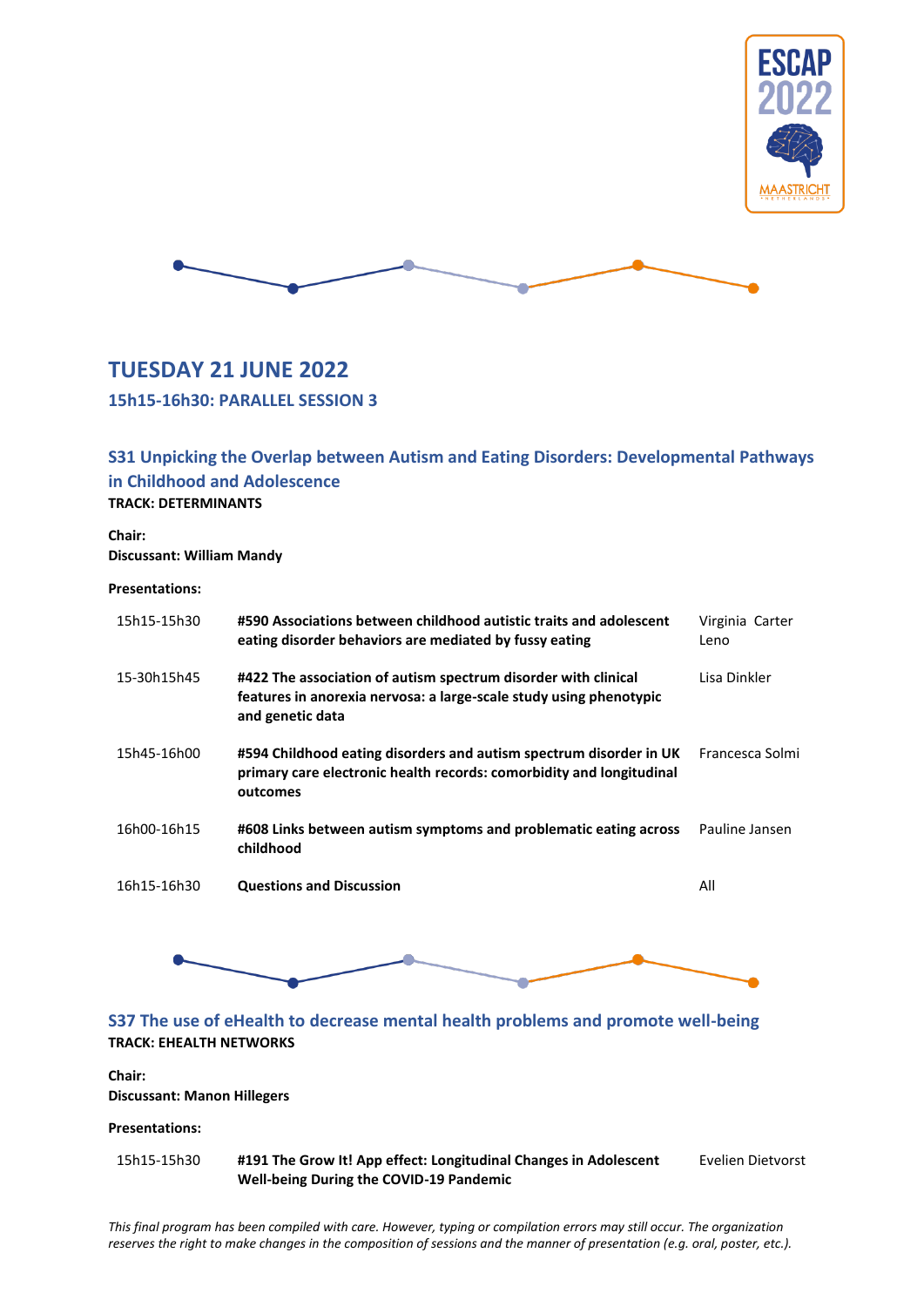



# <span id="page-53-0"></span>**TUESDAY 21 JUNE 2022**

<span id="page-53-1"></span>**15h15-16h30: PARALLEL SESSION 3**

### <span id="page-53-2"></span>**S31 Unpicking the Overlap between Autism and Eating Disorders: Developmental Pathways in Childhood and Adolescence TRACK: DETERMINANTS**

**Chair: Discussant: William Mandy**

#### **Presentations:**

| 15h15-15h30 | #590 Associations between childhood autistic traits and adolescent<br>eating disorder behaviors are mediated by fussy eating                             | Virginia Carter<br>Leno |
|-------------|----------------------------------------------------------------------------------------------------------------------------------------------------------|-------------------------|
| 15-30h15h45 | #422 The association of autism spectrum disorder with clinical<br>features in anorexia nervosa: a large-scale study using phenotypic<br>and genetic data | Lisa Dinkler            |
| 15h45-16h00 | #594 Childhood eating disorders and autism spectrum disorder in UK<br>primary care electronic health records: comorbidity and longitudinal<br>outcomes   | Francesca Solmi         |
| 16h00-16h15 | #608 Links between autism symptoms and problematic eating across<br>childhood                                                                            | Pauline Jansen          |
| 16h15-16h30 | <b>Questions and Discussion</b>                                                                                                                          | All                     |



### <span id="page-53-3"></span>**TRACK: EHEALTH NETWORKS**

#### **Chair: Discussant: Manon Hillegers**

### **Presentations:**

15h15-15h30 **#191 The Grow It! App effect: Longitudinal Changes in Adolescent Well-being During the COVID-19 Pandemic** Evelien Dietvorst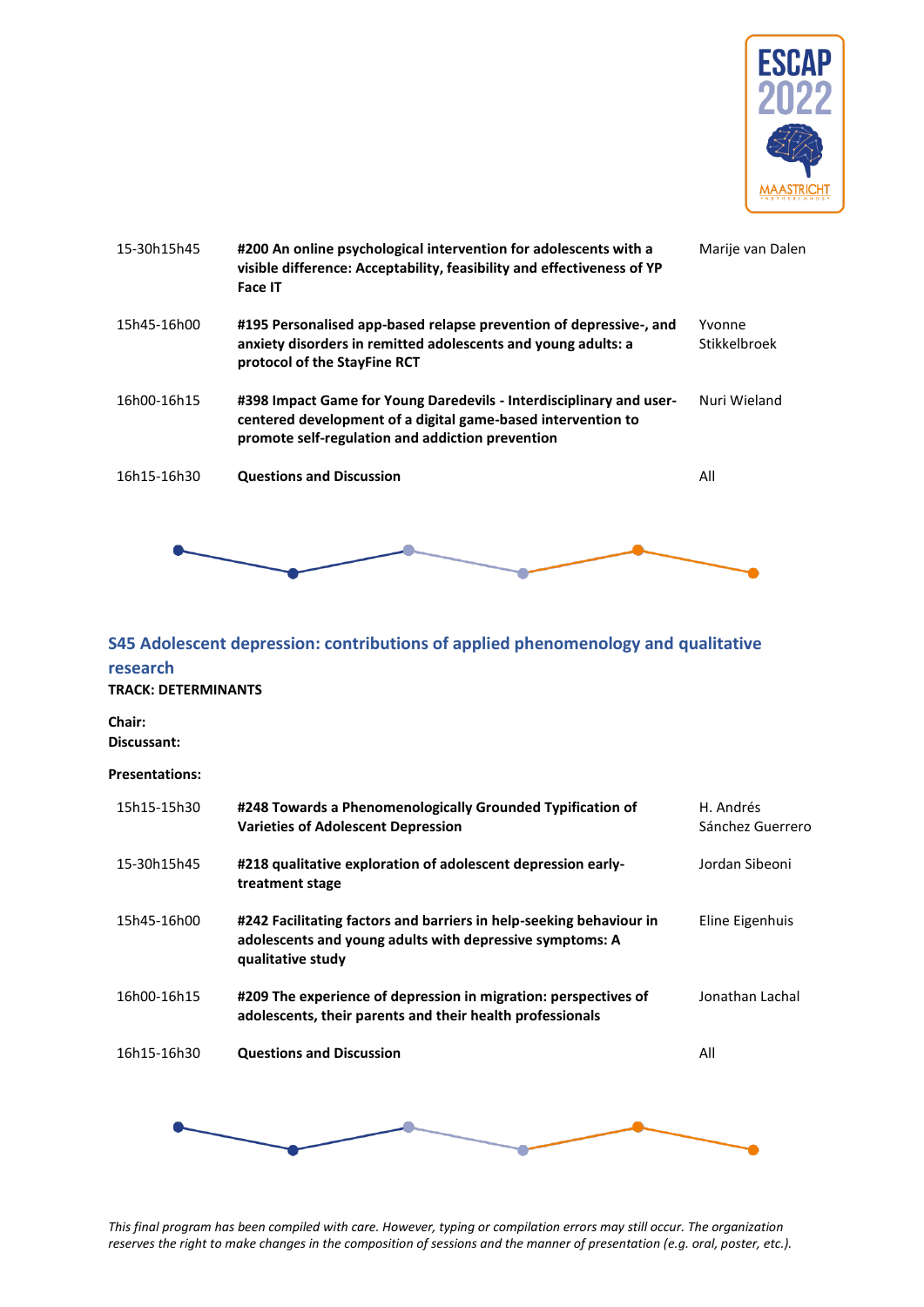

| 15-30h15h45 | #200 An online psychological intervention for adolescents with a<br>visible difference: Acceptability, feasibility and effectiveness of YP<br><b>Face IT</b>                            | Marije van Dalen       |
|-------------|-----------------------------------------------------------------------------------------------------------------------------------------------------------------------------------------|------------------------|
| 15h45-16h00 | #195 Personalised app-based relapse prevention of depressive-, and<br>anxiety disorders in remitted adolescents and young adults: a<br>protocol of the StayFine RCT                     | Yvonne<br>Stikkelbroek |
| 16h00-16h15 | #398 Impact Game for Young Daredevils - Interdisciplinary and user-<br>centered development of a digital game-based intervention to<br>promote self-regulation and addiction prevention | Nuri Wieland           |
| 16h15-16h30 | <b>Questions and Discussion</b>                                                                                                                                                         | All                    |
|             |                                                                                                                                                                                         |                        |

# <span id="page-54-0"></span>**S45 Adolescent depression: contributions of applied phenomenology and qualitative research**

#### **TRACK: DETERMINANTS**

**Chair: Discussant:**

#### **Presentations:**

| 15h15-15h30 | #248 Towards a Phenomenologically Grounded Typification of<br><b>Varieties of Adolescent Depression</b>                                              | H. Andrés<br>Sánchez Guerrero |
|-------------|------------------------------------------------------------------------------------------------------------------------------------------------------|-------------------------------|
| 15-30h15h45 | #218 qualitative exploration of adolescent depression early-<br>treatment stage                                                                      | Jordan Sibeoni                |
| 15h45-16h00 | #242 Facilitating factors and barriers in help-seeking behaviour in<br>adolescents and young adults with depressive symptoms: A<br>qualitative study | Eline Eigenhuis               |
| 16h00-16h15 | #209 The experience of depression in migration: perspectives of<br>adolescents, their parents and their health professionals                         | Jonathan Lachal               |
| 16h15-16h30 | <b>Questions and Discussion</b>                                                                                                                      | All                           |
|             |                                                                                                                                                      |                               |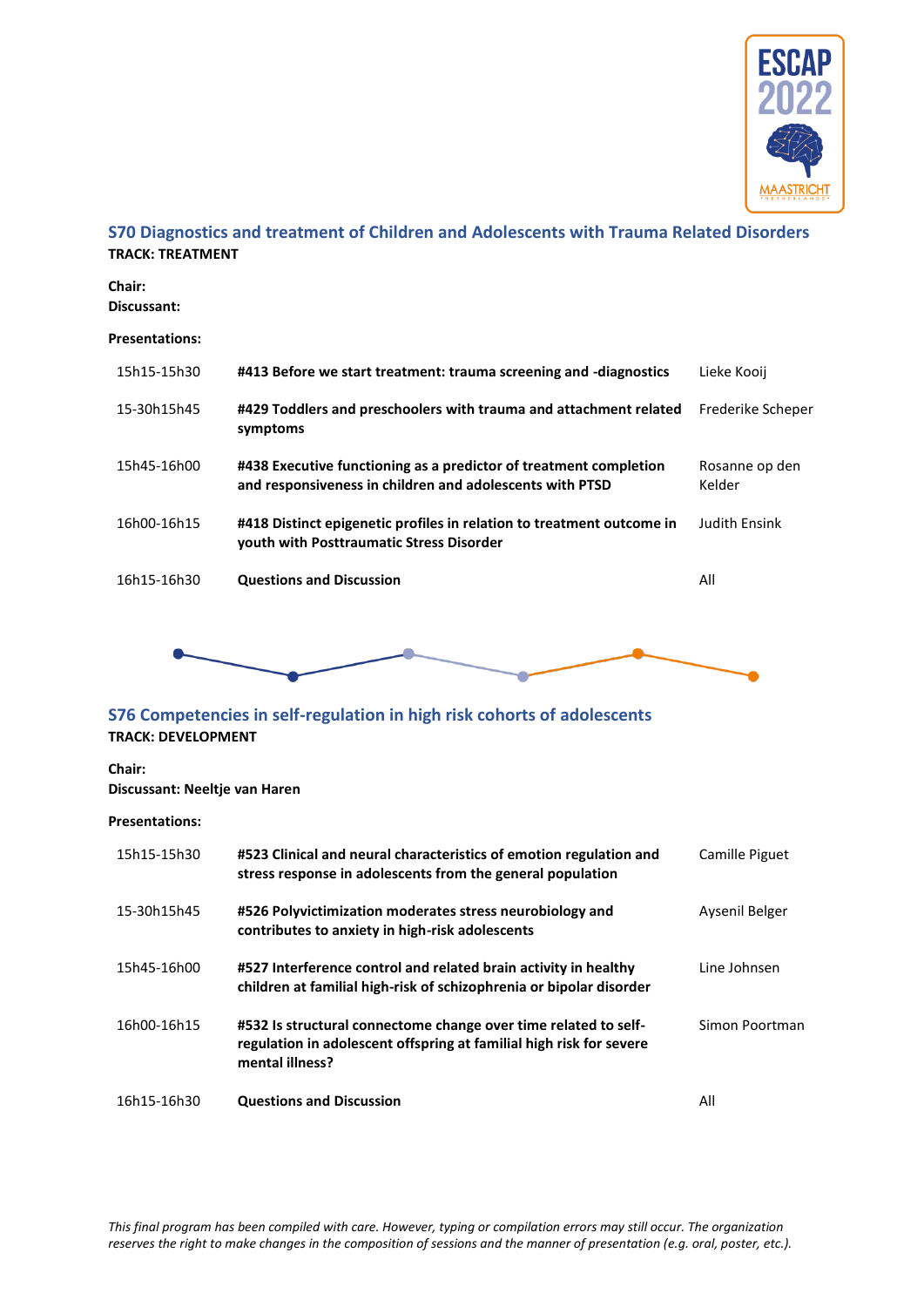

### <span id="page-55-0"></span>**S70 Diagnostics and treatment of Children and Adolescents with Trauma Related Disorders TRACK: TREATMENT**

**Chair: Discussant:**

#### **Presentations:**

| 15h15-15h30 | #413 Before we start treatment: trauma screening and -diagnostics                                                             | Lieke Kooij              |
|-------------|-------------------------------------------------------------------------------------------------------------------------------|--------------------------|
| 15-30h15h45 | #429 Toddlers and preschoolers with trauma and attachment related<br>symptoms                                                 | Frederike Scheper        |
| 15h45-16h00 | #438 Executive functioning as a predictor of treatment completion<br>and responsiveness in children and adolescents with PTSD | Rosanne op den<br>Kelder |
| 16h00-16h15 | #418 Distinct epigenetic profiles in relation to treatment outcome in<br>vouth with Posttraumatic Stress Disorder             | <b>Judith Ensink</b>     |
| 16h15-16h30 | <b>Questions and Discussion</b>                                                                                               | All                      |
|             |                                                                                                                               |                          |



### <span id="page-55-1"></span>**S76 Competencies in self-regulation in high risk cohorts of adolescents TRACK: DEVELOPMENT**

#### **Chair:**

### **Discussant: Neeltje van Haren**

| 15h15-15h30 | #523 Clinical and neural characteristics of emotion regulation and<br>stress response in adolescents from the general population                          | Camille Piguet |
|-------------|-----------------------------------------------------------------------------------------------------------------------------------------------------------|----------------|
| 15-30h15h45 | #526 Polyvictimization moderates stress neurobiology and<br>contributes to anxiety in high-risk adolescents                                               | Aysenil Belger |
| 15h45-16h00 | #527 Interference control and related brain activity in healthy<br>children at familial high-risk of schizophrenia or bipolar disorder                    | Line Johnsen   |
| 16h00-16h15 | #532 Is structural connectome change over time related to self-<br>regulation in adolescent offspring at familial high risk for severe<br>mental illness? | Simon Poortman |
| 16h15-16h30 | <b>Questions and Discussion</b>                                                                                                                           | All            |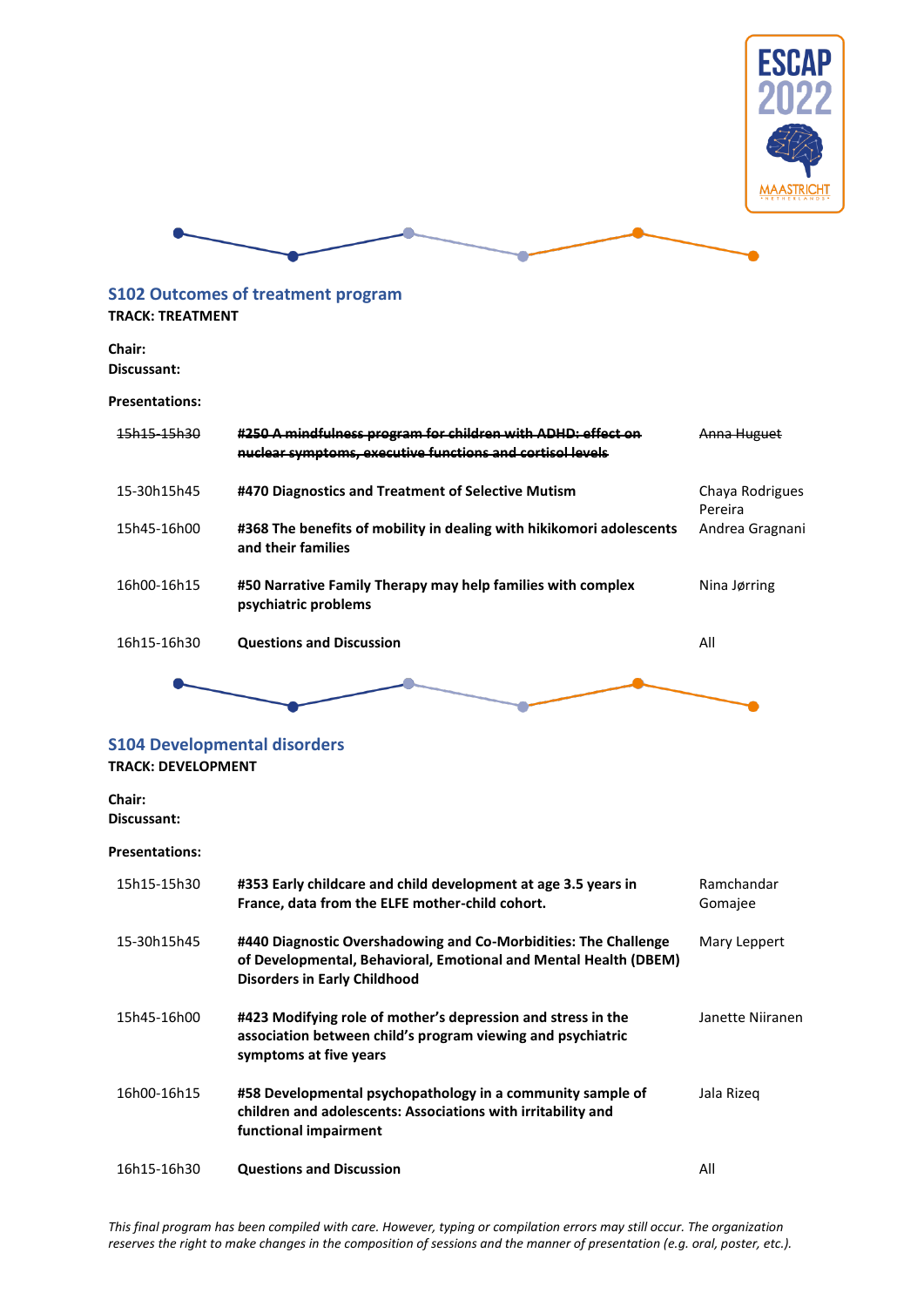

### <span id="page-56-0"></span>**S102 Outcomes of treatment program**

### **TRACK: TREATMENT**

**Chair: Discussant:**

#### **Presentations:**

| <u>15h15_15h20</u> | #250 A mindfulness program for children with ADHD: effect on<br><u>nuclear symptoms, executive functions and cortisol levels</u> |                            |
|--------------------|----------------------------------------------------------------------------------------------------------------------------------|----------------------------|
| 15-30h15h45        | #470 Diagnostics and Treatment of Selective Mutism                                                                               | Chaya Rodrigues<br>Pereira |
| 15h45-16h00        | #368 The benefits of mobility in dealing with hikikomori adolescents<br>and their families                                       | Andrea Gragnani            |
| 16h00-16h15        | #50 Narrative Family Therapy may help families with complex<br>psychiatric problems                                              | Nina Jørring               |
| 16h15-16h30        | <b>Questions and Discussion</b>                                                                                                  | All                        |
|                    |                                                                                                                                  |                            |

# <span id="page-56-1"></span>**S104 Developmental disorders**

## **TRACK: DEVELOPMENT**

**Chair: Discussant:**

| 15h15-15h30 | #353 Early childcare and child development at age 3.5 years in<br>France, data from the ELFE mother-child cohort.                                                          | Ramchandar<br>Gomajee |
|-------------|----------------------------------------------------------------------------------------------------------------------------------------------------------------------------|-----------------------|
| 15-30h15h45 | #440 Diagnostic Overshadowing and Co-Morbidities: The Challenge<br>of Developmental, Behavioral, Emotional and Mental Health (DBEM)<br><b>Disorders in Early Childhood</b> | Mary Leppert          |
| 15h45-16h00 | #423 Modifying role of mother's depression and stress in the<br>association between child's program viewing and psychiatric<br>symptoms at five years                      | Janette Niiranen      |
| 16h00-16h15 | #58 Developmental psychopathology in a community sample of<br>children and adolescents: Associations with irritability and<br>functional impairment                        | Jala Rizeg            |
| 16h15-16h30 | <b>Questions and Discussion</b>                                                                                                                                            | All                   |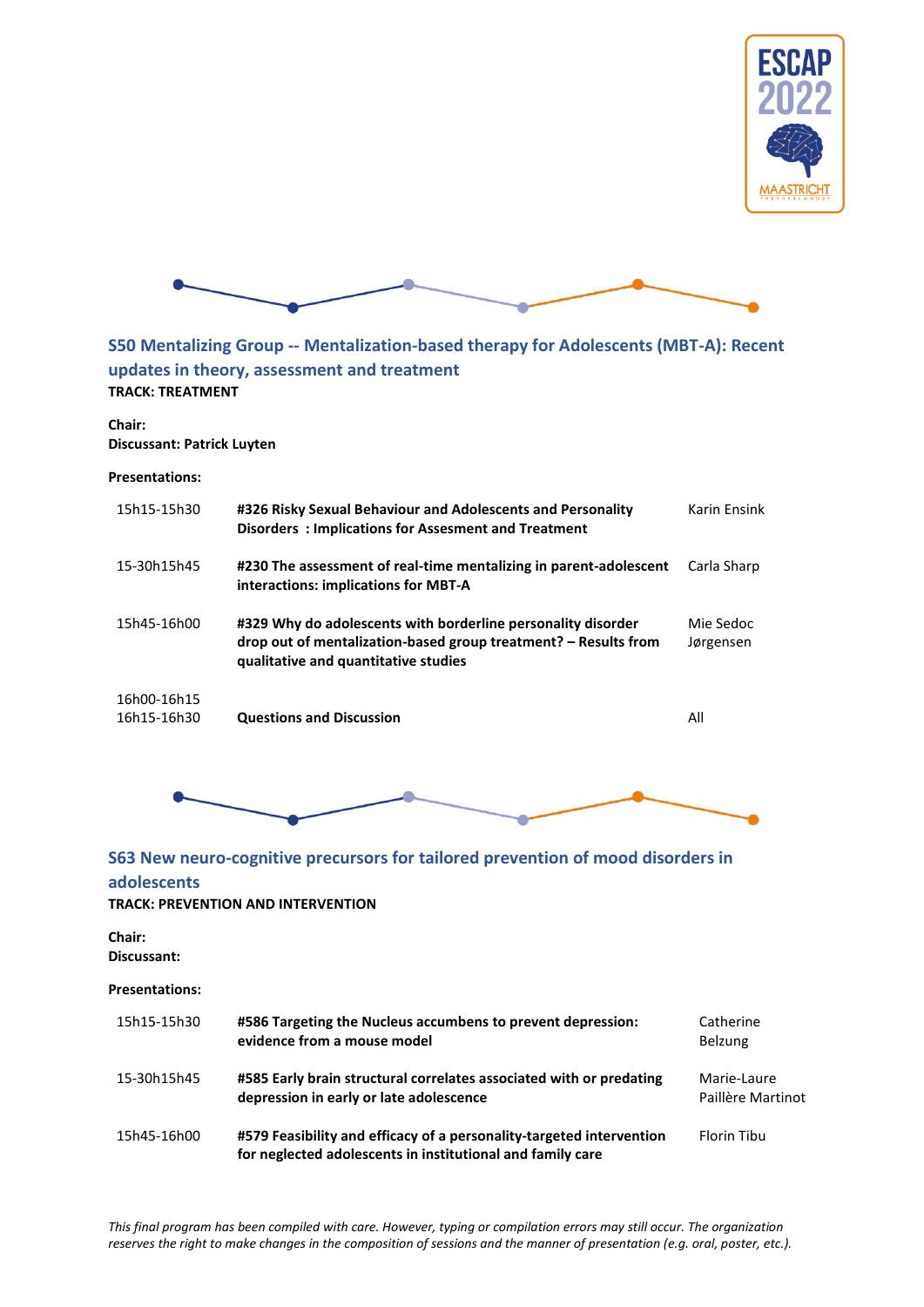



### <span id="page-57-0"></span>**S50 Mentalizing Group -- Mentalization-based therapy for Adolescents (MBT-A): Recent updates in theory, assessment and treatment TRACK: TREATMENT**

**Chair: Discussant: Patrick Luyten**

**Presentations:**

| 15h15-15h30                | #326 Risky Sexual Behaviour and Adolescents and Personality<br>Disorders: Implications for Assesment and Treatment                                                      | Karin Ensink           |
|----------------------------|-------------------------------------------------------------------------------------------------------------------------------------------------------------------------|------------------------|
| 15-30h15h45                | #230 The assessment of real-time mentalizing in parent-adolescent<br>interactions: implications for MBT-A                                                               | Carla Sharp            |
| 15h45-16h00                | #329 Why do adolescents with borderline personality disorder<br>drop out of mentalization-based group treatment? – Results from<br>qualitative and quantitative studies | Mie Sedoc<br>Jørgensen |
| 16h00-16h15<br>16h15-16h30 | <b>Questions and Discussion</b>                                                                                                                                         | All                    |



### <span id="page-57-1"></span>**S63 New neuro-cognitive precursors for tailored prevention of mood disorders in adolescents**

#### **TRACK: PREVENTION AND INTERVENTION**

**Chair:** 

**Discussant:**

| 15h15-15h30 | #586 Targeting the Nucleus accumbens to prevent depression:<br>evidence from a mouse model                                         | Catherine<br><b>Belzung</b>      |
|-------------|------------------------------------------------------------------------------------------------------------------------------------|----------------------------------|
| 15-30h15h45 | #585 Early brain structural correlates associated with or predating<br>depression in early or late adolescence                     | Marie-Laure<br>Paillère Martinot |
| 15h45-16h00 | #579 Feasibility and efficacy of a personality-targeted intervention<br>for neglected adolescents in institutional and family care | Florin Tibu                      |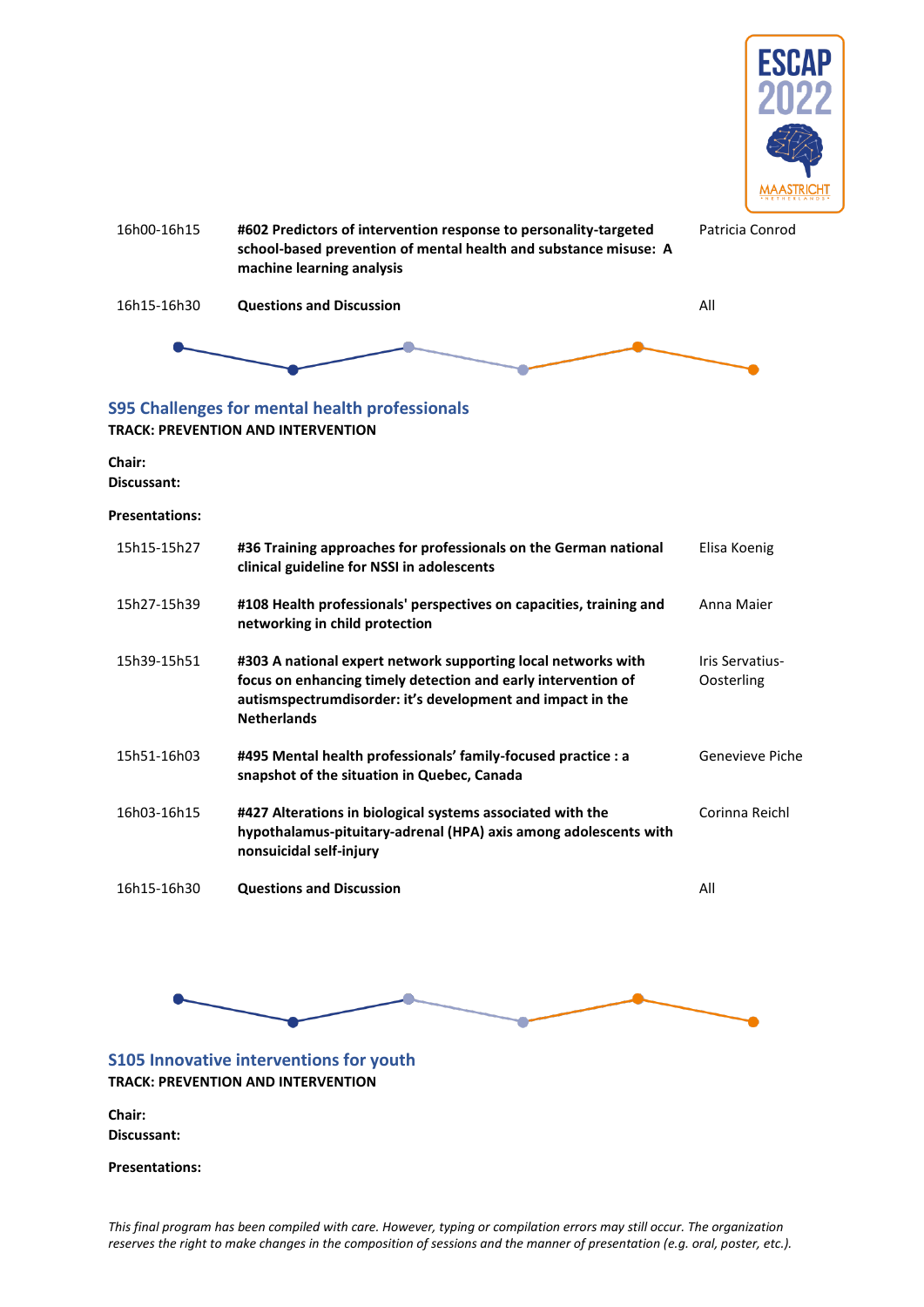



### <span id="page-58-0"></span>**S95 Challenges for mental health professionals TRACK: PREVENTION AND INTERVENTION**

**Chair: Discussant:**

**Presentations:**

| 15h15-15h27 | #36 Training approaches for professionals on the German national<br>clinical guideline for NSSI in adolescents                                                                                                     | Elisa Koenig                  |
|-------------|--------------------------------------------------------------------------------------------------------------------------------------------------------------------------------------------------------------------|-------------------------------|
| 15h27-15h39 | #108 Health professionals' perspectives on capacities, training and<br>networking in child protection                                                                                                              | Anna Maier                    |
| 15h39-15h51 | #303 A national expert network supporting local networks with<br>focus on enhancing timely detection and early intervention of<br>autismspectrumdisorder: it's development and impact in the<br><b>Netherlands</b> | Iris Servatius-<br>Oosterling |
| 15h51-16h03 | #495 Mental health professionals' family-focused practice : a<br>snapshot of the situation in Quebec, Canada                                                                                                       | Genevieve Piche               |
| 16h03-16h15 | #427 Alterations in biological systems associated with the<br>hypothalamus-pituitary-adrenal (HPA) axis among adolescents with<br>nonsuicidal self-injury                                                          | Corinna Reichl                |
| 16h15-16h30 | <b>Questions and Discussion</b>                                                                                                                                                                                    | All                           |



### <span id="page-58-1"></span>**S105 Innovative interventions for youth TRACK: PREVENTION AND INTERVENTION**

**Chair: Discussant:**